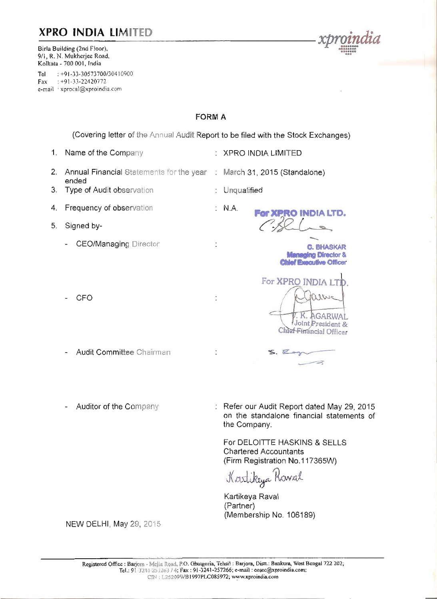# **XPRO INDIA LIMITED**

Birla Building (2nd Floor), 9/1, R. N. Mukherjee Road, Kolkata - 700 001, India

: +91-33-30573700/30410900 Tel  $+91-33-22420772$ Fax e-mail xprocal@xproindia.com

# **FORM A**

(Covering letter of the Annual Audit Report to be filed with the Stock Exchanges)

: XPRO INDIA LIMITED

: Unqualified

:  $NA$ 

 $\vdots$ 

- 1. Name of the Company
- 2. Annual Financial Statements for the year : March 31, 2015 (Standalone) ended
- 3. Type of Audit observation
- 4. Frequency of observation
- 5. Signed by-
	- CEO/Managing Director
	- CFO
	- Audit Committee Chairman
	- Auditor of the Company

: Refer our Audit Report dated May 29, 2015 on the standalone financial statements of the Company.

For XPRO INDIA LTD.

For XPRO INDIA IT

**C. BHASKAR Managing Director & Chief Executive Officer** 

K. AGARWAI Joint President & Chief Financial Officer

 $\overline{\phantom{1}}$ 

For DELOITTE HASKINS & SELLS **Chartered Accountants** (Firm Registration No.117365W)

 $S.$   $Exp$ 

Kartikeya Rawal

Kartikeya Raval (Partner) (Membership No. 106189)

NEW DELHI, May 29, 2015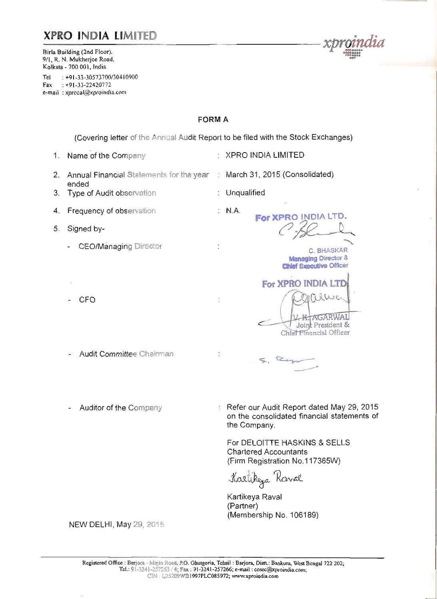# **XPRO INDIA LIMITED**

Birla Building (2nd Floor). 9/1, R. N. Mukherjee Road, Kolkata - 700 001. India

 $: +91 - 33 - 30573700/30410900$ Tel Fax:  $+91-33-22420772$ e-mail: xprocal@xproindia.com

# **FORM A**

(Covering letter of the Annual Audit Report to be filed with the Stock Exchanges)

: XPRO INDIA LIMITED

: Unqualified

 $: M.A.$ 

March 31, 2015 (Consolidated)

For XPRO INDIA LTD.

For XPRO INDIA LTD

**C. BHASKAR Managing Director & Chief Executive Officer** 

**AGARWAI** Joint President & Chief Financial Officer

- 1. Name of the Company
- 2. Annual Financial Statements for the year ended
- 3. Type of Audit observation
- 4. Frequency of observation
- 5. Signed by-
	- **CEO/Managing Director**
	- **CFO**
	- **Audit Committee Chairman**
	- Auditor of the Company

Refer our Audit Report dated May 29, 2015 on the consolidated financial statements of the Company.

For DELOITTE HASKINS & SELLS **Chartered Accountants** (Firm Registration No.117365W)

Ran

Kartikeya Rawal

Kartikeya Raval (Partner) (Membership No. 106189)

**NEW DELHI, May 29, 2015**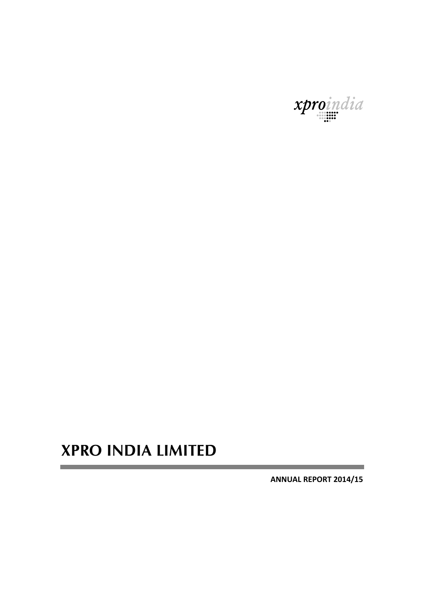

# **XPRO INDIA LIMITED**

**ANNUAL REPORT 2014/15**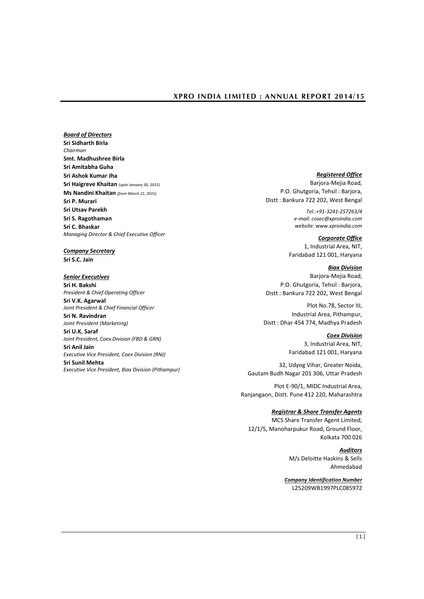*Board of Directors* **Sri Sidharth Birla** *Chairman* **Smt. Madhushree Birla Sri Amitabha Guha Sri Ashok Kumar Jha Sri Haigreve Khaitan** *(upto January 30, 2015)* **Ms Nandini Khaitan** *(from March 21, 2015)* **Sri P. Murari Sri Utsav Parekh Sri S. Ragothaman Sri C. Bhaskar** *Managing Director & Chief Executive Officer*

*Company Secretary* **Sri S.C. Jain**

#### *Senior Executives*

**Sri H. Bakshi** *President & Chief Operating Officer* **Sri V.K. Agarwal** *Joint President & Chief Financial Officer* **Sri N. Ravindran**

*Joint President (Marketing)* **Sri U.K. Saraf** *Joint President, Coex Division (FBD & GRN)*

**Sri Anil Jain** *Executive Vice President, Coex Division (RNJ)*

**Sri Sunil Mehta** *Executive Vice President, Biax Division (Pithampur)*

# *Registered Office*

Barjora-Mejia Road, P.O. Ghutgoria, Tehsil : Barjora, Distt : Bankura 722 202, West Bengal

> *Tel.:+91-3241-257263/4 e-mail[: cosec@xproindia.com](mailto:cosec@xproindia.com) website: www.xproindia.com*

> *Corporate Office* 1, Industrial Area, NIT, Faridabad 121 001, Haryana

*Biax Division* Barjora-Mejia Road, P.O. Ghutgoria, Tehsil : Barjora, Distt : Bankura 722 202, West Bengal

Plot No.78, Sector III, Industrial Area, Pithampur, Distt : Dhar 454 774, Madhya Pradesh

*Coex Division*

3, Industrial Area, NIT, Faridabad 121 001, Haryana

32, Udyog Vihar, Greater Noida, Gautam Budh Nagar 201 306, Uttar Pradesh

Plot E-90/1, MIDC Industrial Area, Ranjangaon, Distt. Pune 412 220, Maharashtra

## *Registrar & Share Transfer Agents*

MCS Share Transfer Agent Limited, 12/1/5, Manoharpukur Road, Ground Floor, Kolkata 700 026

> *Auditors* M/s Deloitte Haskins & Sells Ahmedabad

*Company Identification Number* L25209WB1997PLC085972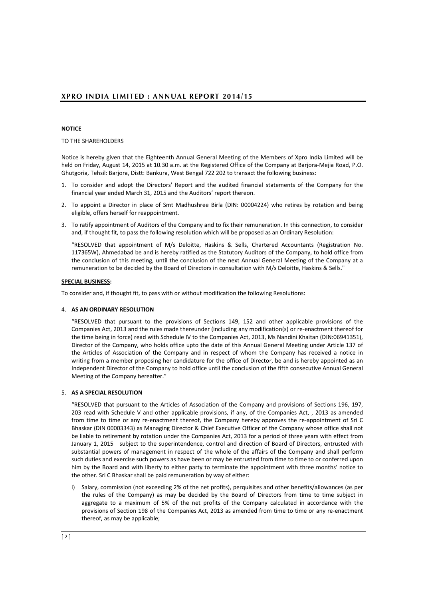## **NOTICE**

TO THE SHAREHOLDERS

Notice is hereby given that the Eighteenth Annual General Meeting of the Members of Xpro India Limited will be held on Friday, August 14, 2015 at 10.30 a.m. at the Registered Office of the Company at Barjora-Mejia Road, P.O. Ghutgoria, Tehsil: Barjora, Distt: Bankura, West Bengal 722 202 to transact the following business:

- 1. To consider and adopt the Directors' Report and the audited financial statements of the Company for the financial year ended March 31, 2015 and the Auditors' report thereon.
- 2. To appoint a Director in place of Smt Madhushree Birla (DIN: 00004224) who retires by rotation and being eligible, offers herself for reappointment.
- 3. To ratify appointment of Auditors of the Company and to fix their remuneration. In this connection, to consider and, if thought fit, to pass the following resolution which will be proposed as an Ordinary Resolution:

"RESOLVED that appointment of M/s Deloitte, Haskins & Sells, Chartered Accountants (Registration No. 117365W), Ahmedabad be and is hereby ratified as the Statutory Auditors of the Company, to hold office from the conclusion of this meeting, until the conclusion of the next Annual General Meeting of the Company at a remuneration to be decided by the Board of Directors in consultation with M/s Deloitte, Haskins & Sells."

### **SPECIAL BUSINESS:**

To consider and, if thought fit, to pass with or without modification the following Resolutions:

#### 4. **AS AN ORDINARY RESOLUTION**

"RESOLVED that pursuant to the provisions of Sections 149, 152 and other applicable provisions of the Companies Act, 2013 and the rules made thereunder (including any modification(s) or re-enactment thereof for the time being in force) read with Schedule IV to the Companies Act, 2013, Ms Nandini Khaitan (DIN:06941351), Director of the Company, who holds office upto the date of this Annual General Meeting under Article 137 of the Articles of Association of the Company and in respect of whom the Company has received a notice in writing from a member proposing her candidature for the office of Director, be and is hereby appointed as an Independent Director of the Company to hold office until the conclusion of the fifth consecutive Annual General Meeting of the Company hereafter."

## 5. **AS A SPECIAL RESOLUTION**

"RESOLVED that pursuant to the Articles of Association of the Company and provisions of Sections 196, 197, 203 read with Schedule V and other applicable provisions, if any, of the Companies Act, , 2013 as amended from time to time or any re-enactment thereof, the Company hereby approves the re-appointment of Sri C Bhaskar (DIN 00003343) as Managing Director & Chief Executive Officer of the Company whose office shall not be liable to retirement by rotation under the Companies Act, 2013 for a period of three years with effect from January 1, 2015 subject to the superintendence, control and direction of Board of Directors, entrusted with substantial powers of management in respect of the whole of the affairs of the Company and shall perform such duties and exercise such powers as have been or may be entrusted from time to time to or conferred upon him by the Board and with liberty to either party to terminate the appointment with three months' notice to the other. Sri C Bhaskar shall be paid remuneration by way of either:

i) Salary, commission (not exceeding 2% of the net profits), perquisites and other benefits/allowances (as per the rules of the Company) as may be decided by the Board of Directors from time to time subject in aggregate to a maximum of 5% of the net profits of the Company calculated in accordance with the provisions of Section 198 of the Companies Act, 2013 as amended from time to time or any re-enactment thereof, as may be applicable;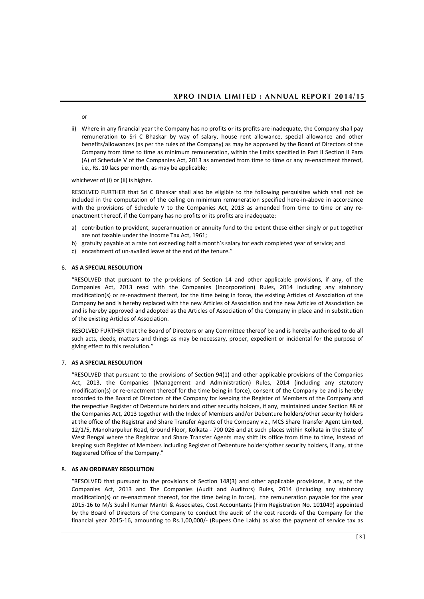or

ii) Where in any financial year the Company has no profits or its profits are inadequate, the Company shall pay remuneration to Sri C Bhaskar by way of salary, house rent allowance, special allowance and other benefits/allowances (as per the rules of the Company) as may be approved by the Board of Directors of the Company from time to time as minimum remuneration, within the limits specified in Part II Section II Para (A) of Schedule V of the Companies Act, 2013 as amended from time to time or any re-enactment thereof, i.e., Rs. 10 lacs per month, as may be applicable;

whichever of (i) or (ii) is higher.

RESOLVED FURTHER that Sri C Bhaskar shall also be eligible to the following perquisites which shall not be included in the computation of the ceiling on minimum remuneration specified here-in-above in accordance with the provisions of Schedule V to the Companies Act, 2013 as amended from time to time or any reenactment thereof, if the Company has no profits or its profits are inadequate:

- a) contribution to provident, superannuation or annuity fund to the extent these either singly or put together are not taxable under the Income Tax Act, 1961;
- b) gratuity payable at a rate not exceeding half a month's salary for each completed year of service; and
- c) encashment of un-availed leave at the end of the tenure."

### 6. **AS A SPECIAL RESOLUTION**

"RESOLVED that pursuant to the provisions of Section 14 and other applicable provisions, if any, of the Companies Act, 2013 read with the Companies (Incorporation) Rules, 2014 including any statutory modification(s) or re-enactment thereof, for the time being in force, the existing Articles of Association of the Company be and is hereby replaced with the new Articles of Association and the new Articles of Association be and is hereby approved and adopted as the Articles of Association of the Company in place and in substitution of the existing Articles of Association.

RESOLVED FURTHER that the Board of Directors or any Committee thereof be and is hereby authorised to do all such acts, deeds, matters and things as may be necessary, proper, expedient or incidental for the purpose of giving effect to this resolution."

#### 7. **AS A SPECIAL RESOLUTION**

"RESOLVED that pursuant to the provisions of Section 94(1) and other applicable provisions of the Companies Act, 2013, the Companies (Management and Administration) Rules, 2014 (including any statutory modification(s) or re-enactment thereof for the time being in force), consent of the Company be and is hereby accorded to the Board of Directors of the Company for keeping the Register of Members of the Company and the respective Register of Debenture holders and other security holders, if any, maintained under Section 88 of the Companies Act, 2013 together with the Index of Members and/or Debenture holders/other security holders at the office of the Registrar and Share Transfer Agents of the Company viz., MCS Share Transfer Agent Limited, 12/1/5, Manoharpukur Road, Ground Floor, Kolkata - 700 026 and at such places within Kolkata in the State of West Bengal where the Registrar and Share Transfer Agents may shift its office from time to time, instead of keeping such Register of Members including Register of Debenture holders/other security holders, if any, at the Registered Office of the Company."

#### 8. **AS AN ORDINARY RESOLUTION**

"RESOLVED that pursuant to the provisions of Section 148(3) and other applicable provisions, if any, of the Companies Act, 2013 and The Companies (Audit and Auditors) Rules, 2014 (including any statutory modification(s) or re-enactment thereof, for the time being in force), the remuneration payable for the year 2015-16 to M/s Sushil Kumar Mantri & Associates, Cost Accountants (Firm Registration No. 101049) appointed by the Board of Directors of the Company to conduct the audit of the cost records of the Company for the financial year 2015-16, amounting to Rs.1,00,000/- (Rupees One Lakh) as also the payment of service tax as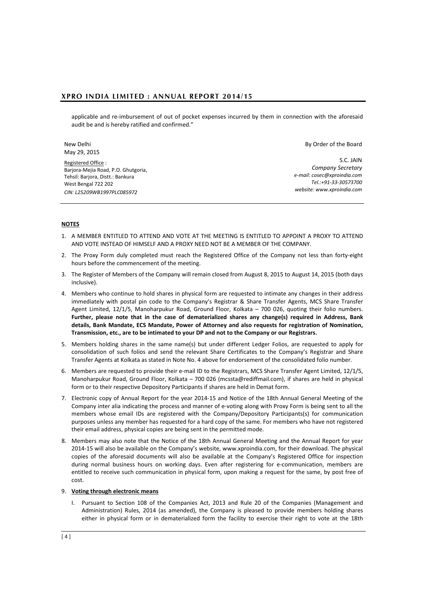applicable and re-imbursement of out of pocket expenses incurred by them in connection with the aforesaid audit be and is hereby ratified and confirmed."

New Delhi May 29, 2015

Registered Office : Barjora-Mejia Road, P.O. Ghutgoria, Tehsil: Barjora, Distt.: Bankura West Bengal 722 202 *CIN: L25209WB1997PLC085972*

By Order of the Board

S.C. JAIN *Company Secretary e-mail[: cosec@xproindia.com](mailto:cosec@xproindia.com) Tel.:+91-33-30573700 website: www.xproindia.com*

### **NOTES**

- 1. A MEMBER ENTITLED TO ATTEND AND VOTE AT THE MEETING IS ENTITLED TO APPOINT A PROXY TO ATTEND AND VOTE INSTEAD OF HIMSELF AND A PROXY NEED NOT BE A MEMBER OF THE COMPANY.
- 2. The Proxy Form duly completed must reach the Registered Office of the Company not less than forty-eight hours before the commencement of the meeting.
- 3. The Register of Members of the Company will remain closed from August 8, 2015 to August 14, 2015 (both days inclusive).
- 4. Members who continue to hold shares in physical form are requested to intimate any changes in their address immediately with postal pin code to the Company's Registrar & Share Transfer Agents, MCS Share Transfer Agent Limited, 12/1/5, Manoharpukur Road, Ground Floor, Kolkata – 700 026, quoting their folio numbers. **Further, please note that in the case of dematerialized shares any change(s) required in Address, Bank details, Bank Mandate, ECS Mandate, Power of Attorney and also requests for registration of Nomination, Transmission, etc., are to be intimated to your DP and not to the Company or our Registrars.**
- 5. Members holding shares in the same name(s) but under different Ledger Folios, are requested to apply for consolidation of such folios and send the relevant Share Certificates to the Company's Registrar and Share Transfer Agents at Kolkata as stated in Note No. 4 above for endorsement of the consolidated folio number.
- 6. Members are requested to provide their e-mail ID to the Registrars, MCS Share Transfer Agent Limited, 12/1/5, Manoharpukur Road, Ground Floor, Kolkata – 700 026 [\(mcssta@rediffmail.com\),](mailto:mcssta@rediffmail.com) if shares are held in physical form or to their respective Depository Participants if shares are held in Demat form.
- 7. Electronic copy of Annual Report for the year 2014-15 and Notice of the 18th Annual General Meeting of the Company inter alia indicating the process and manner of e-voting along with Proxy Form is being sent to all the members whose email IDs are registered with the Company/Depository Participants(s) for communication purposes unless any member has requested for a hard copy of the same. For members who have not registered their email address, physical copies are being sent in the permitted mode.
- 8. Members may also note that the Notice of the 18th Annual General Meeting and the Annual Report for year 2014-15 will also be available on the Company's website, www.xproindia.com, for their download. The physical copies of the aforesaid documents will also be available at the Company's Registered Office for inspection during normal business hours on working days. Even after registering for e-communication, members are entitled to receive such communication in physical form, upon making a request for the same, by post free of cost.

## 9. **Voting through electronic means**

I. Pursuant to Section 108 of the Companies Act, 2013 and Rule 20 of the Companies (Management and Administration) Rules, 2014 (as amended), the Company is pleased to provide members holding shares either in physical form or in dematerialized form the facility to exercise their right to vote at the 18th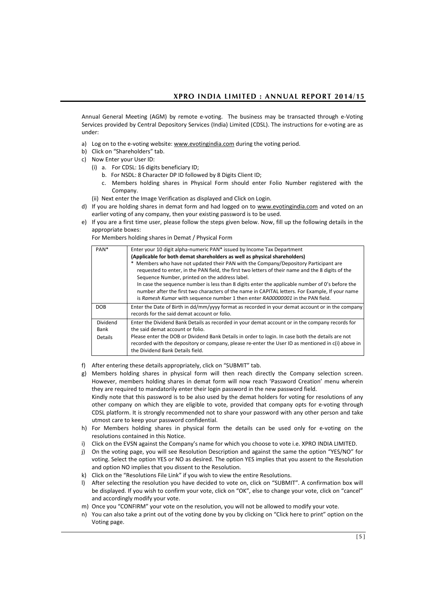Annual General Meeting (AGM) by remote e-voting. The business may be transacted through e-Voting Services provided by Central Depository Services (India) Limited (CDSL). The instructions for e-voting are as under:

- a) Log on to the e-voting website[: www.evotingindia.com](http://www.evotingindia.com/) during the voting period.
- b) Click on "Shareholders" tab.
- c) Now Enter your User ID:
	- (i) a. For CDSL: 16 digits beneficiary ID;
		- b. For NSDL: 8 Character DP ID followed by 8 Digits Client ID;
		- c. Members holding shares in Physical Form should enter Folio Number registered with the Company.
	- (ii) Next enter the Image Verification as displayed and Click on Login.
- d) If you are holding shares in demat form and had logged on to [www.evotingindia.com](http://www.evotingindia.com/) and voted on an earlier voting of any company, then your existing password is to be used.
- e) If you are a first time user, please follow the steps given below. Now, fill up the following details in the appropriate boxes:

For Members holding shares in Demat / Physical Form

| PAN <sup>*</sup>                   | Enter your 10 digit alpha-numeric PAN* issued by Income Tax Department<br>(Applicable for both demat shareholders as well as physical shareholders)<br>Members who have not updated their PAN with the Company/Depository Participant are<br>requested to enter, in the PAN field, the first two letters of their name and the 8 digits of the<br>Sequence Number, printed on the address label.<br>In case the sequence number is less than 8 digits enter the applicable number of 0's before the<br>number after the first two characters of the name in CAPITAL letters. For Example, If your name<br>is Ramesh Kumar with sequence number 1 then enter RA00000001 in the PAN field. |
|------------------------------------|------------------------------------------------------------------------------------------------------------------------------------------------------------------------------------------------------------------------------------------------------------------------------------------------------------------------------------------------------------------------------------------------------------------------------------------------------------------------------------------------------------------------------------------------------------------------------------------------------------------------------------------------------------------------------------------|
| <b>DOB</b>                         | Enter the Date of Birth in dd/mm/yyyy format as recorded in your demat account or in the company<br>records for the said demat account or folio.                                                                                                                                                                                                                                                                                                                                                                                                                                                                                                                                         |
| Dividend<br>Bank<br><b>Details</b> | Enter the Dividend Bank Details as recorded in your demat account or in the company records for<br>the said demat account or folio.<br>Please enter the DOB or Dividend Bank Details in order to login. In case both the details are not<br>recorded with the depository or company, please re-enter the User ID as mentioned in c(i) above in<br>the Dividend Bank Details field.                                                                                                                                                                                                                                                                                                       |

- f) After entering these details appropriately, click on "SUBMIT" tab.
- g) Members holding shares in physical form will then reach directly the Company selection screen. However, members holding shares in demat form will now reach 'Password Creation' menu wherein they are required to mandatorily enter their login password in the new password field. Kindly note that this password is to be also used by the demat holders for voting for resolutions of any other company on which they are eligible to vote, provided that company opts for e-voting through CDSL platform. It is strongly recommended not to share your password with any other person and take utmost care to keep your password confidential.
- h) For Members holding shares in physical form the details can be used only for e-voting on the resolutions contained in this Notice.
- i) Click on the EVSN against the Company's name for which you choose to vote i.e. XPRO INDIA LIMITED.
- j) On the voting page, you will see Resolution Description and against the same the option "YES/NO" for voting. Select the option YES or NO as desired. The option YES implies that you assent to the Resolution and option NO implies that you dissent to the Resolution.
- k) Click on the "Resolutions File Link" if you wish to view the entire Resolutions.
- l) After selecting the resolution you have decided to vote on, click on "SUBMIT". A confirmation box will be displayed. If you wish to confirm your vote, click on "OK", else to change your vote, click on "cancel" and accordingly modify your vote.
- m) Once you "CONFIRM" your vote on the resolution, you will not be allowed to modify your vote.
- n) You can also take a print out of the voting done by you by clicking on "Click here to print" option on the Voting page.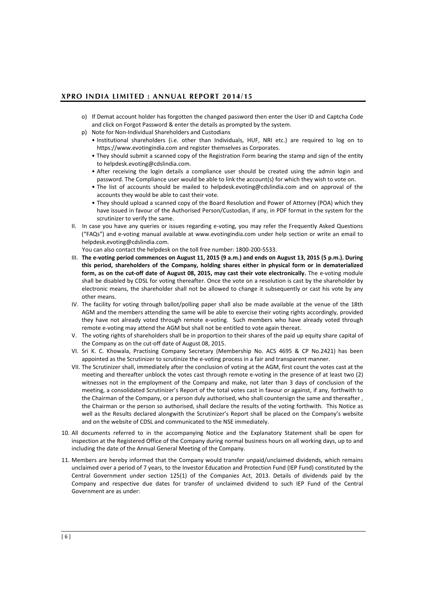- o) If Demat account holder has forgotten the changed password then enter the User ID and Captcha Code and click on Forgot Password & enter the details as prompted by the system.
- p) Note for Non-Individual Shareholders and Custodians
	- Institutional shareholders (i.e. other than Individuals, HUF, NRI etc.) are required to log on to https://www.evotingindia.com and register themselves as Corporates.
	- They should submit a scanned copy of the Registration Form bearing the stamp and sign of the entity to helpdesk.evoting@cdslindia.com.
	- After receiving the login details a compliance user should be created using the admin login and password. The Compliance user would be able to link the account(s) for which they wish to vote on.
	- The list of accounts should be mailed to helpdesk.evoting@cdslindia.com and on approval of the accounts they would be able to cast their vote.
	- They should upload a scanned copy of the Board Resolution and Power of Attorney (POA) which they have issued in favour of the Authorised Person/Custodian, if any, in PDF format in the system for the scrutinizer to verify the same.
- II. In case you have any queries or issues regarding e-voting, you may refer the Frequently Asked Questions ("FAQs") and e-voting manual available at www.evotingindia.com under help section or write an email to [helpdesk.evoting@cdslindia.com.](mailto:helpdesk.evoting@cdslindia.com)

You can also contact the helpdesk on the toll free number: 1800-200-5533.

- III. **The e-voting period commences on August 11, 2015 (9 a.m.) and ends on August 13, 2015 (5 p.m.). During this period, shareholders of the Company, holding shares either in physical form or in dematerialized form, as on the cut-off date of August 08, 2015, may cast their vote electronically.** The e-voting module shall be disabled by CDSL for voting thereafter. Once the vote on a resolution is cast by the shareholder by electronic means, the shareholder shall not be allowed to change it subsequently or cast his vote by any other means.
- IV. The facility for voting through ballot/polling paper shall also be made available at the venue of the 18th AGM and the members attending the same will be able to exercise their voting rights accordingly, provided they have not already voted through remote e-voting. Such members who have already voted through remote e-voting may attend the AGM but shall not be entitled to vote again thereat.
- V. The voting rights of shareholders shall be in proportion to their shares of the paid up equity share capital of the Company as on the cut-off date of August 08, 2015.
- VI. Sri K. C. Khowala, Practising Company Secretary (Membership No. ACS 4695 & CP No.2421) has been appointed as the Scrutinizer to scrutinize the e-voting process in a fair and transparent manner.
- VII. The Scrutinizer shall, immediately after the conclusion of voting at the AGM, first count the votes cast at the meeting and thereafter unblock the votes cast through remote e-voting in the presence of at least two (2) witnesses not in the employment of the Company and make, not later than 3 days of conclusion of the meeting, a consolidated Scrutinizer's Report of the total votes cast in favour or against, if any, forthwith to the Chairman of the Company, or a person duly authorised, who shall countersign the same and thereafter , the Chairman or the person so authorised, shall declare the results of the voting forthwith. This Notice as well as the Results declared alongwith the Scrutinizer's Report shall be placed on the Company's website and on the website of CDSL and communicated to the NSE immediately.
- 10. All documents referred to in the accompanying Notice and the Explanatory Statement shall be open for inspection at the Registered Office of the Company during normal business hours on all working days, up to and including the date of the Annual General Meeting of the Company.
- 11. Members are hereby informed that the Company would transfer unpaid/unclaimed dividends, which remains unclaimed over a period of 7 years, to the Investor Education and Protection Fund (IEP Fund) constituted by the Central Government under section 125(1) of the Companies Act, 2013. Details of dividends paid by the Company and respective due dates for transfer of unclaimed dividend to such IEP Fund of the Central Government are as under: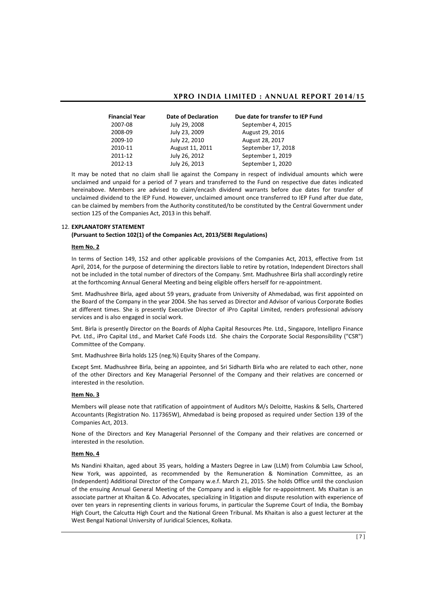| <b>Financial Year</b> | Date of Declaration | Due date for transfer to IEP Fund |
|-----------------------|---------------------|-----------------------------------|
| 2007-08               | July 29, 2008       | September 4, 2015                 |
| 2008-09               | July 23, 2009       | August 29, 2016                   |
| 2009-10               | July 22, 2010       | August 28, 2017                   |
| 2010-11               | August 11, 2011     | September 17, 2018                |
| 2011-12               | July 26, 2012       | September 1, 2019                 |
| 2012-13               | July 26, 2013       | September 1, 2020                 |
|                       |                     |                                   |

It may be noted that no claim shall lie against the Company in respect of individual amounts which were unclaimed and unpaid for a period of 7 years and transferred to the Fund on respective due dates indicated hereinabove. Members are advised to claim/encash dividend warrants before due dates for transfer of unclaimed dividend to the IEP Fund. However, unclaimed amount once transferred to IEP Fund after due date, can be claimed by members from the Authority constituted/to be constituted by the Central Government under section 125 of the Companies Act, 2013 in this behalf.

#### 12. **EXPLANATORY STATEMENT**

#### **(Pursuant to Section 102(1) of the Companies Act, 2013/SEBI Regulations)**

## **Item No. 2**

In terms of Section 149, 152 and other applicable provisions of the Companies Act, 2013, effective from 1st April, 2014, for the purpose of determining the directors liable to retire by rotation, Independent Directors shall not be included in the total number of directors of the Company. Smt. Madhushree Birla shall accordingly retire at the forthcoming Annual General Meeting and being eligible offers herself for re-appointment.

Smt. Madhushree Birla, aged about 59 years, graduate from University of Ahmedabad, was first appointed on the Board of the Company in the year 2004. She has served as Director and Advisor of various Corporate Bodies at different times. She is presently Executive Director of iPro Capital Limited, renders professional advisory services and is also engaged in social work.

Smt. Birla is presently Director on the Boards of Alpha Capital Resources Pte. Ltd., Singapore, Intellipro Finance Pvt. Ltd., iPro Capital Ltd., and Market Café Foods Ltd. She chairs the Corporate Social Responsibility ("CSR") Committee of the Company.

Smt. Madhushree Birla holds 125 (neg.%) Equity Shares of the Company.

Except Smt. Madhushree Birla, being an appointee, and Sri Sidharth Birla who are related to each other, none of the other Directors and Key Managerial Personnel of the Company and their relatives are concerned or interested in the resolution.

## **Item No. 3**

Members will please note that ratification of appointment of Auditors M/s Deloitte, Haskins & Sells, Chartered Accountants (Registration No. 117365W), Ahmedabad is being proposed as required under Section 139 of the Companies Act, 2013.

None of the Directors and Key Managerial Personnel of the Company and their relatives are concerned or interested in the resolution.

## **Item No. 4**

Ms Nandini Khaitan, aged about 35 years, holding a Masters Degree in Law (LLM) from Columbia Law School, New York, was appointed, as recommended by the Remuneration & Nomination Committee, as an (Independent) Additional Director of the Company w.e.f. March 21, 2015. She holds Office until the conclusion of the ensuing Annual General Meeting of the Company and is eligible for re-appointment. Ms Khaitan is an associate partner at Khaitan & Co. Advocates, specializing in litigation and dispute resolution with experience of over ten years in representing clients in various forums, in particular the Supreme Court of India, the Bombay High Court, the Calcutta High Court and the National Green Tribunal. Ms Khaitan is also a guest lecturer at the West Bengal National University of Juridical Sciences, Kolkata.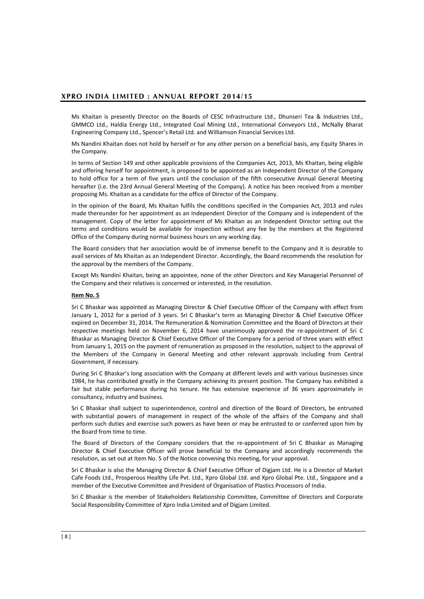Ms Khaitan is presently Director on the Boards of CESC Infrastructure Ltd., Dhunseri Tea & Industries Ltd., GMMCO Ltd., Haldia Energy Ltd., Integrated Coal Mining Ltd., International Conveyors Ltd., McNally Bharat Engineering Company Ltd., Spencer's Retail Ltd. and Williamson Financial Services Ltd.

Ms Nandini Khaitan does not hold by herself or for any other person on a beneficial basis, any Equity Shares in the Company.

In terms of Section 149 and other applicable provisions of the Companies Act, 2013, Ms Khaitan, being eligible and offering herself for appointment, is proposed to be appointed as an Independent Director of the Company to hold office for a term of five years until the conclusion of the fifth consecutive Annual General Meeting hereafter (i.e. the 23rd Annual General Meeting of the Company). A notice has been received from a member proposing Ms. Khaitan as a candidate for the office of Director of the Company.

In the opinion of the Board, Ms Khaitan fulfils the conditions specified in the Companies Act, 2013 and rules made thereunder for her appointment as an Independent Director of the Company and is independent of the management. Copy of the letter for appointment of Ms Khaitan as an Independent Director setting out the terms and conditions would be available for inspection without any fee by the members at the Registered Office of the Company during normal business hours on any working day.

The Board considers that her association would be of immense benefit to the Company and it is desirable to avail services of Ms Khaitan as an Independent Director. Accordingly, the Board recommends the resolution for the approval by the members of the Company.

Except Ms Nandini Khaitan, being an appointee, none of the other Directors and Key Managerial Personnel of the Company and their relatives is concerned or interested, in the resolution.

#### **Item No. 5**

Sri C Bhaskar was appointed as Managing Director & Chief Executive Officer of the Company with effect from January 1, 2012 for a period of 3 years. Sri C Bhaskar's term as Managing Director & Chief Executive Officer expired on December 31, 2014. The Remuneration & Nomination Committee and the Board of Directors at their respective meetings held on November 6, 2014 have unanimously approved the re-appointment of Sri C Bhaskar as Managing Director & Chief Executive Officer of the Company for a period of three years with effect from January 1, 2015 on the payment of remuneration as proposed in the resolution, subject to the approval of the Members of the Company in General Meeting and other relevant approvals including from Central Government, if necessary.

During Sri C Bhaskar's long association with the Company at different levels and with various businesses since 1984, he has contributed greatly in the Company achieving its present position. The Company has exhibited a fair but stable performance during his tenure. He has extensive experience of 36 years approximately in consultancy, industry and business.

Sri C Bhaskar shall subject to superintendence, control and direction of the Board of Directors, be entrusted with substantial powers of management in respect of the whole of the affairs of the Company and shall perform such duties and exercise such powers as have been or may be entrusted to or conferred upon him by the Board from time to time.

The Board of Directors of the Company considers that the re-appointment of Sri C Bhaskar as Managing Director & Chief Executive Officer will prove beneficial to the Company and accordingly recommends the resolution, as set out at Item No. 5 of the Notice convening this meeting, for your approval.

Sri C Bhaskar is also the Managing Director & Chief Executive Officer of Digjam Ltd. He is a Director of Market Cafe Foods Ltd., Prosperous Healthy Life Pvt. Ltd., Xpro Global Ltd. and Xpro Global Pte. Ltd., Singapore and a member of the Executive Committee and President of Organisation of Plastics Processors of India.

Sri C Bhaskar is the member of Stakeholders Relationship Committee, Committee of Directors and Corporate Social Responsibility Committee of Xpro India Limited and of Digjam Limited.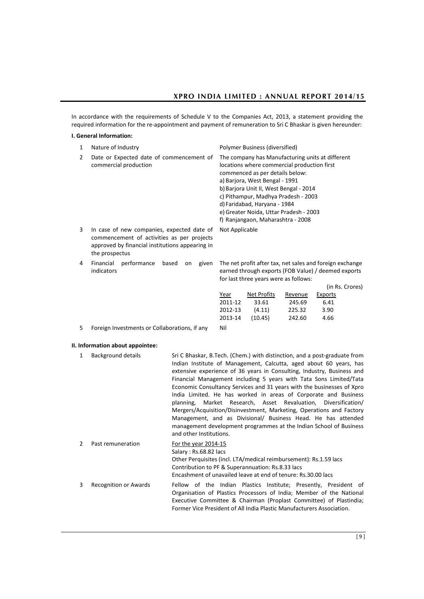In accordance with the requirements of Schedule V to the Companies Act, 2013, a statement providing the required information for the re-appointment and payment of remuneration to Sri C Bhaskar is given hereunder:

## **I. General Information:**

| 1                                                                                                                                                                  | Nature of Industry                                                | Polymer Business (diversified)                                                                                                                                                                                                                                                                                                                                       |  |
|--------------------------------------------------------------------------------------------------------------------------------------------------------------------|-------------------------------------------------------------------|----------------------------------------------------------------------------------------------------------------------------------------------------------------------------------------------------------------------------------------------------------------------------------------------------------------------------------------------------------------------|--|
| 2                                                                                                                                                                  | Date or Expected date of commencement of<br>commercial production | The company has Manufacturing units at different<br>locations where commercial production first<br>commenced as per details below:<br>a) Barjora, West Bengal - 1991<br>b) Barjora Unit II, West Bengal - 2014<br>c) Pithampur, Madhya Pradesh - 2003<br>d) Faridabad, Haryana - 1984<br>e) Greater Noida, Uttar Pradesh - 2003<br>f) Ranjangaon, Maharashtra - 2008 |  |
| 3<br>In case of new companies, expected date of<br>commencement of activities as per projects<br>approved by financial institutions appearing in<br>the prospectus |                                                                   | Not Applicable                                                                                                                                                                                                                                                                                                                                                       |  |
| 4                                                                                                                                                                  | Financial<br>performance<br>based<br>given<br>on<br>indicators    | The net profit after tax, net sales and foreign exchange<br>earned through exports (FOB Value) / deemed exports<br>for last three years were as follows:                                                                                                                                                                                                             |  |

|    |                                               |         |             |         |         | (in Rs. Crores) |
|----|-----------------------------------------------|---------|-------------|---------|---------|-----------------|
|    |                                               | Year    | Net Profits | Revenue | Exports |                 |
|    |                                               | 2011-12 | 33.61       | 245.69  | 6.41    |                 |
|    |                                               | 2012-13 | (4.11)      | 225.32  | 3.90    |                 |
|    |                                               | 2013-14 | (10.45)     | 242.60  | 4.66    |                 |
| 5. | Foreign Investments or Collaborations, if any | Nil     |             |         |         |                 |

## **II. Information about appointee:**

| 1 | Background details    | Sri C Bhaskar, B.Tech. (Chem.) with distinction, and a post-graduate from<br>Indian Institute of Management, Calcutta, aged about 60 years, has<br>extensive experience of 36 years in Consulting, Industry, Business and<br>Financial Management including 5 years with Tata Sons Limited/Tata<br>Economic Consultancy Services and 31 years with the businesses of Xpro<br>India Limited. He has worked in areas of Corporate and Business<br>planning, Market Research, Asset Revaluation, Diversification/<br>Mergers/Acquisition/Disinvestment, Marketing, Operations and Factory<br>Management, and as Divisional/ Business Head. He has attended<br>management development programmes at the Indian School of Business<br>and other Institutions. |
|---|-----------------------|----------------------------------------------------------------------------------------------------------------------------------------------------------------------------------------------------------------------------------------------------------------------------------------------------------------------------------------------------------------------------------------------------------------------------------------------------------------------------------------------------------------------------------------------------------------------------------------------------------------------------------------------------------------------------------------------------------------------------------------------------------|
| 2 | Past remuneration     | For the year 2014-15<br>Salary: Rs.68.82 lacs<br>Other Perquisites (incl. LTA/medical reimbursement): Rs.1.59 lacs<br>Contribution to PF & Superannuation: Rs.8.33 lacs<br>Encashment of unavailed leave at end of tenure: Rs.30.00 lacs                                                                                                                                                                                                                                                                                                                                                                                                                                                                                                                 |
| 3 | Recognition or Awards | Fellow of the Indian Plastics Institute; Presently, President of<br>Organisation of Plastics Processors of India; Member of the National<br>Executive Committee & Chairman (Proplast Committee) of Plastindia;<br>Former Vice President of All India Plastic Manufacturers Association.                                                                                                                                                                                                                                                                                                                                                                                                                                                                  |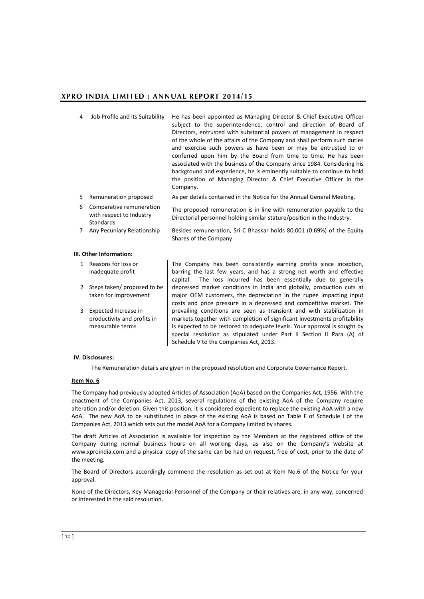- 4 Job Profile and its Suitability He has been appointed as Managing Director & Chief Executive Officer subject to the superintendence, control and direction of Board of Directors, entrusted with substantial powers of management in respect of the whole of the affairs of the Company and shall perform such duties and exercise such powers as have been or may be entrusted to or conferred upon him by the Board from time to time. He has been associated with the business of the Company since 1984. Considering his background and experience, he is eminently suitable to continue to hold the position of Managing Director & Chief Executive Officer in the Company.
- 5 Remuneration proposed As per details contained in the Notice for the Annual General Meeting.
- 6 Comparative remuneration with respect to Industry Standards The proposed remuneration is in line with remuneration payable to the Directorial personnel holding similar stature/position in the Industry.
- 7 Any Pecuniary Relationship Besides remuneration, Sri C Bhaskar holds 80,001 (0.69%) of the Equity Shares of the Company

#### **III. Other Information:**

- 1 Reasons for loss or inadequate profit
- 2 Steps taken/ proposed to be taken for improvement
- 3 Expected Increase in productivity and profits in measurable terms

The Company has been consistently earning profits since inception, barring the last few years, and has a strong net worth and effective capital. The loss incurred has been essentially due to generally depressed market conditions in India and globally, production cuts at major OEM customers, the depreciation in the rupee impacting input costs and price pressure in a depressed and competitive market. The prevailing conditions are seen as transient and with stabilization in markets together with completion of significant investments profitability is expected to be restored to adequate levels. Your approval is sought by special resolution as stipulated under Part II Section II Para (A) of Schedule V to the Companies Act, 2013.

#### **IV. Disclosures:**

The Remuneration details are given in the proposed resolution and Corporate Governance Report.

## **Item No. 6**

The Company had previously adopted Articles of Association (AoA) based on the Companies Act, 1956. With the enactment of the Companies Act, 2013, several regulations of the existing AoA of the Company require alteration and/or deletion. Given this position, it is considered expedient to replace the existing AoA with a new AoA. The new AoA to be substituted in place of the existing AoA is based on Table F of Schedule I of the Companies Act, 2013 which sets out the model AoA for a Company limited by shares.

The draft Articles of Association is available for inspection by the Members at the registered office of the Company during normal business hours on all working days, as also on the Company's website at [www.xproindia.com](http://www.xproindia.com/) and a physical copy of the same can be had on request, free of cost, prior to the date of the meeting.

The Board of Directors accordingly commend the resolution as set out at item No.6 of the Notice for your approval.

None of the Directors, Key Managerial Personnel of the Company or their relatives are, in any way, concerned or interested in the said resolution.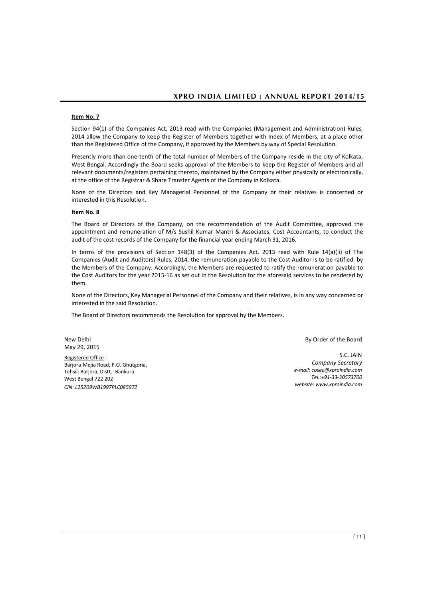## **Item No. 7**

Section 94(1) of the Companies Act, 2013 read with the Companies (Management and Administration) Rules, 2014 allow the Company to keep the Register of Members together with Index of Members, at a place other than the Registered Office of the Company, if approved by the Members by way of Special Resolution.

Presently more than one-tenth of the total number of Members of the Company reside in the city of Kolkata, West Bengal. Accordingly the Board seeks approval of the Members to keep the Register of Members and all relevant documents/registers pertaining thereto, maintained by the Company either physically or electronically, at the office of the Registrar & Share Transfer Agents of the Company in Kolkata.

None of the Directors and Key Managerial Personnel of the Company or their relatives is concerned or interested in this Resolution.

## **Item No. 8**

The Board of Directors of the Company, on the recommendation of the Audit Committee, approved the appointment and remuneration of M/s Sushil Kumar Mantri & Associates, Cost Accountants, to conduct the audit of the cost records of the Company for the financial year ending March 31, 2016.

In terms of the provisions of Section 148(3) of the Companies Act, 2013 read with Rule 14(a)(ii) of The Companies (Audit and Auditors) Rules, 2014, the remuneration payable to the Cost Auditor is to be ratified by the Members of the Company. Accordingly, the Members are requested to ratify the remuneration payable to the Cost Auditors for the year 2015-16 as set out in the Resolution for the aforesaid services to be rendered by them.

None of the Directors, Key Managerial Personnel of the Company and their relatives, is in any way concerned or interested in the said Resolution.

The Board of Directors recommends the Resolution for approval by the Members.

New Delhi May 29, 2015

Registered Office : Barjora-Mejia Road, P.O. Ghutgoria, Tehsil: Barjora, Distt.: Bankura West Bengal 722 202 *CIN: L25209WB1997PLC085972*

By Order of the Board

S.C. JAIN *Company Secretary e-mail[: cosec@xproindia.com](mailto:cosec@xproindia.com) Tel.:+91-33-30573700 website: www.xproindia.com*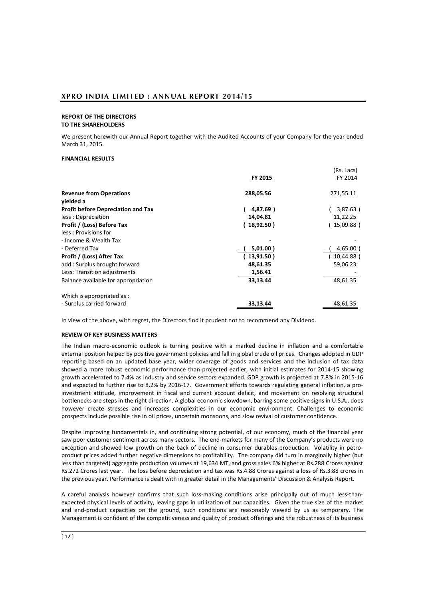#### **REPORT OF THE DIRECTORS TO THE SHAREHOLDERS**

We present herewith our Annual Report together with the Audited Accounts of your Company for the year ended March 31, 2015.

## **FINANCIAL RESULTS**

| FY 2015<br><b>Revenue from Operations</b><br>288,05.56<br>271,55.11<br>vielded a<br><b>Profit before Depreciation and Tax</b><br>4,87.69)<br>less : Depreciation<br>14,04.81<br>11,22.25<br>Profit / (Loss) Before Tax<br>(15,09.88)<br>18,92.50) | (Rs. Lacs)  |
|---------------------------------------------------------------------------------------------------------------------------------------------------------------------------------------------------------------------------------------------------|-------------|
|                                                                                                                                                                                                                                                   | FY 2014     |
|                                                                                                                                                                                                                                                   |             |
|                                                                                                                                                                                                                                                   |             |
|                                                                                                                                                                                                                                                   | 3,87.63)    |
|                                                                                                                                                                                                                                                   |             |
|                                                                                                                                                                                                                                                   |             |
| less: Provisions for                                                                                                                                                                                                                              |             |
| - Income & Wealth Tax                                                                                                                                                                                                                             |             |
| - Deferred Tax<br>5,01.00)                                                                                                                                                                                                                        | $4,65.00$ ) |
| Profit / (Loss) After Tax<br>13,91.50)                                                                                                                                                                                                            | 10,44.88)   |
| add: Surplus brought forward<br>48,61.35<br>59,06.23                                                                                                                                                                                              |             |
| Less: Transition adjustments<br>1,56.41                                                                                                                                                                                                           |             |
| 33,13.44<br>48,61.35<br>Balance available for appropriation                                                                                                                                                                                       |             |
| Which is appropriated as:                                                                                                                                                                                                                         |             |
| - Surplus carried forward<br>33,13.44<br>48,61.35                                                                                                                                                                                                 |             |

In view of the above, with regret, the Directors find it prudent not to recommend any Dividend.

## **REVIEW OF KEY BUSINESS MATTERS**

The Indian macro-economic outlook is turning positive with a marked decline in inflation and a comfortable external position helped by positive government policies and fall in global crude oil prices. Changes adopted in GDP reporting based on an updated base year, wider coverage of goods and services and the inclusion of tax data showed a more robust economic performance than projected earlier, with initial estimates for 2014-15 showing growth accelerated to 7.4% as industry and service sectors expanded. GDP growth is projected at 7.8% in 2015-16 and expected to further rise to 8.2% by 2016-17. Government efforts towards regulating general inflation, a proinvestment attitude, improvement in fiscal and current account deficit, and movement on resolving structural bottlenecks are steps in the right direction. A global economic slowdown, barring some positive signs in U.S.A., does however create stresses and increases complexities in our economic environment. Challenges to economic prospects include possible rise in oil prices, uncertain monsoons, and slow revival of customer confidence.

Despite improving fundamentals in, and continuing strong potential, of our economy, much of the financial year saw poor customer sentiment across many sectors. The end-markets for many of the Company's products were no exception and showed low growth on the back of decline in consumer durables production. Volatility in petroproduct prices added further negative dimensions to profitability. The company did turn in marginally higher (but less than targeted) aggregate production volumes at 19,634 MT, and gross sales 6% higher at Rs.288 Crores against Rs.272 Crores last year. The loss before depreciation and tax was Rs.4.88 Crores against a loss of Rs.3.88 crores in the previous year. Performance is dealt with in greater detail in the Managements' Discussion & Analysis Report.

A careful analysis however confirms that such loss-making conditions arise principally out of much less-thanexpected physical levels of activity, leaving gaps in utilization of our capacities. Given the true size of the market and end-product capacities on the ground, such conditions are reasonably viewed by us as temporary. The Management is confident of the competitiveness and quality of product offerings and the robustness of its business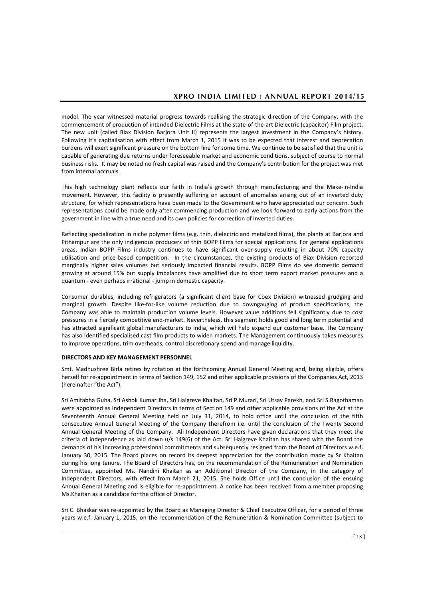model. The year witnessed material progress towards realising the strategic direction of the Company, with the commencement of production of intended Dielectric Films at the state-of-the-art Dielectric (capacitor) Film project. The new unit (called Biax Division Barjora Unit II) represents the largest investment in the Company's history. Following it's capitalisation with effect from March 1, 2015 it was to be expected that interest and deprecation burdens will exert significant pressure on the bottom line for some time. We continue to be satisfied that the unit is capable of generating due returns under foreseeable market and economic conditions, subject of course to normal business risks. It may be noted no fresh capital was raised and the Company's contribution for the project was met from internal accruals.

This high technology plant reflects our faith in India's growth through manufacturing and the Make-in-India movement. However, this facility is presently suffering on account of anomalies arising out of an inverted duty structure, for which representations have been made to the Government who have appreciated our concern. Such representations could be made only after commencing production and we look forward to early actions from the government in line with a true need and its own policies for correction of inverted duties.

Reflecting specialization in niche polymer films (e.g. thin, dielectric and metalized films), the plants at Barjora and Pithampur are the only indigenous producers of thin BOPP Films for special applications. For general applications areas, Indian BOPP Films industry continues to have significant over-supply resulting in about 70% capacity utilisation and price-based competition. In the circumstances, the existing products of Biax Division reported marginally higher sales volumes but seriously impacted financial results. BOPP Films do see domestic demand growing at around 15% but supply imbalances have amplified due to short term export market pressures and a quantum - even perhaps irrational - jump in domestic capacity.

Consumer durables, including refrigerators (a significant client base for Coex Division) witnessed grudging and marginal growth. Despite like-for-like volume reduction due to downgauging of product specifications, the Company was able to maintain production volume levels. However value additions fell significantly due to cost pressures in a fiercely competitive end-market. Nevertheless, this segment holds good and long term potential and has attracted significant global manufacturers to India, which will help expand our customer base. The Company has also identified specialised cast film products to widen markets. The Management continuously takes measures to improve operations, trim overheads, control discretionary spend and manage liquidity.

## **DIRECTORS AND KEY MANAGEMENT PERSONNEL**

Smt. Madhushree Birla retires by rotation at the forthcoming Annual General Meeting and, being eligible, offers herself for re-appointment in terms of Section 149, 152 and other applicable provisions of the Companies Act, 2013 (hereinafter "the Act").

Sri Amitabha Guha, Sri Ashok Kumar Jha, Sri Haigreve Khaitan, Sri P.Murari, Sri Utsav Parekh, and Sri S.Ragothaman were appointed as Independent Directors in terms of Section 149 and other applicable provisions of the Act at the Seventeenth Annual General Meeting held on July 31, 2014, to hold office until the conclusion of the fifth consecutive Annual General Meeting of the Company therefrom i.e. until the conclusion of the Twenty Second Annual General Meeting of the Company. All Independent Directors have given declarations that they meet the criteria of independence as laid down u/s 149(6) of the Act. Sri Haigreve Khaitan has shared with the Board the demands of his increasing professional commitments and subsequently resigned from the Board of Directors w.e.f. January 30, 2015. The Board places on record its deepest appreciation for the contribution made by Sr Khaitan during his long tenure. The Board of Directors has, on the recommendation of the Remuneration and Nomination Committee, appointed Ms. Nandini Khaitan as an Additional Director of the Company, in the category of Independent Directors, with effect from March 21, 2015. She holds Office until the conclusion of the ensuing Annual General Meeting and is eligible for re-appointment. A notice has been received from a member proposing Ms.Khaitan as a candidate for the office of Director.

Sri C. Bhaskar was re-appointed by the Board as Managing Director & Chief Executive Officer, for a period of three years w.e.f. January 1, 2015, on the recommendation of the Remuneration & Nomination Committee (subject to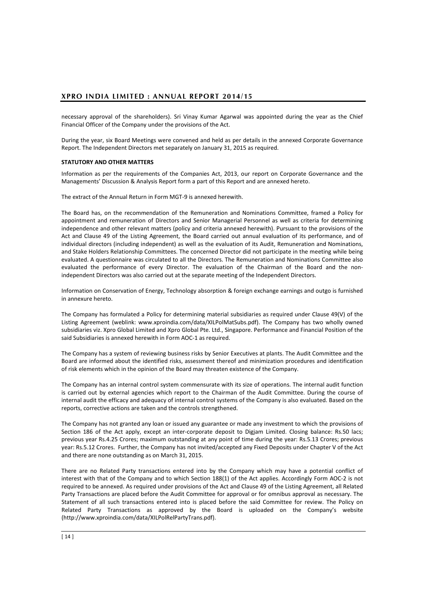necessary approval of the shareholders). Sri Vinay Kumar Agarwal was appointed during the year as the Chief Financial Officer of the Company under the provisions of the Act.

During the year, six Board Meetings were convened and held as per details in the annexed Corporate Governance Report. The Independent Directors met separately on January 31, 2015 as required.

## **STATUTORY AND OTHER MATTERS**

Information as per the requirements of the Companies Act, 2013, our report on Corporate Governance and the Managements' Discussion & Analysis Report form a part of this Report and are annexed hereto.

The extract of the Annual Return in Form MGT-9 is annexed herewith.

The Board has, on the recommendation of the Remuneration and Nominations Committee, framed a Policy for appointment and remuneration of Directors and Senior Managerial Personnel as well as criteria for determining independence and other relevant matters (policy and criteria annexed herewith). Pursuant to the provisions of the Act and Clause 49 of the Listing Agreement, the Board carried out annual evaluation of its performance, and of individual directors (including independent) as well as the evaluation of its Audit, Remuneration and Nominations, and Stake Holders Relationship Committees. The concerned Director did not participate in the meeting while being evaluated. A questionnaire was circulated to all the Directors. The Remuneration and Nominations Committee also evaluated the performance of every Director. The evaluation of the Chairman of the Board and the nonindependent Directors was also carried out at the separate meeting of the Independent Directors.

Information on Conservation of Energy, Technology absorption & foreign exchange earnings and outgo is furnished in annexure hereto.

The Company has formulated a Policy for determining material subsidiaries as required under Clause 49(V) of the Listing Agreement (weblink: www.xproindia.com/data/XILPolMatSubs.pdf). The Company has two wholly owned subsidiaries viz. Xpro Global Limited and Xpro Global Pte. Ltd., Singapore. Performance and Financial Position of the said Subsidiaries is annexed herewith in Form AOC-1 as required.

The Company has a system of reviewing business risks by Senior Executives at plants. The Audit Committee and the Board are informed about the identified risks, assessment thereof and minimization procedures and identification of risk elements which in the opinion of the Board may threaten existence of the Company.

The Company has an internal control system commensurate with its size of operations. The internal audit function is carried out by external agencies which report to the Chairman of the Audit Committee. During the course of internal audit the efficacy and adequacy of internal control systems of the Company is also evaluated. Based on the reports, corrective actions are taken and the controls strengthened.

The Company has not granted any loan or issued any guarantee or made any investment to which the provisions of Section 186 of the Act apply, except an inter-corporate deposit to Digjam Limited. Closing balance: Rs.50 lacs; previous year Rs.4.25 Crores; maximum outstanding at any point of time during the year: Rs.5.13 Crores; previous year: Rs.5.12 Crores. Further, the Company has not invited/accepted any Fixed Deposits under Chapter V of the Act and there are none outstanding as on March 31, 2015.

There are no Related Party transactions entered into by the Company which may have a potential conflict of interest with that of the Company and to which Section 188(1) of the Act applies. Accordingly Form AOC-2 is not required to be annexed. As required under provisions of the Act and Clause 49 of the Listing Agreement, all Related Party Transactions are placed before the Audit Committee for approval or for omnibus approval as necessary. The Statement of all such transactions entered into is placed before the said Committee for review. The Policy on Related Party Transactions as approved by the Board is uploaded on the Company's website [\(http://www.xproindia.com/data/XILPolRelPartyTrans.pdf\)](http://www.xproindia.com/data/XILPolRelPartyTrans.pdf).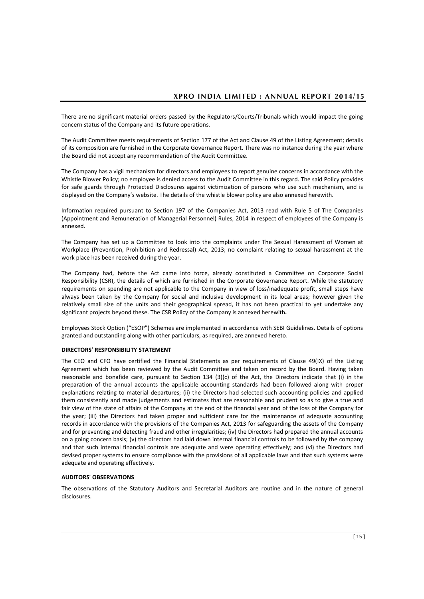There are no significant material orders passed by the Regulators/Courts/Tribunals which would impact the going concern status of the Company and its future operations.

The Audit Committee meets requirements of Section 177 of the Act and Clause 49 of the Listing Agreement; details of its composition are furnished in the Corporate Governance Report. There was no instance during the year where the Board did not accept any recommendation of the Audit Committee.

The Company has a vigil mechanism for directors and employees to report genuine concerns in accordance with the Whistle Blower Policy; no employee is denied access to the Audit Committee in this regard. The said Policy provides for safe guards through Protected Disclosures against victimization of persons who use such mechanism, and is displayed on the Company's website. The details of the whistle blower policy are also annexed herewith.

Information required pursuant to Section 197 of the Companies Act, 2013 read with Rule 5 of The Companies (Appointment and Remuneration of Managerial Personnel) Rules, 2014 in respect of employees of the Company is annexed.

The Company has set up a Committee to look into the complaints under The Sexual Harassment of Women at Workplace (Prevention, Prohibition and Redressal) Act, 2013; no complaint relating to sexual harassment at the work place has been received during the year.

The Company had, before the Act came into force, already constituted a Committee on Corporate Social Responsibility (CSR), the details of which are furnished in the Corporate Governance Report. While the statutory requirements on spending are not applicable to the Company in view of loss/inadequate profit, small steps have always been taken by the Company for social and inclusive development in its local areas; however given the relatively small size of the units and their geographical spread, it has not been practical to yet undertake any significant projects beyond these. The CSR Policy of the Company is annexed herewith**.** 

Employees Stock Option ("ESOP") Schemes are implemented in accordance with SEBI Guidelines. Details of options granted and outstanding along with other particulars, as required, are annexed hereto.

## **DIRECTORS' RESPONSIBILITY STATEMENT**

The CEO and CFO have certified the Financial Statements as per requirements of Clause 49(IX) of the Listing Agreement which has been reviewed by the Audit Committee and taken on record by the Board. Having taken reasonable and bonafide care, pursuant to Section 134 (3)(c) of the Act, the Directors indicate that (i) in the preparation of the annual accounts the applicable accounting standards had been followed along with proper explanations relating to material departures; (ii) the Directors had selected such accounting policies and applied them consistently and made judgements and estimates that are reasonable and prudent so as to give a true and fair view of the state of affairs of the Company at the end of the financial year and of the loss of the Company for the year; (iii) the Directors had taken proper and sufficient care for the maintenance of adequate accounting records in accordance with the provisions of the Companies Act, 2013 for safeguarding the assets of the Company and for preventing and detecting fraud and other irregularities; (iv) the Directors had prepared the annual accounts on a going concern basis; (v) the directors had laid down internal financial controls to be followed by the company and that such internal financial controls are adequate and were operating effectively; and (vi) the Directors had devised proper systems to ensure compliance with the provisions of all applicable laws and that such systems were adequate and operating effectively.

## **AUDITORS' OBSERVATIONS**

The observations of the Statutory Auditors and Secretarial Auditors are routine and in the nature of general disclosures.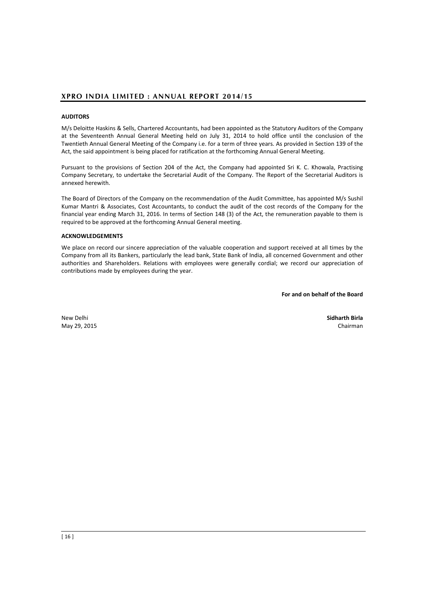## **AUDITORS**

M/s Deloitte Haskins & Sells, Chartered Accountants, had been appointed as the Statutory Auditors of the Company at the Seventeenth Annual General Meeting held on July 31, 2014 to hold office until the conclusion of the Twentieth Annual General Meeting of the Company i.e. for a term of three years. As provided in Section 139 of the Act, the said appointment is being placed for ratification at the forthcoming Annual General Meeting.

Pursuant to the provisions of Section 204 of the Act, the Company had appointed Sri K. C. Khowala, Practising Company Secretary, to undertake the Secretarial Audit of the Company. The Report of the Secretarial Auditors is annexed herewith.

The Board of Directors of the Company on the recommendation of the Audit Committee, has appointed M/s Sushil Kumar Mantri & Associates, Cost Accountants, to conduct the audit of the cost records of the Company for the financial year ending March 31, 2016. In terms of Section 148 (3) of the Act, the remuneration payable to them is required to be approved at the forthcoming Annual General meeting.

## **ACKNOWLEDGEMENTS**

We place on record our sincere appreciation of the valuable cooperation and support received at all times by the Company from all its Bankers, particularly the lead bank, State Bank of India, all concerned Government and other authorities and Shareholders. Relations with employees were generally cordial; we record our appreciation of contributions made by employees during the year.

**For and on behalf of the Board**

New Delhi **Sidharth Birla**  May 29, 2015 Chairman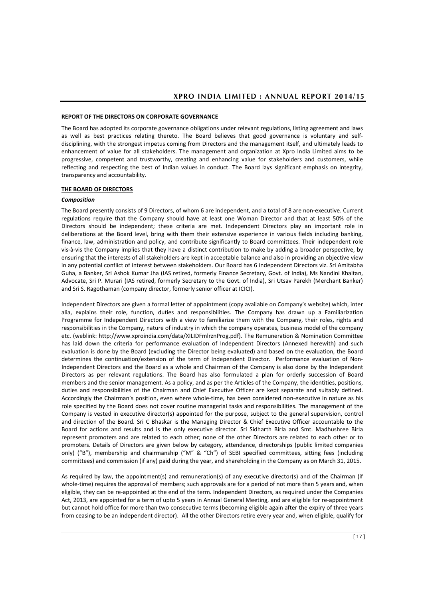#### **REPORT OF THE DIRECTORS ON CORPORATE GOVERNANCE**

The Board has adopted its corporate governance obligations under relevant regulations, listing agreement and laws as well as best practices relating thereto. The Board believes that good governance is voluntary and selfdisciplining, with the strongest impetus coming from Directors and the management itself, and ultimately leads to enhancement of value for all stakeholders. The management and organization at Xpro India Limited aims to be progressive, competent and trustworthy, creating and enhancing value for stakeholders and customers, while reflecting and respecting the best of Indian values in conduct. The Board lays significant emphasis on integrity, transparency and accountability.

#### **THE BOARD OF DIRECTORS**

### *Composition*

The Board presently consists of 9 Directors, of whom 6 are independent, and a total of 8 are non-executive. Current regulations require that the Company should have at least one Woman Director and that at least 50% of the Directors should be independent; these criteria are met. Independent Directors play an important role in deliberations at the Board level, bring with them their extensive experience in various fields including banking, finance, law, administration and policy, and contribute significantly to Board committees. Their independent role vis-à-vis the Company implies that they have a distinct contribution to make by adding a broader perspective, by ensuring that the interests of all stakeholders are kept in acceptable balance and also in providing an objective view in any potential conflict of interest between stakeholders. Our Board has 6 independent Directors viz. Sri Amitabha Guha, a Banker, Sri Ashok Kumar Jha (IAS retired, formerly Finance Secretary, Govt. of India), Ms Nandini Khaitan, Advocate, Sri P. Murari (IAS retired, formerly Secretary to the Govt. of India), Sri Utsav Parekh (Merchant Banker) and Sri S. Ragothaman (company director, formerly senior officer at ICICI).

Independent Directors are given a formal letter of appointment (copy available on Company's website) which, inter alia, explains their role, function, duties and responsibilities. The Company has drawn up a Familiarization Programme for Independent Directors with a view to familiarize them with the Company, their roles, rights and responsibilities in the Company, nature of industry in which the company operates, business model of the company etc. (weblink: [http://www.xproindia.com/data/XILIDFmlrznProg.pdf\)](http://www.xproindia.com/data/XILIDFmlrznProg.pdf). The Remuneration & Nomination Committee has laid down the criteria for performance evaluation of Independent Directors (Annexed herewith) and such evaluation is done by the Board (excluding the Director being evaluated) and based on the evaluation, the Board determines the continuation/extension of the term of Independent Director. Performance evaluation of Non-Independent Directors and the Board as a whole and Chairman of the Company is also done by the Independent Directors as per relevant regulations. The Board has also formulated a plan for orderly succession of Board members and the senior management. As a policy, and as per the Articles of the Company, the identities, positions, duties and responsibilities of the Chairman and Chief Executive Officer are kept separate and suitably defined. Accordingly the Chairman's position, even where whole-time, has been considered non-executive in nature as his role specified by the Board does not cover routine managerial tasks and responsibilities. The management of the Company is vested in executive director(s) appointed for the purpose, subject to the general supervision, control and direction of the Board. Sri C Bhaskar is the Managing Director & Chief Executive Officer accountable to the Board for actions and results and is the only executive director. Sri Sidharth Birla and Smt. Madhushree Birla represent promoters and are related to each other; none of the other Directors are related to each other or to promoters. Details of Directors are given below by category, attendance, directorships (public limited companies only) ("B"), membership and chairmanship ("M" & "Ch") of SEBI specified committees, sitting fees (including committees) and commission (if any) paid during the year, and shareholding in the Company as on March 31, 2015.

As required by law, the appointment(s) and remuneration(s) of any executive director(s) and of the Chairman (if whole-time) requires the approval of members; such approvals are for a period of not more than 5 years and, when eligible, they can be re-appointed at the end of the term. Independent Directors, as required under the Companies Act, 2013, are appointed for a term of upto 5 years in Annual General Meeting, and are eligible for re-appointment but cannot hold office for more than two consecutive terms (becoming eligible again after the expiry of three years from ceasing to be an independent director). All the other Directors retire every year and, when eligible, qualify for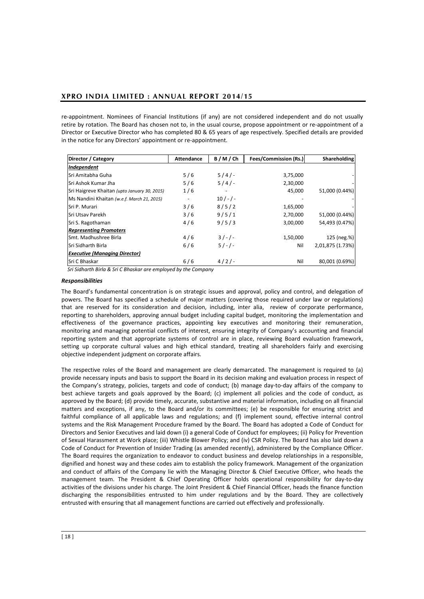re-appointment. Nominees of Financial Institutions (if any) are not considered independent and do not usually retire by rotation. The Board has chosen not to, in the usual course, propose appointment or re-appointment of a Director or Executive Director who has completed 80 & 65 years of age respectively. Specified details are provided in the notice for any Directors' appointment or re-appointment.

| Director / Category                          | <b>Attendance</b> | B/M/Ch  | <b>Fees/Commission (Rs.)</b> | <b>Shareholding</b> |
|----------------------------------------------|-------------------|---------|------------------------------|---------------------|
| Independent                                  |                   |         |                              |                     |
| <b>Sri Amitabha Guha</b>                     | 5/6               | $5/4/-$ | 3,75,000                     |                     |
| <b>Sri Ashok Kumar Jha</b>                   | 5/6               | $5/4/-$ | 2,30,000                     |                     |
| Sri Haigreve Khaitan (upto January 30, 2015) | 1/6               |         | 45,000                       | 51,000 (0.44%)      |
| Ms Nandini Khaitan (w.e.f. March 21, 2015)   |                   | $10/-/$ |                              |                     |
| Sri P. Murari                                | 3/6               | 8/5/2   | 1,65,000                     |                     |
| <b>Sri Utsav Parekh</b>                      | 3/6               | 9/5/1   | 2,70,000                     | 51,000 (0.44%)      |
| Sri S. Ragothaman                            | 4/6               | 9/5/3   | 3,00,000                     | 54,493 (0.47%)      |
| <b>Representing Promoters</b>                |                   |         |                              |                     |
| <b>I</b> Smt. Madhushree Birla               | 4/6               | $3/-/-$ | 1,50,000                     | 125 (neg.%)         |
| Sri Sidharth Birla                           | 6/6               | $5/-/-$ | Nil                          | 2,01,875 (1.73%)    |
| <b>Executive (Managing Director)</b>         |                   |         |                              |                     |
| Sri C Bhaskar                                | 6/6               | $4/2/-$ | Nil                          | 80,001 (0.69%)      |

*Sri Sidharth Birla & Sri C Bhaskar are employed by the Company*

### *Responsibilities*

The Board's fundamental concentration is on strategic issues and approval, policy and control, and delegation of powers. The Board has specified a schedule of major matters (covering those required under law or regulations) that are reserved for its consideration and decision, including, inter alia, review of corporate performance, reporting to shareholders, approving annual budget including capital budget, monitoring the implementation and effectiveness of the governance practices, appointing key executives and monitoring their remuneration, monitoring and managing potential conflicts of interest, ensuring integrity of Company's accounting and financial reporting system and that appropriate systems of control are in place, reviewing Board evaluation framework, setting up corporate cultural values and high ethical standard, treating all shareholders fairly and exercising objective independent judgment on corporate affairs.

The respective roles of the Board and management are clearly demarcated. The management is required to (a) provide necessary inputs and basis to support the Board in its decision making and evaluation process in respect of the Company's strategy, policies, targets and code of conduct; (b) manage day-to-day affairs of the company to best achieve targets and goals approved by the Board; (c) implement all policies and the code of conduct, as approved by the Board; (d) provide timely, accurate, substantive and material information, including on all financial matters and exceptions, if any, to the Board and/or its committees; (e) be responsible for ensuring strict and faithful compliance of all applicable laws and regulations; and (f) implement sound, effective internal control systems and the Risk Management Procedure framed by the Board. The Board has adopted a Code of Conduct for Directors and Senior Executives and laid down (i) a general Code of Conduct for employees; (ii) Policy for Prevention of Sexual Harassment at Work place; (iii) Whistle Blower Policy; and (iv) CSR Policy. The Board has also laid down a Code of Conduct for Prevention of Insider Trading (as amended recently), administered by the Compliance Officer. The Board requires the organization to endeavor to conduct business and develop relationships in a responsible, dignified and honest way and these codes aim to establish the policy framework. Management of the organization and conduct of affairs of the Company lie with the Managing Director & Chief Executive Officer, who heads the management team. The President & Chief Operating Officer holds operational responsibility for day-to-day activities of the divisions under his charge. The Joint President & Chief Financial Officer, heads the finance function discharging the responsibilities entrusted to him under regulations and by the Board. They are collectively entrusted with ensuring that all management functions are carried out effectively and professionally.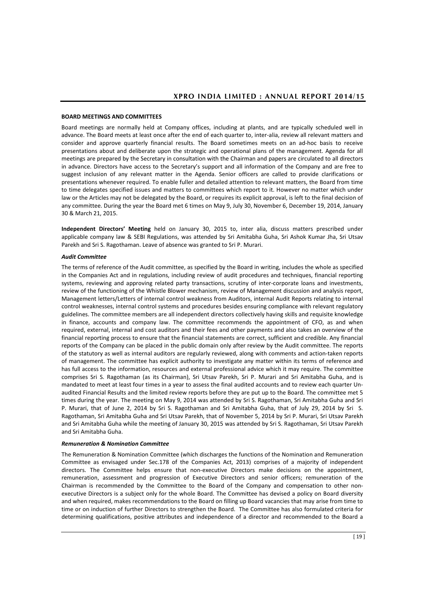#### **BOARD MEETINGS AND COMMITTEES**

Board meetings are normally held at Company offices, including at plants, and are typically scheduled well in advance. The Board meets at least once after the end of each quarter to, inter-alia, review all relevant matters and consider and approve quarterly financial results. The Board sometimes meets on an ad-hoc basis to receive presentations about and deliberate upon the strategic and operational plans of the management. Agenda for all meetings are prepared by the Secretary in consultation with the Chairman and papers are circulated to all directors in advance. Directors have access to the Secretary's support and all information of the Company and are free to suggest inclusion of any relevant matter in the Agenda. Senior officers are called to provide clarifications or presentations whenever required. To enable fuller and detailed attention to relevant matters, the Board from time to time delegates specified issues and matters to committees which report to it. However no matter which under law or the Articles may not be delegated by the Board, or requires its explicit approval, is left to the final decision of any committee. During the year the Board met 6 times on May 9, July 30, November 6, December 19, 2014, January 30 & March 21, 2015.

**Independent Directors' Meeting** held on January 30, 2015 to, inter alia, discuss matters prescribed under applicable company law & SEBI Regulations, was attended by Sri Amitabha Guha, Sri Ashok Kumar Jha, Sri Utsav Parekh and Sri S. Ragothaman. Leave of absence was granted to Sri P. Murari.

## *Audit Committee*

The terms of reference of the Audit committee, as specified by the Board in writing, includes the whole as specified in the Companies Act and in regulations, including review of audit procedures and techniques, financial reporting systems, reviewing and approving related party transactions, scrutiny of inter-corporate loans and investments, review of the functioning of the Whistle Blower mechanism, review of Management discussion and analysis report, Management letters/Letters of internal control weakness from Auditors, internal Audit Reports relating to internal control weaknesses, internal control systems and procedures besides ensuring compliance with relevant regulatory guidelines. The committee members are all independent directors collectively having skills and requisite knowledge in finance, accounts and company law. The committee recommends the appointment of CFO, as and when required, external, internal and cost auditors and their fees and other payments and also takes an overview of the financial reporting process to ensure that the financial statements are correct, sufficient and credible. Any financial reports of the Company can be placed in the public domain only after review by the Audit committee. The reports of the statutory as well as internal auditors are regularly reviewed, along with comments and action-taken reports of management. The committee has explicit authority to investigate any matter within its terms of reference and has full access to the information, resources and external professional advice which it may require. The committee comprises Sri S. Ragothaman (as its Chairman), Sri Utsav Parekh, Sri P. Murari and Sri Amitabha Guha, and is mandated to meet at least four times in a year to assess the final audited accounts and to review each quarter Unaudited Financial Results and the limited review reports before they are put up to the Board. The committee met 5 times during the year. The meeting on May 9, 2014 was attended by Sri S. Ragothaman, Sri Amitabha Guha and Sri P. Murari, that of June 2, 2014 by Sri S. Ragothaman and Sri Amitabha Guha, that of July 29, 2014 by Sri S. Ragothaman, Sri Amitabha Guha and Sri Utsav Parekh, that of November 5, 2014 by Sri P. Murari, Sri Utsav Parekh and Sri Amitabha Guha while the meeting of January 30, 2015 was attended by Sri S. Ragothaman, Sri Utsav Parekh and Sri Amitabha Guha.

#### *Remuneration & Nomination Committee*

The Remuneration & Nomination Committee (which discharges the functions of the Nomination and Remuneration Committee as envisaged under Sec.178 of the Companies Act, 2013) comprises of a majority of independent directors. The Committee helps ensure that non-executive Directors make decisions on the appointment, remuneration, assessment and progression of Executive Directors and senior officers; remuneration of the Chairman is recommended by the Committee to the Board of the Company and compensation to other nonexecutive Directors is a subject only for the whole Board. The Committee has devised a policy on Board diversity and when required, makes recommendations to the Board on filling up Board vacancies that may arise from time to time or on induction of further Directors to strengthen the Board. The Committee has also formulated criteria for determining qualifications, positive attributes and independence of a director and recommended to the Board a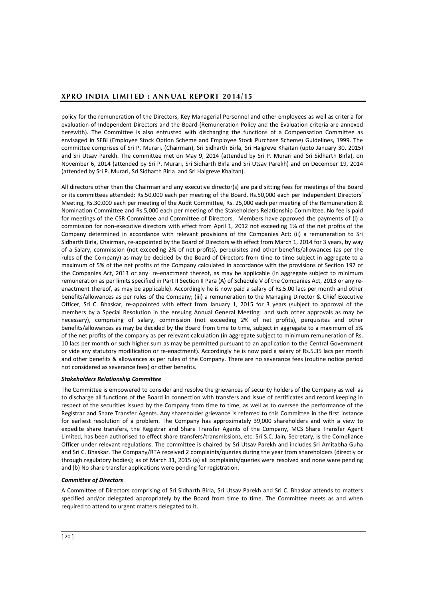policy for the remuneration of the Directors, Key Managerial Personnel and other employees as well as criteria for evaluation of Independent Directors and the Board (Remuneration Policy and the Evaluation criteria are annexed herewith). The Committee is also entrusted with discharging the functions of a Compensation Committee as envisaged in SEBI (Employee Stock Option Scheme and Employee Stock Purchase Scheme) Guidelines, 1999. The committee comprises of Sri P. Murari, (Chairman), Sri Sidharth Birla, Sri Haigreve Khaitan (upto January 30, 2015) and Sri Utsav Parekh. The committee met on May 9, 2014 (attended by Sri P. Murari and Sri Sidharth Birla), on November 6, 2014 (attended by Sri P. Murari, Sri Sidharth Birla and Sri Utsav Parekh) and on December 19, 2014 (attended by Sri P. Murari, Sri Sidharth Birla and Sri Haigreve Khaitan).

All directors other than the Chairman and any executive director(s) are paid sitting fees for meetings of the Board or its committees attended: Rs.50,000 each per meeting of the Board, Rs.50,000 each per Independent Directors' Meeting, Rs.30,000 each per meeting of the Audit Committee, Rs. 25,000 each per meeting of the Remuneration & Nomination Committee and Rs.5,000 each per meeting of the Stakeholders Relationship Committee. No fee is paid for meetings of the CSR Committee and Committee of Directors. Members have approved the payments of (i) a commission for non-executive directors with effect from April 1, 2012 not exceeding 1% of the net profits of the Company determined in accordance with relevant provisions of the Companies Act; (ii) a remuneration to Sri Sidharth Birla, Chairman, re-appointed by the Board of Directors with effect from March 1, 2014 for 3 years, by way of a Salary, commission (not exceeding 2% of net profits), perquisites and other benefits/allowances (as per the rules of the Company) as may be decided by the Board of Directors from time to time subject in aggregate to a maximum of 5% of the net profits of the Company calculated in accordance with the provisions of Section 197 of the Companies Act, 2013 or any re-enactment thereof, as may be applicable (in aggregate subject to minimum remuneration as per limits specified in Part II Section II Para (A) of Schedule V of the Companies Act, 2013 or any reenactment thereof, as may be applicable). Accordingly he is now paid a salary of Rs.5.00 lacs per month and other benefits/allowances as per rules of the Company; (iii) a remuneration to the Managing Director & Chief Executive Officer, Sri C. Bhaskar, re-appointed with effect from January 1, 2015 for 3 years (subject to approval of the members by a Special Resolution in the ensuing Annual General Meeting and such other approvals as may be necessary), comprising of salary, commission (not exceeding 2% of net profits), perquisites and other benefits/allowances as may be decided by the Board from time to time, subject in aggregate to a maximum of 5% of the net profits of the company as per relevant calculation (in aggregate subject to minimum remuneration of Rs. 10 lacs per month or such higher sum as may be permitted pursuant to an application to the Central Government or vide any statutory modification or re-enactment). Accordingly he is now paid a salary of Rs.5.35 lacs per month and other benefits & allowances as per rules of the Company. There are no severance fees (routine notice period not considered as severance fees) or other benefits.

## *Stakeholders Relationship Committee*

The Committee is empowered to consider and resolve the grievances of security holders of the Company as well as to discharge all functions of the Board in connection with transfers and issue of certificates and record keeping in respect of the securities issued by the Company from time to time, as well as to oversee the performance of the Registrar and Share Transfer Agents. Any shareholder grievance is referred to this Committee in the first instance for earliest resolution of a problem. The Company has approximately 39,000 shareholders and with a view to expedite share transfers, the Registrar and Share Transfer Agents of the Company, MCS Share Transfer Agent Limited, has been authorised to effect share transfers/transmissions, etc. Sri S.C. Jain, Secretary, is the Compliance Officer under relevant regulations. The committee is chaired by Sri Utsav Parekh and includes Sri Amitabha Guha and Sri C. Bhaskar. The Company/RTA received 2 complaints/queries during the year from shareholders (directly or through regulatory bodies); as of March 31, 2015 (a) all complaints/queries were resolved and none were pending and (b) No share transfer applications were pending for registration.

## *Committee of Directors*

A Committee of Directors comprising of Sri Sidharth Birla, Sri Utsav Parekh and Sri C. Bhaskar attends to matters specified and/or delegated appropriately by the Board from time to time. The Committee meets as and when required to attend to urgent matters delegated to it.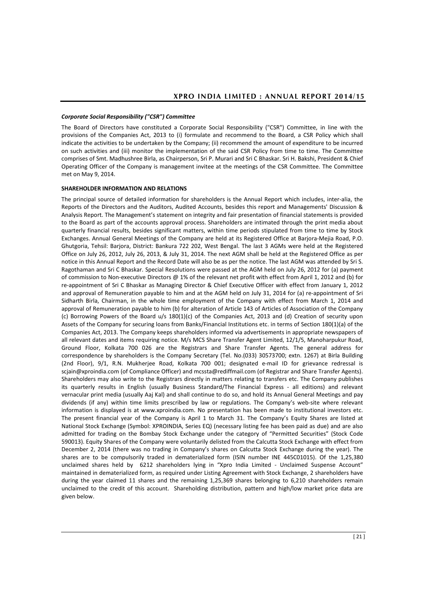#### *Corporate Social Responsibility ("CSR") Committee*

The Board of Directors have constituted a Corporate Social Responsibility ("CSR") Committee, in line with the provisions of the Companies Act, 2013 to (i) formulate and recommend to the Board, a CSR Policy which shall indicate the activities to be undertaken by the Company; (ii) recommend the amount of expenditure to be incurred on such activities and (iii) monitor the implementation of the said CSR Policy from time to time. The Committee comprises of Smt. Madhushree Birla, as Chairperson, Sri P. Murari and Sri C Bhaskar. Sri H. Bakshi, President & Chief Operating Officer of the Company is management invitee at the meetings of the CSR Committee. The Committee met on May 9, 2014.

#### **SHAREHOLDER INFORMATION AND RELATIONS**

The principal source of detailed information for shareholders is the Annual Report which includes, inter-alia, the Reports of the Directors and the Auditors, Audited Accounts, besides this report and Managements' Discussion & Analysis Report. The Management's statement on integrity and fair presentation of financial statements is provided to the Board as part of the accounts approval process. Shareholders are intimated through the print media about quarterly financial results, besides significant matters, within time periods stipulated from time to time by Stock Exchanges. Annual General Meetings of the Company are held at its Registered Office at Barjora-Mejia Road, P.O. Ghutgoria, Tehsil: Barjora, District: Bankura 722 202, West Bengal. The last 3 AGMs were held at the Registered Office on July 26, 2012, July 26, 2013, & July 31, 2014. The next AGM shall be held at the Registered Office as per notice in this Annual Report and the Record Date will also be as per the notice. The last AGM was attended by Sri S. Ragothaman and Sri C Bhaskar. Special Resolutions were passed at the AGM held on July 26, 2012 for (a) payment of commission to Non-executive Directors @ 1% of the relevant net profit with effect from April 1, 2012 and (b) for re-appointment of Sri C Bhaskar as Managing Director & Chief Executive Officer with effect from January 1, 2012 and approval of Remuneration payable to him and at the AGM held on July 31, 2014 for (a) re-appointment of Sri Sidharth Birla, Chairman, in the whole time employment of the Company with effect from March 1, 2014 and approval of Remuneration payable to him (b) for alteration of Article 143 of Articles of Association of the Company (c) Borrowing Powers of the Board u/s 180(1)(c) of the Companies Act, 2013 and (d) Creation of security upon Assets of the Company for securing loans from Banks/Financial Institutions etc. in terms of Section 180(1)(a) of the Companies Act, 2013. The Company keeps shareholders informed via advertisements in appropriate newspapers of all relevant dates and items requiring notice. M/s MCS Share Transfer Agent Limited, 12/1/5, Manoharpukur Road, Ground Floor, Kolkata 700 026 are the Registrars and Share Transfer Agents. The general address for correspondence by shareholders is the Company Secretary (Tel. No.(033) 30573700; extn. 1267) at Birla Building (2nd Floor), 9/1, R.N. Mukherjee Road, Kolkata 700 001; designated e-mail ID for grievance redressal is [scjain@xproindia.com](mailto:scjain@xproindia.com) (of Compliance Officer) and mcssta@rediffmail.com (of Registrar and Share Transfer Agents). Shareholders may also write to the Registrars directly in matters relating to transfers etc. The Company publishes its quarterly results in English (usually Business Standard/The Financial Express - all editions) and relevant vernacular print media (usually Aaj Kal) and shall continue to do so, and hold its Annual General Meetings and pay dividends (if any) within time limits prescribed by law or regulations. The Company's web-site where relevant information is displayed is at [www.xproindia.com.](http://www.xproindia.com/) No presentation has been made to institutional investors etc. The present financial year of the Company is April 1 to March 31. The Company's Equity Shares are listed at National Stock Exchange (Symbol: XPROINDIA, Series EQ) (necessary listing fee has been paid as due) and are also admitted for trading on the Bombay Stock Exchange under the category of "Permitted Securities" (Stock Code 590013). Equity Shares of the Company were voluntarily delisted from the Calcutta Stock Exchange with effect from December 2, 2014 (there was no trading in Company's shares on Calcutta Stock Exchange during the year). The shares are to be compulsorily traded in dematerialized form (ISIN number INE 445C01015). Of the 1,25,380 unclaimed shares held by 6212 shareholders lying in "Xpro India Limited - Unclaimed Suspense Account" maintained in dematerialized form, as required under Listing Agreement with Stock Exchange, 2 shareholders have during the year claimed 11 shares and the remaining 1,25,369 shares belonging to 6,210 shareholders remain unclaimed to the credit of this account. Shareholding distribution, pattern and high/low market price data are given below.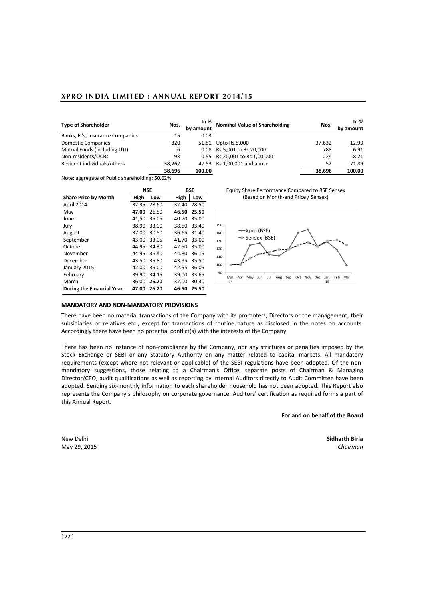| <b>Type of Shareholder</b>       | Nos.   | In $%$<br>by amount | <b>Nominal Value of Shareholding</b> | Nos.   | In $%$<br>by amount |
|----------------------------------|--------|---------------------|--------------------------------------|--------|---------------------|
| Banks, Fl's, Insurance Companies | 15     | 0.03                |                                      |        |                     |
| <b>Domestic Companies</b>        | 320    | 51.81               | Upto Rs.5,000                        | 37.632 | 12.99               |
| Mutual Funds (including UTI)     | 6      |                     | 0.08 Rs.5,001 to Rs.20,000           | 788    | 6.91                |
| Non-residents/OCBs               | 93     |                     | 0.55 Rs.20,001 to Rs.1,00,000        | 224    | 8.21                |
| Resident individuals/others      | 38.262 |                     | 47.53 Rs.1,00,001 and above          | 52     | 71.89               |
| .                                | 38.696 | 100.00              |                                      | 38,696 | 100.00              |

Note: aggregate of Public shareholding: 50.02%

|                                  | NSE   |       |       | BSE         |
|----------------------------------|-------|-------|-------|-------------|
| <b>Share Price by Month</b>      | High  | Low   | High  | Low         |
| April 2014                       | 32.35 | 28.60 |       | 32.40 28.50 |
| May                              | 47.00 | 26.50 | 46.50 | 25.50       |
| June                             | 41,50 | 35.05 | 40.70 | 35.00       |
| July                             | 38.90 | 33.00 | 38.50 | 33.40       |
| August                           | 37.00 | 30.50 |       | 36.65 31.40 |
| September                        | 43.00 | 33.05 | 41.70 | 33.00       |
| October                          | 44.95 | 34.30 | 42.50 | 35.00       |
| November                         | 44.95 | 36.40 | 44.80 | 36.15       |
| December                         | 43.50 | 35.80 | 43.95 | 35.50       |
| January 2015                     | 42.00 | 35.00 | 42.55 | 36.05       |
| February                         | 39.90 | 34.15 | 39.00 | 33.65       |
| March                            | 36.00 | 26.20 | 37.00 | 30.30       |
| <b>During the Financial Year</b> | 47.00 | 26.20 | 46.50 | 25.50       |

**NSE BSE** Equity Share Performance Compared to BSE Sensex (Based on Month-end Price / Sensex)



#### **MANDATORY AND NON-MANDATORY PROVISIONS**

There have been no material transactions of the Company with its promoters, Directors or the management, their subsidiaries or relatives etc., except for transactions of routine nature as disclosed in the notes on accounts. Accordingly there have been no potential conflict(s) with the interests of the Company.

There has been no instance of non-compliance by the Company, nor any strictures or penalties imposed by the Stock Exchange or SEBI or any Statutory Authority on any matter related to capital markets. All mandatory requirements (except where not relevant or applicable) of the SEBI regulations have been adopted. Of the nonmandatory suggestions, those relating to a Chairman's Office, separate posts of Chairman & Managing Director/CEO, audit qualifications as well as reporting by Internal Auditors directly to Audit Committee have been adopted. Sending six-monthly information to each shareholder household has not been adopted. This Report also represents the Company's philosophy on corporate governance. Auditors' certification as required forms a part of this Annual Report.

**For and on behalf of the Board**

May 29, 2015 *Chairman*

New Delhi **Sidharth Birla**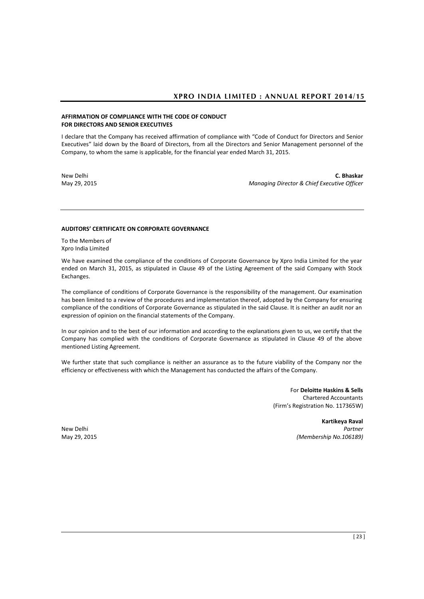## **AFFIRMATION OF COMPLIANCE WITH THE CODE OF CONDUCT FOR DIRECTORS AND SENIOR EXECUTIVES**

I declare that the Company has received affirmation of compliance with "Code of Conduct for Directors and Senior Executives" laid down by the Board of Directors, from all the Directors and Senior Management personnel of the Company, to whom the same is applicable, for the financial year ended March 31, 2015.

New Delhi **C. Bhaskar** May 29, 2015 *Managing Director & Chief Executive Officer*

### **AUDITORS' CERTIFICATE ON CORPORATE GOVERNANCE**

To the Members of Xpro India Limited

We have examined the compliance of the conditions of Corporate Governance by Xpro India Limited for the year ended on March 31, 2015, as stipulated in Clause 49 of the Listing Agreement of the said Company with Stock Exchanges.

The compliance of conditions of Corporate Governance is the responsibility of the management. Our examination has been limited to a review of the procedures and implementation thereof, adopted by the Company for ensuring compliance of the conditions of Corporate Governance as stipulated in the said Clause. It is neither an audit nor an expression of opinion on the financial statements of the Company.

In our opinion and to the best of our information and according to the explanations given to us, we certify that the Company has complied with the conditions of Corporate Governance as stipulated in Clause 49 of the above mentioned Listing Agreement.

We further state that such compliance is neither an assurance as to the future viability of the Company nor the efficiency or effectiveness with which the Management has conducted the affairs of the Company.

> For **Deloitte Haskins & Sells**  Chartered Accountants (Firm's Registration No. 117365W)

**Kartikeya Raval** New Delhi *Partner* May 29, 2015 *(Membership No.106189)*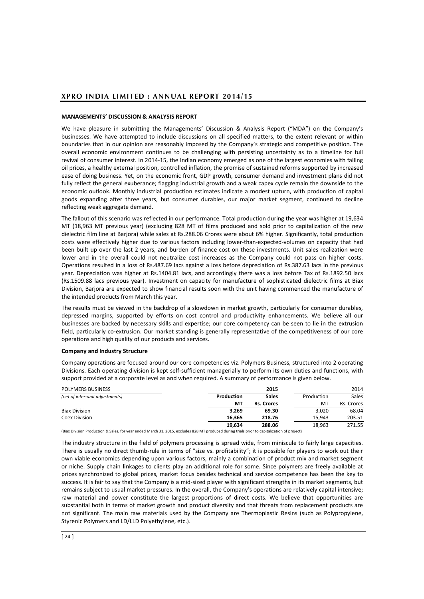## **MANAGEMENTS' DISCUSSION & ANALYSIS REPORT**

We have pleasure in submitting the Managements' Discussion & Analysis Report ("MDA") on the Company's businesses. We have attempted to include discussions on all specified matters, to the extent relevant or within boundaries that in our opinion are reasonably imposed by the Company's strategic and competitive position. The overall economic environment continues to be challenging with persisting uncertainty as to a timeline for full revival of consumer interest. In 2014-15, the Indian economy emerged as one of the largest economies with falling oil prices, a healthy external position, controlled inflation, the promise of sustained reforms supported by increased ease of doing business. Yet, on the economic front, GDP growth, consumer demand and investment plans did not fully reflect the general exuberance; flagging industrial growth and a weak capex cycle remain the downside to the economic outlook. Monthly industrial production estimates indicate a modest upturn, with production of capital goods expanding after three years, but consumer durables, our major market segment, continued to decline reflecting weak aggregate demand.

The fallout of this scenario was reflected in our performance. Total production during the year was higher at 19,634 MT (18,963 MT previous year) (excluding 828 MT of films produced and sold prior to capitalization of the new dielectric film line at Barjora) while sales at Rs.288.06 Crores were about 6% higher. Significantly, total production costs were effectively higher due to various factors including lower-than-expected-volumes on capacity that had been built up over the last 2 years, and burden of finance cost on these investments. Unit sales realization were lower and in the overall could not neutralize cost increases as the Company could not pass on higher costs. Operations resulted in a loss of Rs.487.69 lacs against a loss before depreciation of Rs.387.63 lacs in the previous year. Depreciation was higher at Rs.1404.81 lacs, and accordingly there was a loss before Tax of Rs.1892.50 lacs (Rs.1509.88 lacs previous year). Investment on capacity for manufacture of sophisticated dielectric films at Biax Division, Barjora are expected to show financial results soon with the unit having commenced the manufacture of the intended products from March this year.

The results must be viewed in the backdrop of a slowdown in market growth, particularly for consumer durables, depressed margins, supported by efforts on cost control and productivity enhancements. We believe all our businesses are backed by necessary skills and expertise; our core competency can be seen to lie in the extrusion field, particularly co-extrusion. Our market standing is generally representative of the competitiveness of our core operations and high quality of our products and services.

#### **Company and Industry Structure**

Company operations are focused around our core competencies viz. Polymers Business, structured into 2 operating Divisions. Each operating division is kept self-sufficient managerially to perform its own duties and functions, with support provided at a corporate level as and when required. A summary of performance is given below.

| POLYMERS BUSINESS                                                                                                                                                                                                             |            | 2015              |            | 2014       |
|-------------------------------------------------------------------------------------------------------------------------------------------------------------------------------------------------------------------------------|------------|-------------------|------------|------------|
| (net of inter-unit adjustments)                                                                                                                                                                                               | Production | <b>Sales</b>      | Production | Sales      |
|                                                                                                                                                                                                                               | МT         | <b>Rs. Crores</b> | мт         | Rs. Crores |
| <b>Biax Division</b>                                                                                                                                                                                                          | 3.269      | 69.30             | 3.020      | 68.04      |
| Coex Division                                                                                                                                                                                                                 | 16.365     | 218.76            | 15.943     | 203.51     |
|                                                                                                                                                                                                                               | 19.634     | 288.06            | 18.963     | 271.55     |
| The message is a more to the local contract of the set of the set of the set of the set of the set of the set of the set of the set of the set of the set of the set of the set of the set of the set of the set of the set o |            |                   |            |            |

(Biax Division Production & Sales, for year ended March 31, 2015, excludes 828 MT produced during trials prior to capitalization of project)

The industry structure in the field of polymers processing is spread wide, from miniscule to fairly large capacities. There is usually no direct thumb-rule in terms of "size vs. profitability"; it is possible for players to work out their own viable economics depending upon various factors, mainly a combination of product mix and market segment or niche. Supply chain linkages to clients play an additional role for some. Since polymers are freely available at prices synchronized to global prices, market focus besides technical and service competence has been the key to success. It is fair to say that the Company is a mid-sized player with significant strengths in its market segments, but remains subject to usual market pressures. In the overall, the Company's operations are relatively capital intensive; raw material and power constitute the largest proportions of direct costs. We believe that opportunities are substantial both in terms of market growth and product diversity and that threats from replacement products are not significant. The main raw materials used by the Company are Thermoplastic Resins (such as Polypropylene, Styrenic Polymers and LD/LLD Polyethylene, etc.).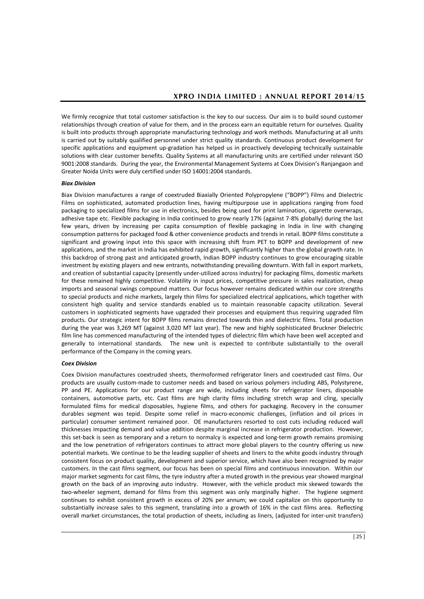We firmly recognize that total customer satisfaction is the key to our success. Our aim is to build sound customer relationships through creation of value for them, and in the process earn an equitable return for ourselves. Quality is built into products through appropriate manufacturing technology and work methods. Manufacturing at all units is carried out by suitably qualified personnel under strict quality standards. Continuous product development for specific applications and equipment up-gradation has helped us in proactively developing technically sustainable solutions with clear customer benefits. Quality Systems at all manufacturing units are certified under relevant ISO 9001:2008 standards. During the year, the Environmental Management Systems at Coex Division's Ranjangaon and Greater Noida Units were duly certified under ISO 14001:2004 standards.

## *Biax Division*

Biax Division manufactures a range of coextruded Biaxially Oriented Polypropylene ("BOPP") Films and Dielectric Films on sophisticated, automated production lines, having multipurpose use in applications ranging from food packaging to specialized films for use in electronics, besides being used for print lamination, cigarette overwraps, adhesive tape etc. Flexible packaging in India continued to grow nearly 17% (against 7-8% globally) during the last few years, driven by increasing per capita consumption of flexible packaging in India in line with changing consumption patterns for packaged food & other convenience products and trends in retail. BOPP films constitute a significant and growing input into this space with increasing shift from PET to BOPP and development of new applications, and the market in India has exhibited rapid growth, significantly higher than the global growth rate. In this backdrop of strong past and anticipated growth, Indian BOPP industry continues to grow encouraging sizable investment by existing players and new entrants, notwithstanding prevailing downturn. With fall in export markets, and creation of substantial capacity (presently under-utilized across industry) for packaging films, domestic markets for these remained highly competitive. Volatility in input prices, competitive pressure in sales realization, cheap imports and seasonal swings compound matters. Our focus however remains dedicated within our core strengths to special products and niche markets, largely thin films for specialized electrical applications, which together with consistent high quality and service standards enabled us to maintain reasonable capacity utilization. Several customers in sophisticated segments have upgraded their processes and equipment thus requiring upgraded film products. Our strategic intent for BOPP films remains directed towards thin and dielectric films. Total production during the year was 3,269 MT (against 3,020 MT last year). The new and highly sophisticated Bruckner Dielectric film line has commenced manufacturing of the intended types of dielectric film which have been well accepted and generally to international standards. The new unit is expected to contribute substantially to the overall performance of the Company in the coming years.

## *Coex Division*

Coex Division manufactures coextruded sheets, thermoformed refrigerator liners and coextruded cast films. Our products are usually custom-made to customer needs and based on various polymers including ABS, Polystyrene, PP and PE. Applications for our product range are wide, including sheets for refrigerator liners, disposable containers, automotive parts, etc. Cast films are high clarity films including stretch wrap and cling, specially formulated films for medical disposables, hygiene films, and others for packaging. Recovery in the consumer durables segment was tepid. Despite some relief in macro-economic challenges, (inflation and oil prices in particular) consumer sentiment remained poor. OE manufacturers resorted to cost cuts including reduced wall thicknesses impacting demand and value addition despite marginal increase in refrigerator production. However, this set-back is seen as temporary and a return to normalcy is expected and long-term growth remains promising and the low penetration of refrigerators continues to attract more global players to the country offering us new potential markets. We continue to be the leading supplier of sheets and liners to the white goods industry through consistent focus on product quality, development and superior service, which have also been recognized by major customers. In the cast films segment, our focus has been on special films and continuous innovation. Within our major market segments for cast films, the tyre industry after a muted growth in the previous year showed marginal growth on the back of an improving auto industry. However, with the vehicle product mix skewed towards the two-wheeler segment, demand for films from this segment was only marginally higher. The hygiene segment continues to exhibit consistent growth in excess of 20% per annum; we could capitalize on this opportunity to substantially increase sales to this segment, translating into a growth of 16% in the cast films area. Reflecting overall market circumstances, the total production of sheets, including as liners, (adjusted for inter-unit transfers)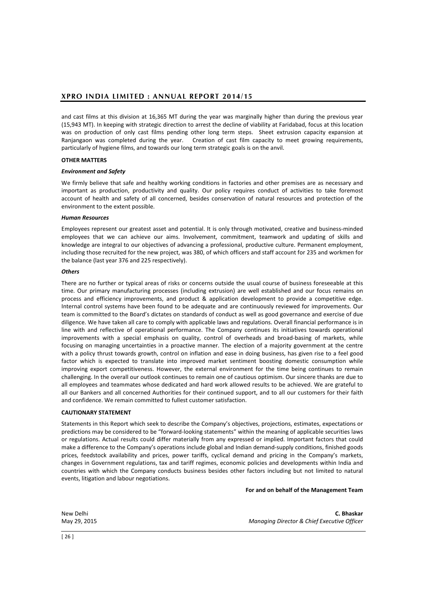and cast films at this division at 16,365 MT during the year was marginally higher than during the previous year (15,943 MT). In keeping with strategic direction to arrest the decline of viability at Faridabad, focus at this location was on production of only cast films pending other long term steps. Sheet extrusion capacity expansion at Ranjangaon was completed during the year. Creation of cast film capacity to meet growing requirements, particularly of hygiene films, and towards our long term strategic goals is on the anvil.

## **OTHER MATTERS**

### *Environment and Safety*

We firmly believe that safe and healthy working conditions in factories and other premises are as necessary and important as production, productivity and quality. Our policy requires conduct of activities to take foremost account of health and safety of all concerned, besides conservation of natural resources and protection of the environment to the extent possible.

### *Human Resources*

Employees represent our greatest asset and potential. It is only through motivated, creative and business-minded employees that we can achieve our aims. Involvement, commitment, teamwork and updating of skills and knowledge are integral to our objectives of advancing a professional, productive culture. Permanent employment, including those recruited for the new project, was 380, of which officers and staff account for 235 and workmen for the balance (last year 376 and 225 respectively).

#### *Others*

There are no further or typical areas of risks or concerns outside the usual course of business foreseeable at this time. Our primary manufacturing processes (including extrusion) are well established and our focus remains on process and efficiency improvements, and product & application development to provide a competitive edge. Internal control systems have been found to be adequate and are continuously reviewed for improvements. Our team is committed to the Board's dictates on standards of conduct as well as good governance and exercise of due diligence. We have taken all care to comply with applicable laws and regulations. Overall financial performance is in line with and reflective of operational performance. The Company continues its initiatives towards operational improvements with a special emphasis on quality, control of overheads and broad-basing of markets, while focusing on managing uncertainties in a proactive manner. The election of a majority government at the centre with a policy thrust towards growth, control on inflation and ease in doing business, has given rise to a feel good factor which is expected to translate into improved market sentiment boosting domestic consumption while improving export competitiveness. However, the external environment for the time being continues to remain challenging. In the overall our outlook continues to remain one of cautious optimism. Our sincere thanks are due to all employees and teammates whose dedicated and hard work allowed results to be achieved. We are grateful to all our Bankers and all concerned Authorities for their continued support, and to all our customers for their faith and confidence. We remain committed to fullest customer satisfaction.

## **CAUTIONARY STATEMENT**

Statements in this Report which seek to describe the Company's objectives, projections, estimates, expectations or predictions may be considered to be "forward-looking statements" within the meaning of applicable securities laws or regulations. Actual results could differ materially from any expressed or implied. Important factors that could make a difference to the Company's operations include global and Indian demand-supply conditions, finished goods prices, feedstock availability and prices, power tariffs, cyclical demand and pricing in the Company's markets, changes in Government regulations, tax and tariff regimes, economic policies and developments within India and countries with which the Company conducts business besides other factors including but not limited to natural events, litigation and labour negotiations.

#### **For and on behalf of the Management Team**

New Delhi **C. Bhaskar** May 29, 2015 *Managing Director & Chief Executive Officer*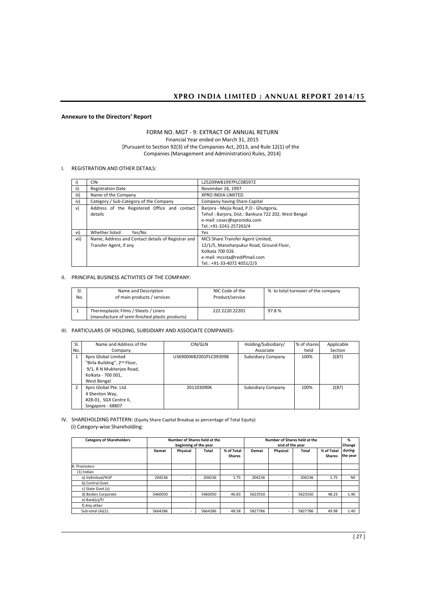## **Annexure to the Directors' Report**

## FORM NO. MGT - 9: EXTRACT OF ANNUAL RETURN Financial Year ended on March 31, 2015 [Pursuant to Section 92(3) of the Companies Act, 2013, and Rule 12(1) of the Companies (Management and Administration) Rules, 2014]

### I. REGISTRATION AND OTHER DETAILS:

|      | CIN                                                | L25209WB1997PLC085972                                |
|------|----------------------------------------------------|------------------------------------------------------|
| ii)  | <b>Registration Date</b>                           | November 26, 1997                                    |
| iii) | Name of the Company                                | <b>XPRO INDIA LIMITED</b>                            |
| iv)  | Category / Sub-Category of the Company             | Company having Share Capital                         |
| v)   | Address of the Registered Office and contact       | Barjora - Mejia Road, P.O - Ghutgoria,               |
|      | details                                            | Tehsil: Barjora, Dist.: Bankura 722 202, West Bengal |
|      |                                                    | e-mail: cosec@xproindia.com                          |
|      |                                                    | Tel.:+91-3241-257263/4                               |
| vi)  | Whether listed<br>Yes/No                           | Yes                                                  |
| vii) | Name, Address and Contact details of Registrar and | MCS Share Transfer Agent Limited,                    |
|      | Transfer Agent, if any                             | 12/1/5, Manoharpukur Road, Ground Floor,             |
|      |                                                    | Kolkata 700 026                                      |
|      |                                                    | e-mail: mcssta@rediffmail.com                        |
|      |                                                    | Tel.: +91-33-4072 4051/2/3                           |

#### II. PRINCIPAL BUSINESS ACTIVITIES OF THE COMPANY:

| SI. | Name and Description                                                                     | NIC Code of the | % to total turnover of the company |
|-----|------------------------------------------------------------------------------------------|-----------------|------------------------------------|
| No. | of main products / services                                                              | Product/service |                                    |
|     | Thermoplastic Films / Sheets / Liners<br>(manufacture of semi-finished plastic products) | 222 2220 22201  | 97.8%                              |

## III. PARTICULARS OF HOLDING, SUBSIDIARY AND ASSOCIATE COMPANIES:

| SI.<br>No.     | Name and Address of the<br>Company                                                                                               | CIN/GLN               | Holding/Subsidiary/<br>Associate | % of shares<br>held | Applicable<br>Section |
|----------------|----------------------------------------------------------------------------------------------------------------------------------|-----------------------|----------------------------------|---------------------|-----------------------|
| $\mathbf{1}$   | Xpro Global Limited<br>"Birla Building", 2 <sup>nd</sup> Floor,<br>9/1, R N Mukherjee Road,<br>Kolkata - 700 001,<br>West Bengal | U36900WB2001PLC093098 | Subsidiary Company               | 100%                | 2(87)                 |
| $\overline{2}$ | Xpro Global Pte. Ltd.<br>4 Shenton Way,<br>#28-01, SGX Centre II,<br>Singapore - 68807                                           | 201103090K            | Subsidiary Company               | 100%                | 2(87)                 |

#### IV. SHAREHOLDING PATTERN: (Equity Share Capital Breakup as percentage of Total Equity) (i) Category-wise Shareholding:

| <b>Category of Shareholders</b> | Number of Shares held at the<br>beginning of the year |                          |         | Number of Shares held at the<br>end of the year |         |                          |         | %<br>Change                 |                    |
|---------------------------------|-------------------------------------------------------|--------------------------|---------|-------------------------------------------------|---------|--------------------------|---------|-----------------------------|--------------------|
|                                 | Demat                                                 | Physical                 | Total   | % of Total<br><b>Shares</b>                     | Demat   | Physical                 | Total   | % of Total<br><b>Shares</b> | during<br>the year |
| A. Promoters                    |                                                       |                          |         |                                                 |         |                          |         |                             |                    |
| (1) Indian                      |                                                       |                          |         |                                                 |         |                          |         |                             |                    |
| a) Individual/HUF               | 204236                                                | $\overline{\phantom{a}}$ | 204236  | 1.75                                            | 204236  | $\overline{\phantom{a}}$ | 204236  | 1.75                        | Nil                |
| b) Central Govt.                |                                                       |                          |         |                                                 |         |                          |         |                             |                    |
| c) State Govt.(s)               |                                                       |                          |         |                                                 |         |                          |         |                             |                    |
| d) Bodies Corporate             | 5460050                                               | -                        | 5460050 | 46.83                                           | 5623550 | $\overline{\phantom{a}}$ | 5623550 | 48.23                       | 1.40               |
| e) Bank(s)/FI                   |                                                       |                          |         |                                                 |         |                          |         |                             |                    |
| f) Any other                    |                                                       |                          |         |                                                 |         |                          |         |                             |                    |
| Sub-total (A)(1):               | 5664286                                               | ۰                        | 5664286 | 48.58                                           | 5827786 | $\overline{\phantom{a}}$ | 5827786 | 49.98                       | 1.40               |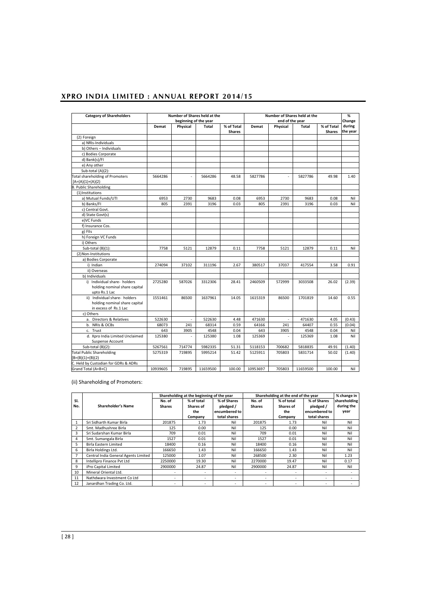| <b>Category of Shareholders</b>                                                         |          |                          | Number of Shares held at the |                             |          |                          | Number of Shares held at the |                             | %                  |
|-----------------------------------------------------------------------------------------|----------|--------------------------|------------------------------|-----------------------------|----------|--------------------------|------------------------------|-----------------------------|--------------------|
|                                                                                         |          | beginning of the year    |                              |                             |          | end of the year          |                              |                             | Change             |
|                                                                                         | Demat    | Physical                 | Total                        | % of Total<br><b>Shares</b> | Demat    | Physical                 | Total                        | % of Total<br><b>Shares</b> | during<br>the year |
| (2) Foreign                                                                             |          |                          |                              |                             |          |                          |                              |                             |                    |
| a) NRIs-Individuals                                                                     |          |                          |                              |                             |          |                          |                              |                             |                    |
| b) Others - Individuals                                                                 |          |                          |                              |                             |          |                          |                              |                             |                    |
| c) Bodies Corporate                                                                     |          |                          |                              |                             |          |                          |                              |                             |                    |
| d) Bank(s)/FI                                                                           |          |                          |                              |                             |          |                          |                              |                             |                    |
| e) Any other                                                                            |          |                          |                              |                             |          |                          |                              |                             |                    |
| Sub-total (A)(2):                                                                       |          |                          |                              |                             |          |                          |                              |                             |                    |
| <b>Total shareholding of Promoters</b><br>$[A=(A)(1)+(A)(2)$                            | 5664286  | ÷.                       | 5664286                      | 48.58                       | 5827786  | ×                        | 5827786                      | 49.98                       | 1.40               |
| <b>B. Public Shareholding</b>                                                           |          |                          |                              |                             |          |                          |                              |                             |                    |
| (1)Institutions                                                                         |          |                          |                              |                             |          |                          |                              |                             |                    |
| a) Mutual Funds/UTI                                                                     | 6953     | 2730                     | 9683                         | 0.08                        | 6953     | 2730                     | 9683                         | 0.08                        | Nil                |
| b) Banks/FI                                                                             | 805      | 2391                     | 3196                         | 0.03                        | 805      | 2391                     | 3196                         | 0.03                        | Nil                |
| c) Central Govt.                                                                        |          |                          |                              |                             |          |                          |                              |                             |                    |
| d) State Govt(s)                                                                        |          |                          |                              |                             |          |                          |                              |                             |                    |
| e) VC Funds                                                                             |          |                          |                              |                             |          |                          |                              |                             |                    |
| f) Insurance Cos.                                                                       |          |                          |                              |                             |          |                          |                              |                             |                    |
| g) Fils                                                                                 |          |                          |                              |                             |          |                          |                              |                             |                    |
| h) Foreign VC Funds                                                                     |          |                          |                              |                             |          |                          |                              |                             |                    |
| i) Others                                                                               |          |                          |                              |                             |          |                          |                              |                             |                    |
| Sub-total (B)(1):                                                                       | 7758     | 5121                     | 12879                        | 0.11                        | 7758     | 5121                     | 12879                        | 0.11                        | Nil                |
| (2) Non-Institutions                                                                    |          |                          |                              |                             |          |                          |                              |                             |                    |
| a) Bodies Corporate                                                                     |          |                          |                              |                             |          |                          |                              |                             |                    |
| i) Indian                                                                               | 274094   | 37102                    | 311196                       | 2.67                        | 380517   | 37037                    | 417554                       | 3.58                        | 0.91               |
| ii) Overseas                                                                            |          |                          |                              |                             |          |                          |                              |                             |                    |
| b) Individuals                                                                          |          |                          |                              |                             |          |                          |                              |                             |                    |
| i) Individual share- holders<br>holding nominal share capital<br>upto Rs.1 Lac          | 2725280  | 587026                   | 3312306                      | 28.41                       | 2460509  | 572999                   | 3033508                      | 26.02                       | (2.39)             |
| ii) Individual share- holders<br>holding nominal share capital<br>in excess of Rs.1 Lac | 1551461  | 86500                    | 1637961                      | 14.05                       | 1615319  | 86500                    | 1701819                      | 14.60                       | 0.55               |
| c) Others                                                                               |          |                          |                              |                             |          |                          |                              |                             |                    |
| a. Directors & Relatives                                                                | 522630   | $\overline{\phantom{a}}$ | 522630                       | 4.48                        | 471630   | $\overline{\phantom{a}}$ | 471630                       | 4.05                        | (0.43)             |
| b. NRIs & OCBs                                                                          | 68073    | 241                      | 68314                        | 0.59                        | 64166    | 241                      | 64407                        | 0.55                        | (0.04)             |
| c. Trust                                                                                | 643      | 3905                     | 4548                         | 0.04                        | 643      | 3905                     | 4548                         | 0.04                        | Nil                |
| d. Xpro India Limited Unclaimed<br>Suspense Account                                     | 125380   | ×,                       | 125380                       | 1.08                        | 125369   |                          | 125369                       | 1.08                        | Nil                |
| Sub-total (B)(2):                                                                       | 5267561  | 714774                   | 5982335                      | 51.31                       | 5118153  | 700682                   | 5818835                      | 49.91                       | (1.40)             |
| <b>Total Public Shareholding</b>                                                        | 5275319  | 719895                   | 5995214                      | 51.42                       | 5125911  | 705803                   | 5831714                      | 50.02                       | (1.40)             |
| $[B=(B)(1)+(B)(2)$                                                                      |          |                          |                              |                             |          |                          |                              |                             |                    |
| C. Held by Custodian for GDRs & ADRs                                                    |          |                          |                              |                             |          |                          |                              |                             |                    |
| Grand Total (A+B+C)                                                                     | 10939605 | 719895                   | 11659500                     | 100.00                      | 10953697 | 705803                   | 11659500                     | 100.00                      | Nil                |

(ii) Shareholding of Promoters:

|                |                                      |                         | Shareholding at the beginning of the year |                                                           |                         | Shareholding at the end of the year       |                                                           | % change in                        |
|----------------|--------------------------------------|-------------------------|-------------------------------------------|-----------------------------------------------------------|-------------------------|-------------------------------------------|-----------------------------------------------------------|------------------------------------|
| SI.<br>No.     | <b>Shareholder's Name</b>            | No. of<br><b>Shares</b> | % of total<br>Shares of<br>the<br>Company | % of Shares<br>pledged /<br>encumbered to<br>total shares | No. of<br><b>Shares</b> | % of total<br>Shares of<br>the<br>Company | % of Shares<br>pledged /<br>encumbered to<br>total shares | shareholding<br>during the<br>year |
|                | Sri Sidharth Kumar Birla             | 201875                  | 1.73                                      | Nil                                                       | 201875                  | 1.73                                      | Nil                                                       | Nil                                |
| $\overline{2}$ | Smt. Madhushree Birla                | 125                     | 0.00                                      | Nil                                                       | 125                     | 0.00                                      | Nil                                                       | Nil                                |
| 3              | Sri Sudarshan Kumar Birla            | 709                     | 0.01                                      | Nil                                                       | 709                     | 0.01                                      | Nil                                                       | Nil                                |
| 4              | Smt. Sumangala Birla                 | 1527                    | 0.01                                      | Nil                                                       | 1527                    | 0.01                                      | Nil                                                       | Nil                                |
| 5              | Birla Eastern Limited                | 18400                   | 0.16                                      | Nil                                                       | 18400                   | 0.16                                      | Nil                                                       | Nil                                |
| 6              | Birla Holdings Ltd.                  | 166650                  | 1.43                                      | Nil                                                       | 166650                  | 1.43                                      | Nil                                                       | Nil                                |
|                | Central India General Agents Limited | 125000                  | 1.07                                      | Nil                                                       | 268500                  | 2.30                                      | Nil                                                       | 1.23                               |
| 8              | Intellipro Finance Pyt Ltd           | 2250000                 | 19.30                                     | Nil                                                       | 2270000                 | 19.47                                     | Nil                                                       | 0.17                               |
| 9              | iPro Capital Limited                 | 2900000                 | 24.87                                     | Nil                                                       | 2900000                 | 24.87                                     | Nil                                                       | Nil                                |
| 10             | Mineral Oriental Ltd.                | ٠                       | ٠                                         | $\overline{\phantom{a}}$                                  | ٠                       | ۰                                         | $\overline{\phantom{a}}$                                  | -                                  |
| 11             | Nathdwara Investment Co Ltd          | ٠                       | ۰                                         | $\overline{\phantom{a}}$                                  | ۰                       | ۰                                         | $\overline{\phantom{a}}$                                  | $\overline{\phantom{a}}$           |
| 12             | Janardhan Trading Co. Ltd.           | $\blacksquare$          | ۰                                         | $\overline{\phantom{a}}$                                  | ٠                       | ۰                                         | $\overline{\phantom{a}}$                                  |                                    |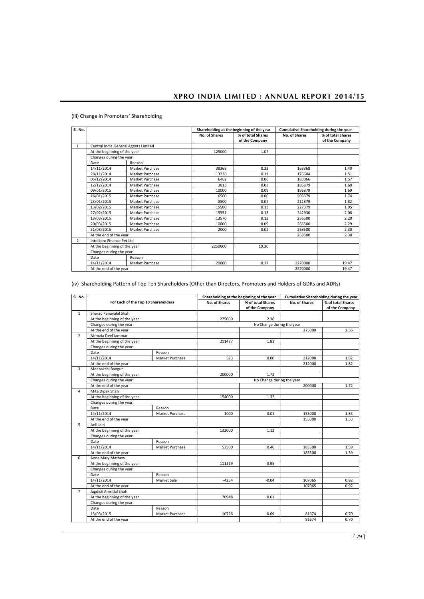| Sl. No.        |                                      |                        |               | Shareholding at the beginning of the year | Cumulative Shareholding during the year |                   |
|----------------|--------------------------------------|------------------------|---------------|-------------------------------------------|-----------------------------------------|-------------------|
|                |                                      |                        | No. of Shares | % of total Shares                         | No. of Shares                           | % of total Shares |
|                |                                      |                        |               | of the Company                            |                                         | of the Company    |
| $\mathbf{1}$   | Central India General Agents Limited |                        |               |                                           |                                         |                   |
|                | At the beginning of the year         |                        | 125000        | 1.07                                      |                                         |                   |
|                | Changes during the year:             |                        |               |                                           |                                         |                   |
|                | Date                                 | Reason                 |               |                                           |                                         |                   |
|                | 14/11/2014                           | Market Purchase        | 38368         | 0.33                                      | 163368                                  | 1.40              |
|                | 28/11/2014                           | Market Purchase        | 13236         | 0.11                                      | 176604                                  | 1.51              |
|                | 05/12/2014                           | Market Purchase        | 6462          | 0.06                                      | 183066                                  | 1.57              |
|                | 12/12/2014                           | Market Purchase        | 3813          | 0.03                                      | 186879                                  | 1.60              |
|                | 09/01/2015                           | <b>Market Purchase</b> | 10000         | 0.09                                      | 196879                                  | 1.69              |
|                | 16/01/2015                           | Market Purchase        | 6500          | 0.06                                      | 203379                                  | 1.74              |
|                | 23/01/2015                           | Market Purchase        | 8500          | 0.07                                      | 211879                                  | 1.82              |
|                | 13/02/2015                           | Market Purchase        | 15500         | 0.13                                      | 227379                                  | 1.95              |
|                | 27/02/2015                           | Market Purchase        | 15551         | 0.13                                      | 242930                                  | 2.08              |
|                | 13/03/2015                           | Market Purchase        | 13570         | 0.12                                      | 256500                                  | 2.20              |
|                | 20/03/2015                           | Market Purchase        | 10000         | 0.09                                      | 266500                                  | 2.29              |
|                | 31/03/2015                           | Market Purchase        | 2000          | 0.02                                      | 268500                                  | 2.30              |
|                | At the end of the year               |                        |               |                                           | 268500                                  | 2.30              |
| $\overline{2}$ | Intellipro Finance Pvt Ltd           |                        |               |                                           |                                         |                   |
|                | At the beginning of the year         |                        | 2250000       | 19.30                                     |                                         |                   |
|                | Changes during the year:             |                        |               |                                           |                                         |                   |
|                | Date                                 | Reason                 |               |                                           |                                         |                   |
|                | 14/11/2014                           | Market Purchase        | 20000         | 0.17                                      | 2270000                                 | 19.47             |
|                | At the end of the year               |                        |               |                                           | 2270000                                 | 19.47             |

# (iii) Change in Promoters' Shareholding

(iv) Shareholding Pattern of Top Ten Shareholders (Other than Directors, Promoters and Holders of GDRs and ADRs)

| Sl. No.        |                                     |                 |                      | Shareholding at the beginning of the year |               | Cumulative Shareholding during the year |
|----------------|-------------------------------------|-----------------|----------------------|-------------------------------------------|---------------|-----------------------------------------|
|                | For Each of the Top 10 Shareholders |                 | <b>No. of Shares</b> | % of total Shares<br>of the Company       | No. of Shares | % of total Shares<br>of the Company     |
| $\mathbf{1}$   | Sharad Kanayalal Shah               |                 |                      |                                           |               |                                         |
|                | At the beginning of the year        |                 | 275000               | 2.36                                      |               |                                         |
|                | Changes during the year:            |                 |                      | No Change during the year                 |               |                                         |
|                | At the end of the year              |                 |                      |                                           | 275000        | 2.36                                    |
| $\overline{2}$ | Nirmala Devi Jammar                 |                 |                      |                                           |               |                                         |
|                | At the beginning of the year        |                 | 211477               | 1.81                                      |               |                                         |
|                | Changes during the year:            |                 |                      |                                           |               |                                         |
|                | Date                                | Reason          |                      |                                           |               |                                         |
|                | 14/11/2014                          | Market Purchase | 523                  | 0.00                                      | 212000        | 1.82                                    |
|                | At the end of the year              |                 |                      |                                           | 212000        | 1.82                                    |
| 3              | Meenakshi Bangur                    |                 |                      |                                           |               |                                         |
|                | At the beginning of the year        |                 | 200000               | 1.72                                      |               |                                         |
|                | Changes during the year:            |                 |                      | No Change during the year                 |               |                                         |
|                | At the end of the year              |                 |                      |                                           | 200000        | 1.72                                    |
| 4              | Mita Dipak Shah                     |                 |                      |                                           |               |                                         |
|                | At the beginning of the year        |                 | 154000               | 1.32                                      |               |                                         |
|                | Changes during the year:            |                 |                      |                                           |               |                                         |
|                | Date                                | Reason          |                      |                                           |               |                                         |
|                | 14/11/2014                          | Market Purchase | 1000                 | 0.01                                      | 155000        | 1.33                                    |
|                | At the end of the year              |                 |                      |                                           | 155000        | 1.33                                    |
| 5              | Anil Jain                           |                 |                      |                                           |               |                                         |
|                | At the beginning of the year        |                 | 132000               | 1.13                                      |               |                                         |
|                | Changes during the year:            |                 |                      |                                           |               |                                         |
|                | Date                                | Reason          |                      |                                           |               |                                         |
|                | 14/11/2014                          | Market Purchase | 53500                | 0.46                                      | 185500        | 1.59                                    |
|                | At the end of the year              |                 |                      |                                           | 185500        | 1.59                                    |
| 6              | Anna Mary Mathew                    |                 |                      |                                           |               |                                         |
|                | At the beginning of the year        |                 | 111319               | 0.95                                      |               |                                         |
|                | Changes during the year:            |                 |                      |                                           |               |                                         |
|                | Date                                | Reason          |                      |                                           |               |                                         |
|                | 14/11/2014                          | Market Sale     | $-4254$              | $-0.04$                                   | 107065        | 0.92                                    |
|                | At the end of the year              |                 |                      |                                           | 107065        | 0.92                                    |
| $\overline{7}$ | Jagdish Amritlal Shah               |                 |                      |                                           |               |                                         |
|                | At the beginning of the year        |                 | 70948                | 0.61                                      |               |                                         |
|                | Changes during the year:            |                 |                      |                                           |               |                                         |
|                | Date                                | Reason          |                      |                                           |               |                                         |
|                | 13/03/2015                          | Market Purchase | 10726                | 0.09                                      | 81674         | 0.70                                    |
|                | At the end of the year              |                 |                      |                                           | 81674         | 0.70                                    |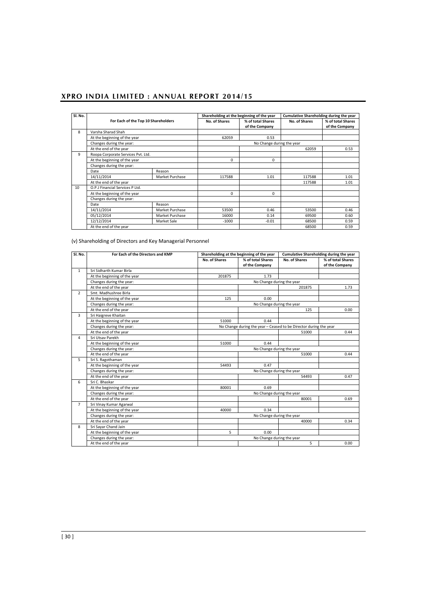| SI. No.         |                                     |                 | Shareholding at the beginning of the year |                           | Cumulative Shareholding during the year |                   |
|-----------------|-------------------------------------|-----------------|-------------------------------------------|---------------------------|-----------------------------------------|-------------------|
|                 |                                     |                 |                                           |                           |                                         |                   |
|                 | For Each of the Top 10 Shareholders |                 | <b>No. of Shares</b>                      | % of total Shares         | <b>No. of Shares</b>                    | % of total Shares |
|                 |                                     |                 |                                           | of the Company            |                                         | of the Company    |
| 8               | Varsha Sharad Shah                  |                 |                                           |                           |                                         |                   |
|                 | At the beginning of the year        |                 | 62059                                     | 0.53                      |                                         |                   |
|                 | Changes during the year:            |                 |                                           | No Change during the year |                                         |                   |
|                 | At the end of the year              |                 |                                           |                           | 62059                                   | 0.53              |
| 9               | Roopa Corporate Services Pvt. Ltd.  |                 |                                           |                           |                                         |                   |
|                 | At the beginning of the year        |                 | $\Omega$                                  | 0                         |                                         |                   |
|                 | Changes during the year:            |                 |                                           |                           |                                         |                   |
|                 | Date                                | Reason          |                                           |                           |                                         |                   |
|                 | 14/11/2014                          | Market Purchase | 117588                                    | 1.01                      | 117588                                  | 1.01              |
|                 | At the end of the year              |                 |                                           |                           | 117588                                  | 1.01              |
| 10 <sup>1</sup> | O.P.J Financial Services P Ltd.     |                 |                                           |                           |                                         |                   |
|                 | At the beginning of the year        |                 | $\Omega$                                  | $\Omega$                  |                                         |                   |
|                 | Changes during the year:            |                 |                                           |                           |                                         |                   |
|                 | Date                                | Reason          |                                           |                           |                                         |                   |
|                 | 14/11/2014                          | Market Purchase | 53500                                     | 0.46                      | 53500                                   | 0.46              |
|                 | 05/12/2014                          | Market Purchase | 16000                                     | 0.14                      | 69500                                   | 0.60              |
|                 | 12/12/2014                          | Market Sale     | $-1000$                                   | $-0.01$                   | 68500                                   | 0.59              |
|                 | At the end of the year              |                 |                                           |                           | 68500                                   | 0.59              |

(v) Shareholding of Directors and Key Managerial Personnel

| Sl. No.        | For Each of the Directors and KMP |                           | Shareholding at the beginning of the year                         | Cumulative Shareholding during the year |                   |  |  |  |
|----------------|-----------------------------------|---------------------------|-------------------------------------------------------------------|-----------------------------------------|-------------------|--|--|--|
|                |                                   | No. of Shares             | % of total Shares                                                 | No. of Shares                           | % of total Shares |  |  |  |
|                |                                   |                           | of the Company                                                    |                                         | of the Company    |  |  |  |
| $\mathbf{1}$   | Sri Sidharth Kumar Birla          |                           |                                                                   |                                         |                   |  |  |  |
|                | At the beginning of the year      | 201875                    | 1.73                                                              |                                         |                   |  |  |  |
|                | Changes during the year:          |                           | No Change during the year                                         |                                         |                   |  |  |  |
|                | At the end of the year            |                           |                                                                   | 201875                                  | 1.73              |  |  |  |
| $\overline{2}$ | Smt. Madhushree Birla             |                           |                                                                   |                                         |                   |  |  |  |
|                | At the beginning of the year      | 125                       | 0.00                                                              |                                         |                   |  |  |  |
|                | Changes during the year:          | No Change during the year |                                                                   |                                         |                   |  |  |  |
|                | At the end of the year            |                           |                                                                   | 125                                     | 0.00              |  |  |  |
| 3              | Sri Haigreve Khaitan              |                           |                                                                   |                                         |                   |  |  |  |
|                | At the beginning of the year      | 51000                     | 0.44                                                              |                                         |                   |  |  |  |
|                | Changes during the year:          |                           | No Change during the year - Ceased to be Director during the year |                                         |                   |  |  |  |
|                | At the end of the year            |                           |                                                                   | 51000                                   | 0.44              |  |  |  |
| 4              | Sri Utsav Parekh                  |                           |                                                                   |                                         |                   |  |  |  |
|                | At the beginning of the year      | 51000                     | 0.44                                                              |                                         |                   |  |  |  |
|                | Changes during the year:          |                           | No Change during the year                                         |                                         |                   |  |  |  |
|                | At the end of the year            |                           |                                                                   | 51000                                   | 0.44              |  |  |  |
| 5              | Sri S. Ragothaman                 |                           |                                                                   |                                         |                   |  |  |  |
|                | At the beginning of the year      | 54493                     | 0.47                                                              |                                         |                   |  |  |  |
|                | Changes during the year:          |                           | No Change during the year                                         |                                         |                   |  |  |  |
|                | At the end of the year            |                           |                                                                   | 54493                                   | 0.47              |  |  |  |
| 6              | Sri C. Bhaskar                    |                           |                                                                   |                                         |                   |  |  |  |
|                | At the beginning of the year      | 80001                     | 0.69                                                              |                                         |                   |  |  |  |
|                | Changes during the year:          |                           | No Change during the year                                         |                                         |                   |  |  |  |
|                | At the end of the year            |                           |                                                                   | 80001                                   | 0.69              |  |  |  |
| $\overline{7}$ | Sri Vinay Kumar Agarwal           |                           |                                                                   |                                         |                   |  |  |  |
|                | At the beginning of the year      | 40000                     | 0.34                                                              |                                         |                   |  |  |  |
|                | Changes during the year:          | No Change during the year |                                                                   |                                         |                   |  |  |  |
|                | At the end of the year            |                           |                                                                   | 40000                                   | 0.34              |  |  |  |
| 8              | Sri Sayar Chand Jain              |                           |                                                                   |                                         |                   |  |  |  |
|                | At the beginning of the year      | 5                         | 0.00                                                              |                                         |                   |  |  |  |
|                | Changes during the year:          |                           | No Change during the year                                         |                                         |                   |  |  |  |
|                | At the end of the year            |                           |                                                                   | 5                                       | 0.00              |  |  |  |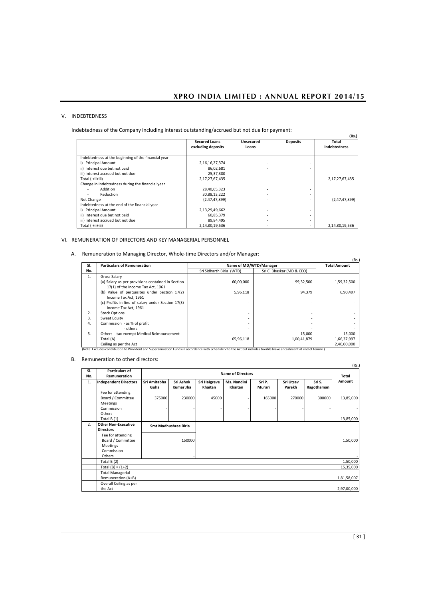## V. INDEBTEDNESS

Indebtedness of the Company including interest outstanding/accrued but not due for payment:

| naced news or the company melaam. Interest outstanding accrued but not due for payment. |                                            |                           |                 | (Rs.)                        |
|-----------------------------------------------------------------------------------------|--------------------------------------------|---------------------------|-----------------|------------------------------|
|                                                                                         | <b>Secured Loans</b><br>excluding deposits | <b>Unsecured</b><br>Loans | <b>Deposits</b> | Total<br><b>Indebtedness</b> |
| Indebtedness at the beginning of the financial year                                     |                                            |                           |                 |                              |
| i) Principal Amount                                                                     | 2,16,16,27,374                             |                           | ۰               |                              |
| ii) Interest due but not paid                                                           | 86,02,681                                  |                           | ۰               |                              |
| iii) Interest accrued but not due                                                       | 25,37,380                                  |                           | ٠               |                              |
| Total (i+ii+iii)                                                                        | 2,17,27,67,435                             |                           | ۰               | 2,17,27,67,435               |
| Change in Indebtedness during the financial year                                        |                                            |                           |                 |                              |
| Addition                                                                                | 28,40,65,323                               |                           | ۰               |                              |
| Reduction                                                                               | 30,88,13,222                               |                           | ۰.              |                              |
| Net Change                                                                              | (2,47,47,899)                              |                           | ٠               | (2,47,47,899)                |
| Indebtedness at the end of the financial year                                           |                                            |                           |                 |                              |
| i) Principal Amount                                                                     | 2,13,29,49,662                             |                           | ۰               |                              |
| ii) Interest due but not paid                                                           | 60,85,379                                  |                           | ۰.              |                              |
| iii) Interest accrued but not due                                                       | 89,84,495                                  |                           | ۰               |                              |
| Total (i+ii+iii)                                                                        | 2,14,80,19,536                             |                           | ۰.              | 2,14,80,19,536               |

## VI. REMUNERATION OF DIRECTORS AND KEY MANAGERIAL PERSONNEL

A. Remuneration to Managing Director, Whole-time Directors and/or Manager:

| SI. | <b>Particulars of Remuneration</b>                | Name of MD/WTD/Manager   |                           | <b>Total Amount</b> |
|-----|---------------------------------------------------|--------------------------|---------------------------|---------------------|
| No. |                                                   | Sri Sidharth Birla (WTD) | Sri C. Bhaskar (MD & CEO) |                     |
| 1.  | Gross Salary                                      |                          |                           |                     |
|     | (a) Salary as per provisions contained in Section | 60.00.000                | 99,32,500                 | 1,59,32,500         |
|     | 17(1) of the Income Tax Act, 1961                 |                          |                           |                     |
|     | (b) Value of perquisites under Section 17(2)      | 5,96,118                 | 94,379                    | 6,90,497            |
|     | Income Tax Act. 1961                              |                          |                           |                     |
|     | (c) Profits in lieu of salary under Section 17(3) |                          |                           |                     |
|     | Income Tax Act. 1961                              |                          |                           |                     |
| 2.  | <b>Stock Options</b>                              |                          | ۰                         |                     |
| 3.  | Sweat Equity                                      |                          | ٠                         |                     |
| 4.  | Commission - as % of profit                       |                          | ۰                         |                     |
|     | - others                                          |                          |                           |                     |
| 5.  | Others - tax exempt Medical Reimbursement         |                          | 15.000                    | 15,000              |
|     | Total (A)                                         | 65,96,118                | 1,00,41,879               | 1,66,37,997         |
|     | Ceiling as per the Act                            |                          |                           | 2,40,00,000         |

B. Remuneration to other directors: (Rs.)

| SI. | <b>Particulars of</b>        |                             |           |                     | <b>Name of Directors</b> |        |           |            | (KS.)       |
|-----|------------------------------|-----------------------------|-----------|---------------------|--------------------------|--------|-----------|------------|-------------|
| No. | <b>Remuneration</b>          |                             |           |                     |                          |        |           |            | Total       |
| 1.  | <b>Independent Directors</b> | Sri Amitabha                | Sri Ashok | <b>Sri Haigreve</b> | Ms. Nandini              | Sri P. | Sri Utsav | Sri S.     | Amount      |
|     |                              | Guha                        | Kumar Jha | Khaitan             | Khaitan                  | Murari | Parekh    | Ragothaman |             |
|     | Fee for attending            |                             |           |                     |                          |        |           |            |             |
|     | Board / Committee            | 375000                      | 230000    | 45000               |                          | 165000 | 270000    | 300000     | 13,85,000   |
|     | Meetings                     |                             |           |                     |                          |        |           |            |             |
|     | Commission                   |                             |           |                     |                          |        |           |            |             |
|     | Others                       |                             |           |                     |                          |        |           |            |             |
|     | Total $B(1)$                 |                             |           |                     |                          |        |           |            | 13,85,000   |
| 2.  | <b>Other Non-Executive</b>   | <b>Smt Madhushree Birla</b> |           |                     |                          |        |           |            |             |
|     | <b>Directors</b>             |                             |           |                     |                          |        |           |            |             |
|     | Fee for attending            |                             |           |                     |                          |        |           |            |             |
|     | Board / Committee            |                             | 150000    |                     |                          |        |           |            | 1,50,000    |
|     | <b>Meetings</b>              |                             |           |                     |                          |        |           |            |             |
|     | Commission                   |                             |           |                     |                          |        |           |            |             |
|     | Others                       |                             |           |                     |                          |        |           |            |             |
|     | Total B (2)                  |                             |           |                     |                          |        |           |            | 1,50,000    |
|     | Total $(B) = (1+2)$          |                             |           |                     |                          |        |           |            | 15,35,000   |
|     | <b>Total Managerial</b>      |                             |           |                     |                          |        |           |            |             |
|     | Remuneration (A+B)           |                             |           |                     |                          |        |           |            | 1,81,58,007 |
|     | Overall Ceiling as per       |                             |           |                     |                          |        |           |            |             |
|     | the Act                      |                             |           |                     |                          |        |           |            | 2,97,00,000 |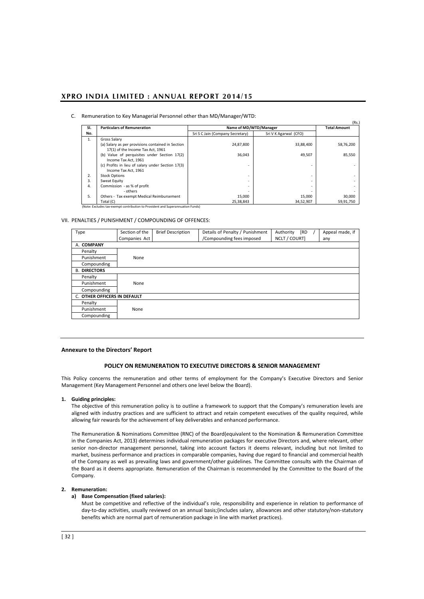#### C. Remuneration to Key Managerial Personnel other than MD/Manager/WTD:

| SI. | <b>Particulars of Remuneration</b>                | Name of MD/WTD/Manager           |                       | <b>Total Amount</b> |
|-----|---------------------------------------------------|----------------------------------|-----------------------|---------------------|
| No. |                                                   | Sri S C Jain (Company Secretary) | Sri V K Agarwal (CFO) |                     |
| 1.  | Gross Salary                                      |                                  |                       |                     |
|     | (a) Salary as per provisions contained in Section | 24,87,800                        | 33,88,400             | 58,76,200           |
|     | 17(1) of the Income Tax Act, 1961                 |                                  |                       |                     |
|     | (b) Value of perquisites under Section 17(2)      | 36,043                           | 49.507                | 85,550              |
|     | Income Tax Act. 1961                              |                                  |                       |                     |
|     | (c) Profits in lieu of salary under Section 17(3) |                                  |                       |                     |
|     | Income Tax Act, 1961                              |                                  |                       |                     |
| 2.  | <b>Stock Options</b>                              |                                  | ۰                     |                     |
| 3.  | Sweat Equity                                      |                                  | ۰                     |                     |
| 4.  | Commission - as % of profit                       |                                  | ۰                     |                     |
|     | - others                                          |                                  | ۰                     |                     |
| 5.  | Others - Tax exempt Medical Reimbursement         | 15,000                           | 15,000                | 30,000              |
|     | Total (C)                                         | 25,38,843                        | 34,52,907             | 59,91,750           |

VII. PENALTIES / PUNISHMENT / COMPOUNDING OF OFFENCES:

| Type                         | Section of the | <b>Brief Description</b> | Details of Penalty / Punishment | Authority<br>[RD |  | Appeal made, if |
|------------------------------|----------------|--------------------------|---------------------------------|------------------|--|-----------------|
|                              | Companies Act  |                          | /Compounding fees imposed       | NCLT / COURT]    |  | any             |
| A. COMPANY                   |                |                          |                                 |                  |  |                 |
| Penalty                      |                |                          |                                 |                  |  |                 |
| Punishment                   | None           |                          |                                 |                  |  |                 |
| Compounding                  |                |                          |                                 |                  |  |                 |
| <b>B. DIRECTORS</b>          |                |                          |                                 |                  |  |                 |
| Penalty                      |                |                          |                                 |                  |  |                 |
| Punishment                   | None           |                          |                                 |                  |  |                 |
| Compounding                  |                |                          |                                 |                  |  |                 |
| C. OTHER OFFICERS IN DEFAULT |                |                          |                                 |                  |  |                 |
| Penalty                      |                |                          |                                 |                  |  |                 |
| Punishment                   | None           |                          |                                 |                  |  |                 |
| Compounding                  |                |                          |                                 |                  |  |                 |

#### **Annexure to the Directors' Report**

## **POLICY ON REMUNERATION TO EXECUTIVE DIRECTORS & SENIOR MANAGEMENT**

This Policy concerns the remuneration and other terms of employment for the Company's Executive Directors and Senior Management (Key Management Personnel and others one level below the Board).

#### **1. Guiding principles:**

The objective of this remuneration policy is to outline a framework to support that the Company's remuneration levels are aligned with industry practices and are sufficient to attract and retain competent executives of the quality required, while allowing fair rewards for the achievement of key deliverables and enhanced performance.

The Remuneration & Nominations Committee (RNC) of the Board(equivalent to the Nomination & Remuneration Committee in the Companies Act, 2013) determines individual remuneration packages for executive Directors and, where relevant, other senior non-director management personnel, taking into account factors it deems relevant, including but not limited to market, business performance and practices in comparable companies, having due regard to financial and commercial health of the Company as well as prevailing laws and government/other guidelines. The Committee consults with the Chairman of the Board as it deems appropriate. Remuneration of the Chairman is recommended by the Committee to the Board of the Company.

#### **2. Remuneration:**

#### **a) Base Compensation (fixed salaries):**

Must be competitive and reflective of the individual's role, responsibility and experience in relation to performance of day-to-day activities, usually reviewed on an annual basis;(includes salary, allowances and other statutory/non-statutory benefits which are normal part of remuneration package in line with market practices).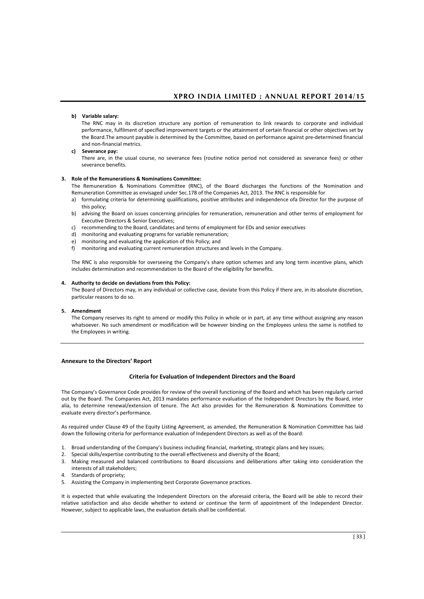#### **b) Variable salary:**

The RNC may in its discretion structure any portion of remuneration to link rewards to corporate and individual performance, fulfilment of specified improvement targets or the attainment of certain financial or other objectives set by the Board.The amount payable is determined by the Committee, based on performance against pre-determined financial and non-financial metrics.

## **c) Severance pay:**

There are, in the usual course, no severance fees (routine notice period not considered as severance fees) or other severance benefits.

#### **3. Role of the Remunerations & Nominations Committee:**

The Remuneration & Nominations Committee (RNC), of the Board discharges the functions of the Nomination and Remuneration Committee as envisaged under Sec.178 of the Companies Act, 2013. The RNC is responsible for

- a) formulating criteria for determining qualifications, positive attributes and independence ofa Director for the purpose of this policy;
- b) advising the Board on issues concerning principles for remuneration, remuneration and other terms of employment for Executive Directors & Senior Executives;
- c) recommending to the Board, candidates and terms of employment for EDs and senior executives
- d) monitoring and evaluating programs for variable remuneration;
- e) monitoring and evaluating the application of this Policy; and
- f) monitoring and evaluating current remuneration structures and levels in the Company.

The RNC is also responsible for overseeing the Company's share option schemes and any long term incentive plans, which includes determination and recommendation to the Board of the eligibility for benefits.

#### **4. Authority to decide on deviations from this Policy:**

The Board of Directors may, in any individual or collective case, deviate from this Policy if there are, in its absolute discretion, particular reasons to do so.

#### **5. Amendment**

The Company reserves its right to amend or modify this Policy in whole or in part, at any time without assigning any reason whatsoever. No such amendment or modification will be however binding on the Employees unless the same is notified to the Employees in writing.

### **Annexure to the Directors' Report**

#### **Criteria for Evaluation of Independent Directors and the Board**

The Company's Governance Code provides for review of the overall functioning of the Board and which has been regularly carried out by the Board. The Companies Act, 2013 mandates performance evaluation of the Independent Directors by the Board, inter alia, to determine renewal/extension of tenure. The Act also provides for the Remuneration & Nominations Committee to evaluate every director's performance.

As required under Clause 49 of the Equity Listing Agreement, as amended, the Remuneration & Nomination Committee has laid down the following criteria for performance evaluation of Independent Directors as well as of the Board:

- 1. Broad understanding of the Company's business including financial, marketing, strategic plans and key issues;
- 2. Special skills/expertise contributing to the overall effectiveness and diversity of the Board;
- 3. Making measured and balanced contributions to Board discussions and deliberations after taking into consideration the interests of all stakeholders;
- 4. Standards of propriety;
- 5. Assisting the Company in implementing best Corporate Governance practices.

It is expected that while evaluating the Independent Directors on the aforesaid criteria, the Board will be able to record their relative satisfaction and also decide whether to extend or continue the term of appointment of the Independent Director. However, subject to applicable laws, the evaluation details shall be confidential.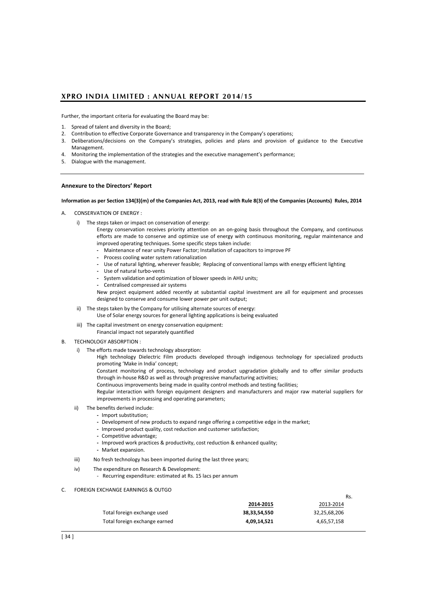Further, the important criteria for evaluating the Board may be:

- 1. Spread of talent and diversity in the Board;
- 2. Contribution to effective Corporate Governance and transparency in the Company's operations;
- 3. Deliberations/decisions on the Company's strategies, policies and plans and provision of guidance to the Executive Management.
- 4. Monitoring the implementation of the strategies and the executive management's performance;
- 5. Dialogue with the management.

### **Annexure to the Directors' Report**

#### **Information as per Section 134(3)(m) of the Companies Act, 2013, read with Rule 8(3) of the Companies (Accounts) Rules, 2014**

- A. CONSERVATION OF ENERGY :
	- i) The steps taken or impact on conservation of energy:
		- Energy conservation receives priority attention on an on-going basis throughout the Company, and continuous efforts are made to conserve and optimize use of energy with continuous monitoring, regular maintenance and improved operating techniques. Some specific steps taken include:
		- **-** Maintenance of near unity Power Factor; Installation of capacitors to improve PF
		- **-** Process cooling water system rationalization
		- **-** Use of natural lighting, wherever feasible; Replacing of conventional lamps with energy efficient lighting
		- **-** Use of natural turbo-vents
		- **-** System validation and optimization of blower speeds in AHU units;
		- **-** Centralised compressed air systems

New project equipment added recently at substantial capital investment are all for equipment and processes designed to conserve and consume lower power per unit output;

- ii) The steps taken by the Company for utilising alternate sources of energy:
	- Use of Solar energy sources for general lighting applications is being evaluated
- iii) The capital investment on energy conservation equipment: Financial impact not separately quantified
- B. TECHNOLOGY ABSORPTION :
	- i) The efforts made towards technology absorption:
		- High technology Dielectric Film products developed through indigenous technology for specialized products promoting 'Make in India' concept;
		- Constant monitoring of process, technology and product upgradation globally and to offer similar products through in-house R&D as well as through progressive manufacturing activities;
		- Continuous improvements being made in quality control methods and testing facilities;

Regular interaction with foreign equipment designers and manufacturers and major raw material suppliers for improvements in processing and operating parameters;

- ii) The benefits derived include:
	- **-** Import substitution;
		- **-** Development of new products to expand range offering a competitive edge in the market;
		- **-** Improved product quality, cost reduction and customer satisfaction;
		- **-** Competitive advantage;
		- **-** Improved work practices & productivity, cost reduction & enhanced quality;
	- **-** Market expansion.
- iii) No fresh technology has been imported during the last three years;
- iv) The expenditure on Research & Development:
	- Recurring expenditure: estimated at Rs. 15 lacs per annum
- C. FOREIGN EXCHANGE EARNINGS & OUTGO

|                               |              | Rs.          |
|-------------------------------|--------------|--------------|
|                               | 2014-2015    | 2013-2014    |
| Total foreign exchange used   | 38,33,54,550 | 32,25,68,206 |
| Total foreign exchange earned | 4,09,14,521  | 4,65,57,158  |
|                               |              |              |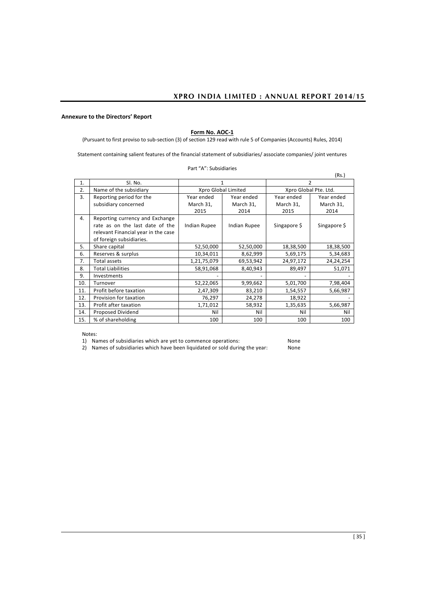# **Form No. AOC-1**

(Pursuant to first proviso to sub-section (3) of section 129 read with rule 5 of Companies (Accounts) Rules, 2014)

Statement containing salient features of the financial statement of subsidiaries/ associate companies/ joint ventures

|     |                                     |              |                     |                       | (Rs.)        |
|-----|-------------------------------------|--------------|---------------------|-----------------------|--------------|
| 1.  | SI. No.                             |              |                     | 2                     |              |
| 2.  | Name of the subsidiary              |              | Xpro Global Limited | Xpro Global Pte. Ltd. |              |
| 3.  | Reporting period for the            | Year ended   | Year ended          | Year ended            | Year ended   |
|     | subsidiary concerned                | March 31,    | March 31,           | March 31,             | March 31,    |
|     |                                     | 2015         | 2014                | 2015                  | 2014         |
| 4.  | Reporting currency and Exchange     |              |                     |                       |              |
|     | rate as on the last date of the     | Indian Rupee | <b>Indian Rupee</b> | Singapore \$          | Singapore \$ |
|     | relevant Financial year in the case |              |                     |                       |              |
|     | of foreign subsidiaries.            |              |                     |                       |              |
| 5.  | Share capital                       | 52,50,000    | 52,50,000           | 18,38,500             | 18,38,500    |
| 6.  | Reserves & surplus                  | 10,34,011    | 8,62,999            | 5,69,175              | 5,34,683     |
| 7.  | Total assets                        | 1,21,75,079  | 69,53,942           | 24,97,172             | 24,24,254    |
| 8.  | <b>Total Liabilities</b>            | 58,91,068    | 8,40,943            | 89,497                | 51,071       |
| 9.  | Investments                         |              |                     |                       |              |
| 10. | Turnover                            | 52,22,065    | 9,99,662            | 5,01,700              | 7,98,404     |
| 11. | Profit before taxation              | 2,47,309     | 83,210              | 1,54,557              | 5,66,987     |
| 12. | Provision for taxation              | 76,297       | 24,278              | 18,922                |              |
| 13. | Profit after taxation               | 1,71,012     | 58,932              | 1,35,635              | 5,66,987     |
| 14. | Proposed Dividend                   | Nil          | Nil                 | Nil                   | Nil          |
| 15. | % of shareholding                   | 100          | 100                 | 100                   | 100          |
|     |                                     |              |                     |                       |              |

Part "A": Subsidiaries

Notes:

1) Names of subsidiaries which are yet to commence operations: None<br>2) Names of subsidiaries which have been liquidated or sold during the year: None 2) Names of subsidiaries which have been liquidated or sold during the year: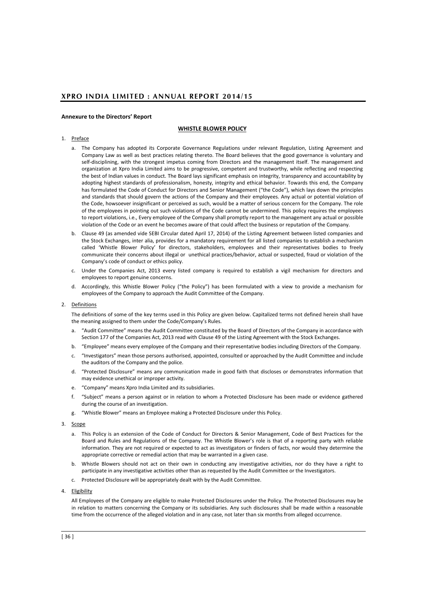#### **Annexure to the Directors' Report**

### **WHISTLE BLOWER POLICY**

#### 1. Preface

- a. The Company has adopted its Corporate Governance Regulations under relevant Regulation, Listing Agreement and Company Law as well as best practices relating thereto. The Board believes that the good governance is voluntary and self-disciplining, with the strongest impetus coming from Directors and the management itself. The management and organization at Xpro India Limited aims to be progressive, competent and trustworthy, while reflecting and respecting the best of Indian values in conduct. The Board lays significant emphasis on integrity, transparency and accountability by adopting highest standards of professionalism, honesty, integrity and ethical behavior. Towards this end, the Company has formulated the Code of Conduct for Directors and Senior Management ("the Code"), which lays down the principles and standards that should govern the actions of the Company and their employees. Any actual or potential violation of the Code, howsoever insignificant or perceived as such, would be a matter of serious concern for the Company. The role of the employees in pointing out such violations of the Code cannot be undermined. This policy requires the employees to report violations, i.e., Every employee of the Company shall promptly report to the management any actual or possible violation of the Code or an event he becomes aware of that could affect the business or reputation of the Company.
- b. Clause 49 (as amended vide SEBI Circular dated April 17, 2014) of the Listing Agreement between listed companies and the Stock Exchanges, inter alia, provides for a mandatory requirement for all listed companies to establish a mechanism called 'Whistle Blower Policy' for directors, stakeholders, employees and their representatives bodies to freely communicate their concerns about illegal or unethical practices/behavior, actual or suspected, fraud or violation of the Company's code of conduct or ethics policy.
- c. Under the Companies Act, 2013 every listed company is required to establish a vigil mechanism for directors and employees to report genuine concerns.
- d. Accordingly, this Whistle Blower Policy ("the Policy") has been formulated with a view to provide a mechanism for employees of the Company to approach the Audit Committee of the Company.

#### 2. Definitions

The definitions of some of the key terms used in this Policy are given below. Capitalized terms not defined herein shall have the meaning assigned to them under the Code/Company's Rules.

- a. "Audit Committee" means the Audit Committee constituted by the Board of Directors of the Company in accordance with Section 177 of the Companies Act, 2013 read with Clause 49 of the Listing Agreement with the Stock Exchanges.
- b. "Employee" means every employee of the Company and their representative bodies including Directors of the Company.
- c. "Investigators" mean those persons authorised, appointed, consulted or approached by the Audit Committee and include the auditors of the Company and the police.
- d. "Protected Disclosure" means any communication made in good faith that discloses or demonstrates information that may evidence unethical or improper activity.
- e. "Company" means Xpro India Limited and its subsidiaries.
- f. "Subject" means a person against or in relation to whom a Protected Disclosure has been made or evidence gathered during the course of an investigation.
- g. "Whistle Blower" means an Employee making a Protected Disclosure under this Policy.
- 3. Scope
	- a. This Policy is an extension of the Code of Conduct for Directors & Senior Management, Code of Best Practices for the Board and Rules and Regulations of the Company. The Whistle Blower's role is that of a reporting party with reliable information. They are not required or expected to act as investigators or finders of facts, nor would they determine the appropriate corrective or remedial action that may be warranted in a given case.
	- b. Whistle Blowers should not act on their own in conducting any investigative activities, nor do they have a right to participate in any investigative activities other than as requested by the Audit Committee or the Investigators.
	- c. Protected Disclosure will be appropriately dealt with by the Audit Committee.
- 4. Eligibility

All Employees of the Company are eligible to make Protected Disclosures under the Policy. The Protected Disclosures may be in relation to matters concerning the Company or its subsidiaries. Any such disclosures shall be made within a reasonable time from the occurrence of the alleged violation and in any case, not later than six months from alleged occurrence.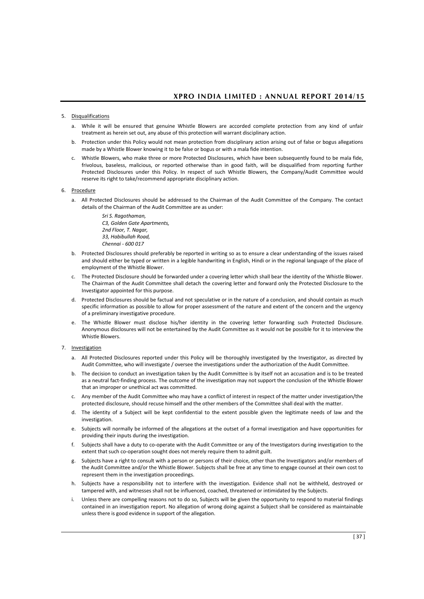### 5. Disqualifications

- a. While it will be ensured that genuine Whistle Blowers are accorded complete protection from any kind of unfair treatment as herein set out, any abuse of this protection will warrant disciplinary action.
- b. Protection under this Policy would not mean protection from disciplinary action arising out of false or bogus allegations made by a Whistle Blower knowing it to be false or bogus or with a mala fide intention.
- c. Whistle Blowers, who make three or more Protected Disclosures, which have been subsequently found to be mala fide, frivolous, baseless, malicious, or reported otherwise than in good faith, will be disqualified from reporting further Protected Disclosures under this Policy. In respect of such Whistle Blowers, the Company/Audit Committee would reserve its right to take/recommend appropriate disciplinary action.
- 6. Procedure
	- a. All Protected Disclosures should be addressed to the Chairman of the Audit Committee of the Company. The contact details of the Chairman of the Audit Committee are as under:

*Sri S. Ragothaman, C3, Golden Gate Apartments, 2nd Floor, T. Nagar, 33, Habibullah Road, Chennai - 600 017*

- b. Protected Disclosures should preferably be reported in writing so as to ensure a clear understanding of the issues raised and should either be typed or written in a legible handwriting in English, Hindi or in the regional language of the place of employment of the Whistle Blower.
- c. The Protected Disclosure should be forwarded under a covering letter which shall bear the identity of the Whistle Blower. The Chairman of the Audit Committee shall detach the covering letter and forward only the Protected Disclosure to the Investigator appointed for this purpose.
- d. Protected Disclosures should be factual and not speculative or in the nature of a conclusion, and should contain as much specific information as possible to allow for proper assessment of the nature and extent of the concern and the urgency of a preliminary investigative procedure.
- e. The Whistle Blower must disclose his/her identity in the covering letter forwarding such Protected Disclosure. Anonymous disclosures will not be entertained by the Audit Committee as it would not be possible for it to interview the Whistle Blowers.

### 7. Investigation

- a. All Protected Disclosures reported under this Policy will be thoroughly investigated by the Investigator, as directed by Audit Committee, who will investigate / oversee the investigations under the authorization of the Audit Committee.
- b. The decision to conduct an investigation taken by the Audit Committee is by itself not an accusation and is to be treated as a neutral fact-finding process. The outcome of the investigation may not support the conclusion of the Whistle Blower that an improper or unethical act was committed.
- c. Any member of the Audit Committee who may have a conflict of interest in respect of the matter under investigation/the protected disclosure, should recuse himself and the other members of the Committee shall deal with the matter.
- d. The identity of a Subject will be kept confidential to the extent possible given the legitimate needs of law and the investigation.
- e. Subjects will normally be informed of the allegations at the outset of a formal investigation and have opportunities for providing their inputs during the investigation.
- f. Subjects shall have a duty to co-operate with the Audit Committee or any of the Investigators during investigation to the extent that such co-operation sought does not merely require them to admit guilt.
- g. Subjects have a right to consult with a person or persons of their choice, other than the Investigators and/or members of the Audit Committee and/or the Whistle Blower. Subjects shall be free at any time to engage counsel at their own cost to represent them in the investigation proceedings.
- h. Subjects have a responsibility not to interfere with the investigation. Evidence shall not be withheld, destroyed or tampered with, and witnesses shall not be influenced, coached, threatened or intimidated by the Subjects.
- i. Unless there are compelling reasons not to do so, Subjects will be given the opportunity to respond to material findings contained in an investigation report. No allegation of wrong doing against a Subject shall be considered as maintainable unless there is good evidence in support of the allegation.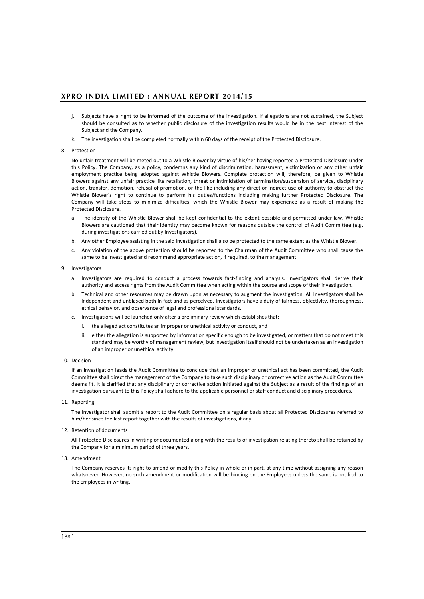- j. Subjects have a right to be informed of the outcome of the investigation. If allegations are not sustained, the Subject should be consulted as to whether public disclosure of the investigation results would be in the best interest of the Subject and the Company.
- k. The investigation shall be completed normally within 60 days of the receipt of the Protected Disclosure.

#### 8. Protection

No unfair treatment will be meted out to a Whistle Blower by virtue of his/her having reported a Protected Disclosure under this Policy. The Company, as a policy, condemns any kind of discrimination, harassment, victimization or any other unfair employment practice being adopted against Whistle Blowers. Complete protection will, therefore, be given to Whistle Blowers against any unfair practice like retaliation, threat or intimidation of termination/suspension of service, disciplinary action, transfer, demotion, refusal of promotion, or the like including any direct or indirect use of authority to obstruct the Whistle Blower's right to continue to perform his duties/functions including making further Protected Disclosure. The Company will take steps to minimize difficulties, which the Whistle Blower may experience as a result of making the Protected Disclosure.

- a. The identity of the Whistle Blower shall be kept confidential to the extent possible and permitted under law. Whistle Blowers are cautioned that their identity may become known for reasons outside the control of Audit Committee (e.g. during investigations carried out by Investigators).
- b. Any other Employee assisting in the said investigation shall also be protected to the same extent as the Whistle Blower.
- c. Any violation of the above protection should be reported to the Chairman of the Audit Committee who shall cause the same to be investigated and recommend appropriate action, if required, to the management.

#### 9. Investigators

- a. Investigators are required to conduct a process towards fact-finding and analysis. Investigators shall derive their authority and access rights from the Audit Committee when acting within the course and scope of their investigation.
- b. Technical and other resources may be drawn upon as necessary to augment the investigation. All Investigators shall be independent and unbiased both in fact and as perceived. Investigators have a duty of fairness, objectivity, thoroughness, ethical behavior, and observance of legal and professional standards.
- c. Investigations will be launched only after a preliminary review which establishes that:
	- i. the alleged act constitutes an improper or unethical activity or conduct, and
	- ii. either the allegation is supported by information specific enough to be investigated, or matters that do not meet this standard may be worthy of management review, but investigation itself should not be undertaken as an investigation of an improper or unethical activity.

#### 10. Decision

If an investigation leads the Audit Committee to conclude that an improper or unethical act has been committed, the Audit Committee shall direct the management of the Company to take such disciplinary or corrective action as the Audit Committee deems fit. It is clarified that any disciplinary or corrective action initiated against the Subject as a result of the findings of an investigation pursuant to this Policy shall adhere to the applicable personnel or staff conduct and disciplinary procedures.

#### 11. Reporting

The Investigator shall submit a report to the Audit Committee on a regular basis about all Protected Disclosures referred to him/her since the last report together with the results of investigations, if any.

#### 12. Retention of documents

All Protected Disclosures in writing or documented along with the results of investigation relating thereto shall be retained by the Company for a minimum period of three years.

#### 13. Amendment

The Company reserves its right to amend or modify this Policy in whole or in part, at any time without assigning any reason whatsoever. However, no such amendment or modification will be binding on the Employees unless the same is notified to the Employees in writing.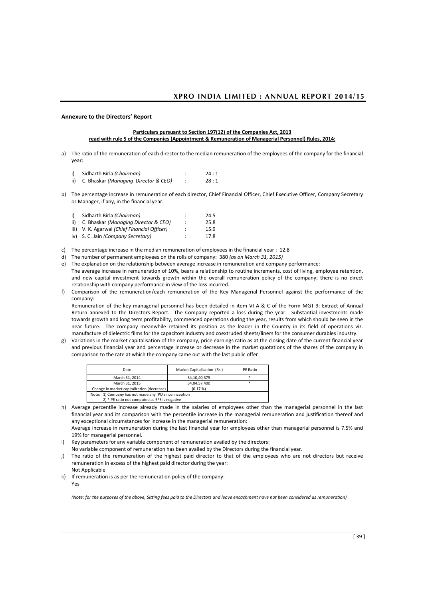#### **Particulars pursuant to Section 197(12) of the Companies Act, 2013 read with rule 5 of the Companies (Appointment & Remuneration of Managerial Personnel) Rules, 2014:**

- a) The ratio of the remuneration of each director to the median remuneration of the employees of the company for the financial year:
	- i) Sidharth Birla *(Chairman)* : 24 : 1 ii) C. Bhaskar *(Managing Director & CEO)* : 28 : 1
- b) The percentage increase in remuneration of each director, Chief Financial Officer, Chief Executive Officer, Company Secretary or Manager, if any, in the financial year:
	- i) Sidharth Birla *(Chairman)* : 24.5 ii) C. Bhaskar *(Managing Director & CEO)* : 25.8 iii) V. K. Agarwal *(Chief Financial Officer)* : iv) S. C. Jain *(Company Secretary)* : 17.8
- c) The percentage increase in the median remuneration of employees in the financial year : 12.8
- d) The number of permanent employees on the rolls of company: 380 *(as on March 31, 2015)*
- e) The explanation on the relationship between average increase in remuneration and company performance: The average increase in remuneration of 10%, bears a relationship to routine increments, cost of living, employee retention, and new capital investment towards growth within the overall remuneration policy of the company; there is no direct relationship with company performance in view of the loss incurred.
- f) Comparison of the remuneration/each remuneration of the Key Managerial Personnel against the performance of the company:

Remuneration of the key managerial personnel has been detailed in item VI A & C of the Form MGT-9: Extract of Annual Return annexed to the Directors Report. The Company reported a loss during the year. Substantial investments made towards growth and long term profitability, commenced operations during the year, results from which should be seen in the near future. The company meanwhile retained its position as the leader in the Country in its field of operations viz. manufacture of dielectric films for the capacitors industry and coextruded sheets/liners for the consumer durables industry.

g) Variations in the market capitalisation of the company, price earnings ratio as at the closing date of the current financial year and previous financial year and percentage increase or decrease in the market quotations of the shares of the company in comparison to the rate at which the company came out with the last public offer

| Date                                                  | Market Capitalisation (Rs.) | PE Ratio |  |
|-------------------------------------------------------|-----------------------------|----------|--|
| March 31, 2014                                        | 34,10,40,375                | ×.       |  |
| March 31, 2015                                        | 34,04,57,400                |          |  |
| Change in market capitalization (decrease)            | (0.17%)                     |          |  |
| Note: 1) Company has not made any IPO since inception |                             |          |  |
| 2) * PE ratio not computed as EPS is negative         |                             |          |  |

h) Average percentile increase already made in the salaries of employees other than the managerial personnel in the last financial year and its comparison with the percentile increase in the managerial remuneration and justification thereof and any exceptional circumstances for increase in the managerial remuneration: Average increase in remuneration during the last financial year for employees other than managerial personnel is 7.5% and

19% for managerial personnel.

- i) Key parameters for any variable component of remuneration availed by the directors: No variable component of remuneration has been availed by the Directors during the financial year.
- j) The ratio of the remuneration of the highest paid director to that of the employees who are not directors but receive remuneration in excess of the highest paid director during the year: Not Applicable
- k) If remuneration is as per the remuneration policy of the company: Yes

*(Note: for the purposes of the above, Sitting fees paid to the Directors and leave encashment have not been considered as remuneration)*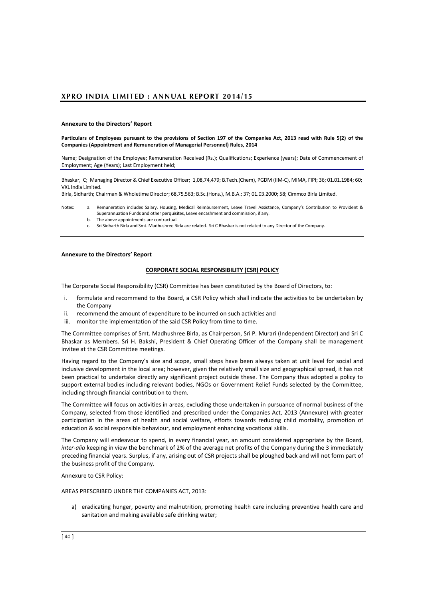**Particulars of Employees pursuant to the provisions of Section 197 of the Companies Act, 2013 read with Rule 5(2) of the Companies (Appointment and Remuneration of Managerial Personnel) Rules, 2014**

Name; Designation of the Employee; Remuneration Received (Rs.); Qualifications; Experience (years); Date of Commencement of Employment; Age (Years); Last Employment held;

Bhaskar, C; Managing Director & Chief Executive Officer; 1,08,74,479; B.Tech.(Chem), PGDM (IIM-C), MIMA, FIPI; 36; 01.01.1984; 60; VXL India Limited.

Birla, Sidharth; Chairman & Wholetime Director; 68,75,563; B.Sc.(Hons.), M.B.A.; 37; 01.03.2000; 58; Cimmco Birla Limited.

- Notes: a. Remuneration includes Salary, Housing, Medical Reimbursement, Leave Travel Assistance, Company's Contribution to Provident & Superannuation Funds and other perquisites, Leave encashment and commission, if any.
	- b. The above appointments are contractual.
		- c. Sri Sidharth Birla and Smt. Madhushree Birla are related. Sri C Bhaskar is not related to any Director of the Company.

#### **Annexure to the Directors' Report**

#### **CORPORATE SOCIAL RESPONSIBILITY (CSR) POLICY**

The Corporate Social Responsibility (CSR) Committee has been constituted by the Board of Directors, to:

- i. formulate and recommend to the Board, a CSR Policy which shall indicate the activities to be undertaken by the Company
- ii. recommend the amount of expenditure to be incurred on such activities and
- iii. monitor the implementation of the said CSR Policy from time to time.

The Committee comprises of Smt. Madhushree Birla, as Chairperson, Sri P. Murari (Independent Director) and Sri C Bhaskar as Members. Sri H. Bakshi, President & Chief Operating Officer of the Company shall be management invitee at the CSR Committee meetings.

Having regard to the Company's size and scope, small steps have been always taken at unit level for social and inclusive development in the local area; however, given the relatively small size and geographical spread, it has not been practical to undertake directly any significant project outside these. The Company thus adopted a policy to support external bodies including relevant bodies, NGOs or Government Relief Funds selected by the Committee, including through financial contribution to them.

The Committee will focus on activities in areas, excluding those undertaken in pursuance of normal business of the Company, selected from those identified and prescribed under the Companies Act, 2013 (Annexure) with greater participation in the areas of health and social welfare, efforts towards reducing child mortality, promotion of education & social responsible behaviour, and employment enhancing vocational skills.

The Company will endeavour to spend, in every financial year, an amount considered appropriate by the Board, *inter-alia* keeping in view the benchmark of 2% of the average net profits of the Company during the 3 immediately preceding financial years. Surplus, if any, arising out of CSR projects shall be ploughed back and will not form part of the business profit of the Company.

Annexure to CSR Policy:

AREAS PRESCRIBED UNDER THE COMPANIES ACT, 2013:

a) eradicating hunger, poverty and malnutrition, promoting health care including preventive health care and sanitation and making available safe drinking water;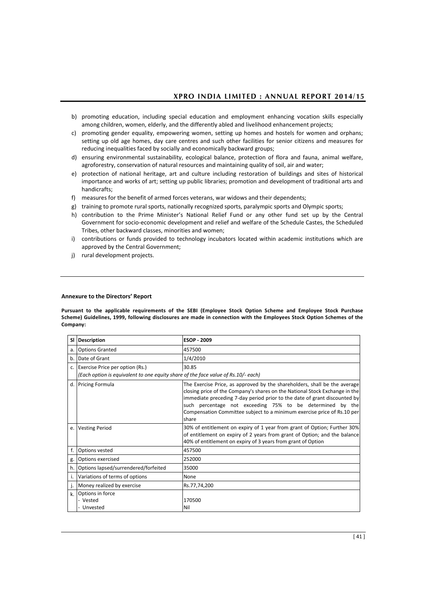- b) promoting education, including special education and employment enhancing vocation skills especially among children, women, elderly, and the differently abled and livelihood enhancement projects;
- c) promoting gender equality, empowering women, setting up homes and hostels for women and orphans; setting up old age homes, day care centres and such other facilities for senior citizens and measures for reducing inequalities faced by socially and economically backward groups;
- d) ensuring environmental sustainability, ecological balance, protection of flora and fauna, animal welfare, agroforestry, conservation of natural resources and maintaining quality of soil, air and water;
- e) protection of national heritage, art and culture including restoration of buildings and sites of historical importance and works of art; setting up public libraries; promotion and development of traditional arts and handicrafts;
- f) measures for the benefit of armed forces veterans, war widows and their dependents;
- g) training to promote rural sports, nationally recognized sports, paralympic sports and Olympic sports;
- h) contribution to the Prime Minister's National Relief Fund or any other fund set up by the Central Government for socio-economic development and relief and welfare of the Schedule Castes, the Scheduled Tribes, other backward classes, minorities and women;
- i) contributions or funds provided to technology incubators located within academic institutions which are approved by the Central Government;
- j) rural development projects.

**Pursuant to the applicable requirements of the SEBI (Employee Stock Option Scheme and Employee Stock Purchase Scheme) Guidelines, 1999, following disclosures are made in connection with the Employees Stock Option Schemes of the Company:**

| <b>SI</b> | Description                                                                       | <b>ESOP - 2009</b>                                                                                                                                                                                                                                                                                                                                                                     |
|-----------|-----------------------------------------------------------------------------------|----------------------------------------------------------------------------------------------------------------------------------------------------------------------------------------------------------------------------------------------------------------------------------------------------------------------------------------------------------------------------------------|
| a.        | <b>Options Granted</b>                                                            | 457500                                                                                                                                                                                                                                                                                                                                                                                 |
| b.        | Date of Grant                                                                     | 1/4/2010                                                                                                                                                                                                                                                                                                                                                                               |
|           | c. Exercise Price per option (Rs.)                                                | 30.85                                                                                                                                                                                                                                                                                                                                                                                  |
|           | (Each option is equivalent to one equity share of the face value of Rs.10/- each) |                                                                                                                                                                                                                                                                                                                                                                                        |
| d.        | <b>Pricing Formula</b>                                                            | The Exercise Price, as approved by the shareholders, shall be the average<br>closing price of the Company's shares on the National Stock Exchange in the<br>immediate preceding 7-day period prior to the date of grant discounted by<br>such percentage not exceeding 75% to be determined by the<br>Compensation Committee subject to a minimum exercise price of Rs.10 per<br>share |
| e.        | <b>Vesting Period</b>                                                             | 30% of entitlement on expiry of 1 year from grant of Option; Further 30%<br>of entitlement on expiry of 2 years from grant of Option; and the balance<br>40% of entitlement on expiry of 3 years from grant of Option                                                                                                                                                                  |
| f.        | Options vested                                                                    | 457500                                                                                                                                                                                                                                                                                                                                                                                 |
| g.        | Options exercised                                                                 | 252000                                                                                                                                                                                                                                                                                                                                                                                 |
| h.        | Options lapsed/surrendered/forfeited                                              | 35000                                                                                                                                                                                                                                                                                                                                                                                  |
| i.        | Variations of terms of options                                                    | None                                                                                                                                                                                                                                                                                                                                                                                   |
| j.        | Money realized by exercise                                                        | Rs.77,74,200                                                                                                                                                                                                                                                                                                                                                                           |
| k.        | Options in force<br>- Vested<br>Unvested                                          | 170500<br>Nil                                                                                                                                                                                                                                                                                                                                                                          |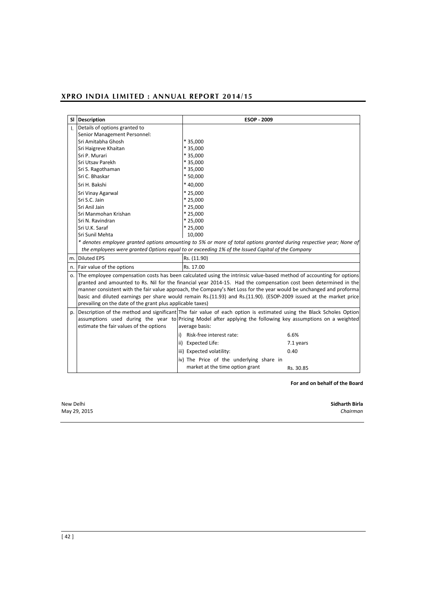| <b>SI</b>    | <b>Description</b>                                                                                                                                                                                                                                                                                                                                                                                                                                                                                                                                  | <b>ESOP - 2009</b>                                                                               |           |  |  |
|--------------|-----------------------------------------------------------------------------------------------------------------------------------------------------------------------------------------------------------------------------------------------------------------------------------------------------------------------------------------------------------------------------------------------------------------------------------------------------------------------------------------------------------------------------------------------------|--------------------------------------------------------------------------------------------------|-----------|--|--|
| $\mathbf{L}$ | Details of options granted to                                                                                                                                                                                                                                                                                                                                                                                                                                                                                                                       |                                                                                                  |           |  |  |
|              | Senior Management Personnel:                                                                                                                                                                                                                                                                                                                                                                                                                                                                                                                        |                                                                                                  |           |  |  |
|              | Sri Amitabha Ghosh                                                                                                                                                                                                                                                                                                                                                                                                                                                                                                                                  | * 35,000                                                                                         |           |  |  |
|              | Sri Haigreve Khaitan                                                                                                                                                                                                                                                                                                                                                                                                                                                                                                                                | * 35.000                                                                                         |           |  |  |
|              | Sri P. Murari                                                                                                                                                                                                                                                                                                                                                                                                                                                                                                                                       | * 35.000                                                                                         |           |  |  |
|              | Sri Utsav Parekh                                                                                                                                                                                                                                                                                                                                                                                                                                                                                                                                    | * 35.000                                                                                         |           |  |  |
|              | Sri S. Ragothaman                                                                                                                                                                                                                                                                                                                                                                                                                                                                                                                                   | * 35.000                                                                                         |           |  |  |
|              | Sri C. Bhaskar                                                                                                                                                                                                                                                                                                                                                                                                                                                                                                                                      | * 50,000                                                                                         |           |  |  |
|              | Sri H. Bakshi                                                                                                                                                                                                                                                                                                                                                                                                                                                                                                                                       | * 40,000                                                                                         |           |  |  |
|              | Sri Vinay Agarwal                                                                                                                                                                                                                                                                                                                                                                                                                                                                                                                                   | $*25.000$                                                                                        |           |  |  |
|              | Sri S.C. Jain                                                                                                                                                                                                                                                                                                                                                                                                                                                                                                                                       | $*25.000$                                                                                        |           |  |  |
|              | Sri Anil Jain                                                                                                                                                                                                                                                                                                                                                                                                                                                                                                                                       | $*25,000$                                                                                        |           |  |  |
|              | Sri Manmohan Krishan                                                                                                                                                                                                                                                                                                                                                                                                                                                                                                                                | $*25,000$                                                                                        |           |  |  |
|              | Sri N. Ravindran                                                                                                                                                                                                                                                                                                                                                                                                                                                                                                                                    | $*25,000$                                                                                        |           |  |  |
|              | Sri U.K. Saraf                                                                                                                                                                                                                                                                                                                                                                                                                                                                                                                                      | $*25,000$                                                                                        |           |  |  |
|              | Sri Sunil Mehta                                                                                                                                                                                                                                                                                                                                                                                                                                                                                                                                     | 10,000                                                                                           |           |  |  |
|              | * denotes employee granted options amounting to 5% or more of total options granted during respective year; None of                                                                                                                                                                                                                                                                                                                                                                                                                                 |                                                                                                  |           |  |  |
|              |                                                                                                                                                                                                                                                                                                                                                                                                                                                                                                                                                     | the employees were granted Options equal to or exceeding 1% of the Issued Capital of the Company |           |  |  |
|              | m. Diluted EPS                                                                                                                                                                                                                                                                                                                                                                                                                                                                                                                                      | Rs. (11.90)                                                                                      |           |  |  |
|              | n. Fair value of the options                                                                                                                                                                                                                                                                                                                                                                                                                                                                                                                        | Rs. 17.00                                                                                        |           |  |  |
| 0.           | The employee compensation costs has been calculated using the intrinsic value-based method of accounting for options<br>granted and amounted to Rs. Nil for the financial year 2014-15. Had the compensation cost been determined in the<br>manner consistent with the fair value approach, the Company's Net Loss for the year would be unchanged and proforma<br>basic and diluted earnings per share would remain Rs.(11.93) and Rs.(11.90). (ESOP-2009 issued at the market price<br>prevailing on the date of the grant plus applicable taxes) |                                                                                                  |           |  |  |
|              | p. Description of the method and significant The fair value of each option is estimated using the Black Scholes Option<br>assumptions used during the year to Pricing Model after applying the following key assumptions on a weighted<br>estimate the fair values of the options                                                                                                                                                                                                                                                                   | average basis:                                                                                   |           |  |  |
|              | i)                                                                                                                                                                                                                                                                                                                                                                                                                                                                                                                                                  | Risk-free interest rate:                                                                         | 6.6%      |  |  |
|              |                                                                                                                                                                                                                                                                                                                                                                                                                                                                                                                                                     | ii) Expected Life:                                                                               | 7.1 years |  |  |
|              |                                                                                                                                                                                                                                                                                                                                                                                                                                                                                                                                                     | iii) Expected volatility:                                                                        | 0.40      |  |  |
|              |                                                                                                                                                                                                                                                                                                                                                                                                                                                                                                                                                     | iv) The Price of the underlying share in                                                         |           |  |  |
|              |                                                                                                                                                                                                                                                                                                                                                                                                                                                                                                                                                     | market at the time option grant                                                                  | Rs. 30.85 |  |  |

**For and on behalf of the Board**

New Delhi **Sidharth Birla** May 29, 2015 *Chairman*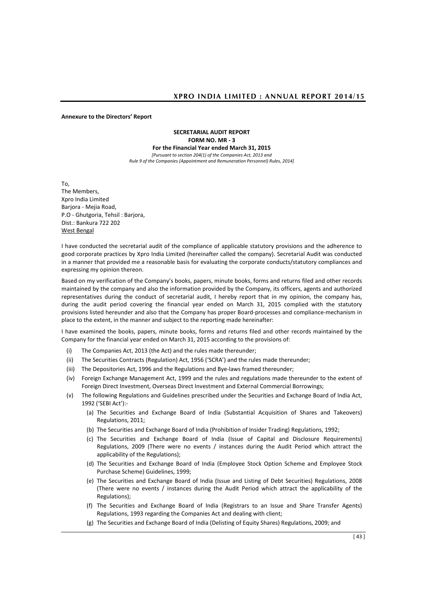#### **Annexure to the Directors' Report**

**SECRETARIAL AUDIT REPORT FORM NO. MR - 3 For the Financial Year ended March 31, 2015** *[Pursuant to section 204(1) of the Companies Act, 2013 and Rule 9 of the Companies (Appointment and Remuneration Personnel) Rules, 2014]*

To,

The Members, Xpro India Limited Barjora - Mejia Road, P.O - Ghutgoria, Tehsil : Barjora, Dist.: Bankura 722 202 West Bengal

I have conducted the secretarial audit of the compliance of applicable statutory provisions and the adherence to good corporate practices by Xpro India Limited (hereinafter called the company). Secretarial Audit was conducted in a manner that provided me a reasonable basis for evaluating the corporate conducts/statutory compliances and expressing my opinion thereon.

Based on my verification of the Company's books, papers, minute books, forms and returns filed and other records maintained by the company and also the information provided by the Company, its officers, agents and authorized representatives during the conduct of secretarial audit, I hereby report that in my opinion, the company has, during the audit period covering the financial year ended on March 31, 2015 complied with the statutory provisions listed hereunder and also that the Company has proper Board-processes and compliance-mechanism in place to the extent, in the manner and subject to the reporting made hereinafter:

I have examined the books, papers, minute books, forms and returns filed and other records maintained by the Company for the financial year ended on March 31, 2015 according to the provisions of:

- (i) The Companies Act, 2013 (the Act) and the rules made thereunder;
- (ii) The Securities Contracts (Regulation) Act, 1956 ('SCRA') and the rules made thereunder;
- (iii) The Depositories Act, 1996 and the Regulations and Bye-laws framed thereunder;
- (iv) Foreign Exchange Management Act, 1999 and the rules and regulations made thereunder to the extent of Foreign Direct Investment, Overseas Direct Investment and External Commercial Borrowings;
- (v) The following Regulations and Guidelines prescribed under the Securities and Exchange Board of India Act, 1992 ('SEBI Act'):-
	- (a) The Securities and Exchange Board of India (Substantial Acquisition of Shares and Takeovers) Regulations, 2011;
	- (b) The Securities and Exchange Board of India (Prohibition of Insider Trading) Regulations, 1992;
	- (c) The Securities and Exchange Board of India (Issue of Capital and Disclosure Requirements) Regulations, 2009 (There were no events / instances during the Audit Period which attract the applicability of the Regulations);
	- (d) The Securities and Exchange Board of India (Employee Stock Option Scheme and Employee Stock Purchase Scheme) Guidelines, 1999;
	- (e) The Securities and Exchange Board of India (Issue and Listing of Debt Securities) Regulations, 2008 (There were no events / instances during the Audit Period which attract the applicability of the Regulations);
	- (f) The Securities and Exchange Board of India (Registrars to an Issue and Share Transfer Agents) Regulations, 1993 regarding the Companies Act and dealing with client;
	- (g) The Securities and Exchange Board of India (Delisting of Equity Shares) Regulations, 2009; and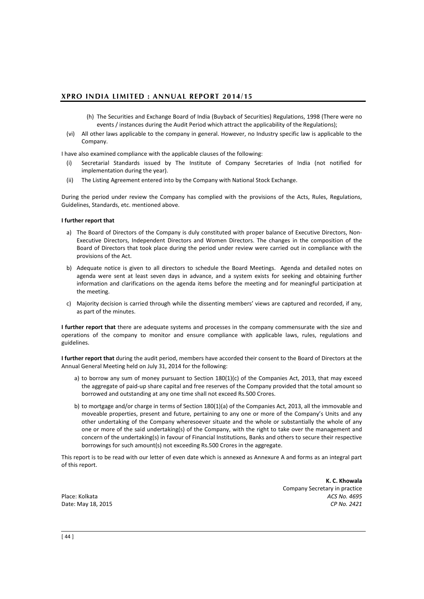- (h) The Securities and Exchange Board of India (Buyback of Securities) Regulations, 1998 (There were no events / instances during the Audit Period which attract the applicability of the Regulations);
- (vi) All other laws applicable to the company in general. However, no Industry specific law is applicable to the Company.

I have also examined compliance with the applicable clauses of the following:

- (i) Secretarial Standards issued by The Institute of Company Secretaries of India (not notified for implementation during the year).
- (ii) The Listing Agreement entered into by the Company with National Stock Exchange.

During the period under review the Company has complied with the provisions of the Acts, Rules, Regulations, Guidelines, Standards, etc. mentioned above.

### **I further report that**

- a) The Board of Directors of the Company is duly constituted with proper balance of Executive Directors, Non-Executive Directors, Independent Directors and Women Directors. The changes in the composition of the Board of Directors that took place during the period under review were carried out in compliance with the provisions of the Act.
- b) Adequate notice is given to all directors to schedule the Board Meetings. Agenda and detailed notes on agenda were sent at least seven days in advance, and a system exists for seeking and obtaining further information and clarifications on the agenda items before the meeting and for meaningful participation at the meeting.
- c) Majority decision is carried through while the dissenting members' views are captured and recorded, if any, as part of the minutes.

**I further report that** there are adequate systems and processes in the company commensurate with the size and operations of the company to monitor and ensure compliance with applicable laws, rules, regulations and guidelines.

**I further report that** during the audit period, members have accorded their consent to the Board of Directors at the Annual General Meeting held on July 31, 2014 for the following:

- a) to borrow any sum of money pursuant to Section  $180(1)(c)$  of the Companies Act, 2013, that may exceed the aggregate of paid-up share capital and free reserves of the Company provided that the total amount so borrowed and outstanding at any one time shall not exceed Rs.500 Crores.
- b) to mortgage and/or charge in terms of Section 180(1)(a) of the Companies Act, 2013, all the immovable and moveable properties, present and future, pertaining to any one or more of the Company's Units and any other undertaking of the Company wheresoever situate and the whole or substantially the whole of any one or more of the said undertaking(s) of the Company, with the right to take over the management and concern of the undertaking(s) in favour of Financial Institutions, Banks and others to secure their respective borrowings for such amount(s) not exceeding Rs.500 Crores in the aggregate.

This report is to be read with our letter of even date which is annexed as Annexure A and forms as an integral part of this report.

**K. C. Khowala**  Company Secretary in practice Place: Kolkata *ACS No. 4695*  Date: May 18, 2015 *CP No. 2421*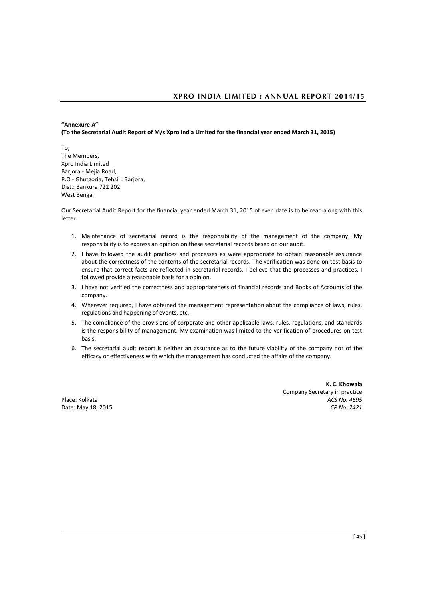# **"Annexure A" (To the Secretarial Audit Report of M/s Xpro India Limited for the financial year ended March 31, 2015)**

To, The Members, Xpro India Limited Barjora - Mejia Road, P.O - Ghutgoria, Tehsil : Barjora, Dist.: Bankura 722 202 West Bengal

Our Secretarial Audit Report for the financial year ended March 31, 2015 of even date is to be read along with this letter.

- 1. Maintenance of secretarial record is the responsibility of the management of the company. My responsibility is to express an opinion on these secretarial records based on our audit.
- 2. I have followed the audit practices and processes as were appropriate to obtain reasonable assurance about the correctness of the contents of the secretarial records. The verification was done on test basis to ensure that correct facts are reflected in secretarial records. I believe that the processes and practices, I followed provide a reasonable basis for a opinion.
- 3. I have not verified the correctness and appropriateness of financial records and Books of Accounts of the company.
- 4. Wherever required, I have obtained the management representation about the compliance of laws, rules, regulations and happening of events, etc.
- 5. The compliance of the provisions of corporate and other applicable laws, rules, regulations, and standards is the responsibility of management. My examination was limited to the verification of procedures on test basis.
- 6. The secretarial audit report is neither an assurance as to the future viability of the company nor of the efficacy or effectiveness with which the management has conducted the affairs of the company.

**K. C. Khowala**  Company Secretary in practice Place: Kolkata *ACS No. 4695*  Date: May 18, 2015 *CP No. 2421*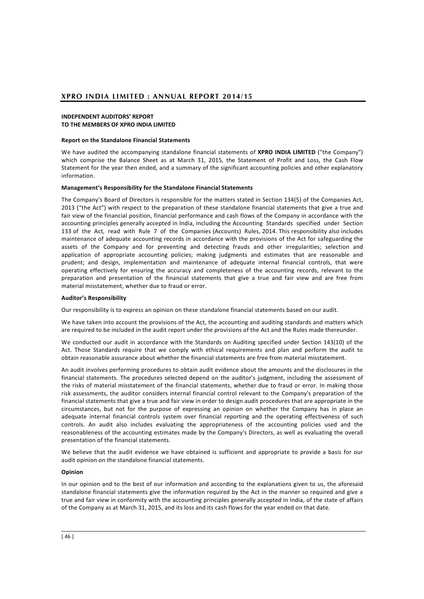### **INDEPENDENT AUDITORS' REPORT TO THE MEMBERS OF XPRO INDIA LIMITED**

### **Report on the Standalone Financial Statements**

We have audited the accompanying standalone financial statements of **XPRO INDIA LIMITED** ("the Company") which comprise the Balance Sheet as at March 31, 2015, the Statement of Profit and Loss, the Cash Flow Statement for the year then ended, and a summary of the significant accounting policies and other explanatory information.

#### **Management's Responsibility for the Standalone Financial Statements**

The Company's Board of Directors is responsible for the matters stated in Section 134(5) of the Companies Act, 2013 ("the Act") with respect to the preparation of these standalone financial statements that give a true and fair view of the financial position, financial performance and cash flows of the Company in accordance with the accounting principles generally accepted in India, including the Accounting Standards specified under Section 133 of the Act, read with Rule 7 of the Companies (Accounts) Rules, 2014. This responsibility also includes maintenance of adequate accounting records in accordance with the provisions of the Act for safeguarding the assets of the Company and for preventing and detecting frauds and other irregularities; selection and application of appropriate accounting policies; making judgments and estimates that are reasonable and prudent; and design, implementation and maintenance of adequate internal financial controls, that were operating effectively for ensuring the accuracy and completeness of the accounting records, relevant to the preparation and presentation of the financial statements that give a true and fair view and are free from material misstatement, whether due to fraud or error.

#### **Auditor's Responsibility**

Our responsibility is to express an opinion on these standalone financial statements based on our audit.

We have taken into account the provisions of the Act, the accounting and auditing standards and matters which are required to be included in the audit report under the provisions of the Act and the Rules made thereunder.

We conducted our audit in accordance with the Standards on Auditing specified under Section 143(10) of the Act. Those Standards require that we comply with ethical requirements and plan and perform the audit to obtain reasonable assurance about whether the financial statements are free from material misstatement.

An audit involves performing procedures to obtain audit evidence about the amounts and the disclosures in the financial statements. The procedures selected depend on the auditor's judgment, including the assessment of the risks of material misstatement of the financial statements, whether due to fraud or error. In making those risk assessments, the auditor considers internal financial control relevant to the Company's preparation of the financial statements that give a true and fair view in order to design audit procedures that are appropriate in the circumstances, but not for the purpose of expressing an opinion on whether the Company has in place an adequate internal financial controls system over financial reporting and the operating effectiveness of such controls. An audit also includes evaluating the appropriateness of the accounting policies used and the reasonableness of the accounting estimates made by the Company's Directors, as well as evaluating the overall presentation of the financial statements.

We believe that the audit evidence we have obtained is sufficient and appropriate to provide a basis for our audit opinion on the standalone financial statements.

#### **Opinion**

In our opinion and to the best of our information and according to the explanations given to us, the aforesaid standalone financial statements give the information required by the Act in the manner so required and give a true and fair view in conformity with the accounting principles generally accepted in India, of the state of affairs of the Company as at March 31, 2015, and its loss and its cash flows for the year ended on that date.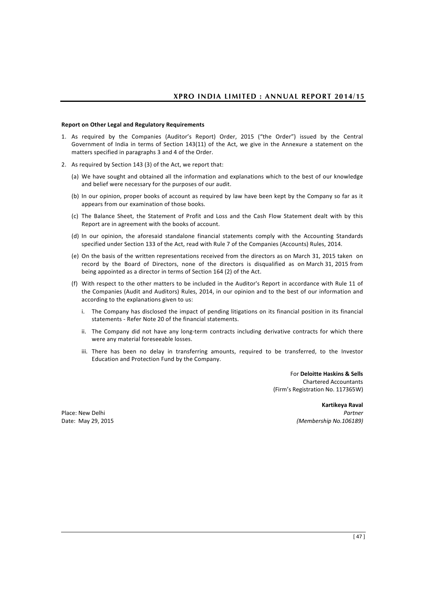### **Report on Other Legal and Regulatory Requirements**

- 1. As required by the Companies (Auditor's Report) Order, 2015 ("the Order") issued by the Central Government of India in terms of Section 143(11) of the Act, we give in the Annexure a statement on the matters specified in paragraphs 3 and 4 of the Order.
- 2. As required by Section 143 (3) of the Act, we report that:
	- (a) We have sought and obtained all the information and explanations which to the best of our knowledge and belief were necessary for the purposes of our audit.
	- (b) In our opinion, proper books of account as required by law have been kept by the Company so far as it appears from our examination of those books.
	- (c) The Balance Sheet, the Statement of Profit and Loss and the Cash Flow Statement dealt with by this Report are in agreement with the books of account.
	- (d) In our opinion, the aforesaid standalone financial statements comply with the Accounting Standards specified under Section 133 of the Act, read with Rule 7 of the Companies (Accounts) Rules, 2014.
	- (e) On the basis of the written representations received from the directors as on March 31, 2015 taken on record by the Board of Directors, none of the directors is disqualified as on March 31, 2015 from being appointed as a director in terms of Section 164 (2) of the Act.
	- (f) With respect to the other matters to be included in the Auditor's Report in accordance with Rule 11 of the Companies (Audit and Auditors) Rules, 2014, in our opinion and to the best of our information and according to the explanations given to us:
		- i. The Company has disclosed the impact of pending litigations on its financial position in its financial statements - Refer Note 20 of the financial statements.
		- ii. The Company did not have any long-term contracts including derivative contracts for which there were any material foreseeable losses.
		- iii. There has been no delay in transferring amounts, required to be transferred, to the Investor Education and Protection Fund by the Company.

For **Deloitte Haskins & Sells**  Chartered Accountants (Firm's Registration No. 117365W)

**Kartikeya Raval** Place: New Delhi *Partner* Date: May 29, 2015 *(Membership No.106189)*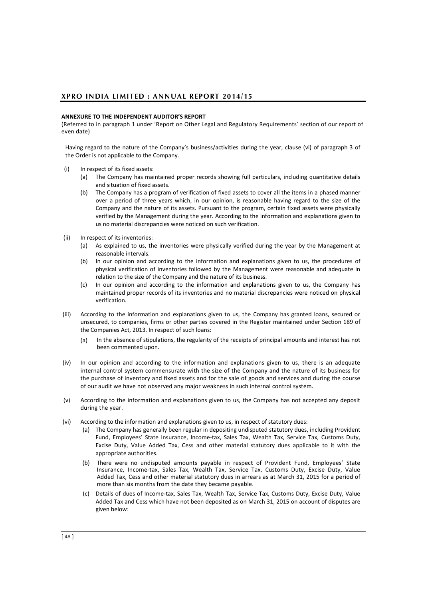### **ANNEXURE TO THE INDEPENDENT AUDITOR'S REPORT**

(Referred to in paragraph 1 under 'Report on Other Legal and Regulatory Requirements' section of our report of even date)

Having regard to the nature of the Company's business/activities during the year, clause (vi) of paragraph 3 of the Order is not applicable to the Company.

- (i) In respect of its fixed assets:
	- (a) The Company has maintained proper records showing full particulars, including quantitative details and situation of fixed assets.
	- (b) The Company has a program of verification of fixed assets to cover all the items in a phased manner over a period of three years which, in our opinion, is reasonable having regard to the size of the Company and the nature of its assets. Pursuant to the program, certain fixed assets were physically verified by the Management during the year. According to the information and explanations given to us no material discrepancies were noticed on such verification.
- (ii) In respect of its inventories:
	- (a) As explained to us, the inventories were physically verified during the year by the Management at reasonable intervals.
	- (b) In our opinion and according to the information and explanations given to us, the procedures of physical verification of inventories followed by the Management were reasonable and adequate in relation to the size of the Company and the nature of its business.
	- (c) In our opinion and according to the information and explanations given to us, the Company has maintained proper records of its inventories and no material discrepancies were noticed on physical verification.
- (iii) According to the information and explanations given to us, the Company has granted loans, secured or unsecured, to companies, firms or other parties covered in the Register maintained under Section 189 of the Companies Act, 2013. In respect of such loans:
	- (a) In the absence of stipulations, the regularity of the receipts of principal amounts and interest has not been commented upon.
- (iv) In our opinion and according to the information and explanations given to us, there is an adequate internal control system commensurate with the size of the Company and the nature of its business for the purchase of inventory and fixed assets and for the sale of goods and services and during the course of our audit we have not observed any major weakness in such internal control system.
- (v) According to the information and explanations given to us, the Company has not accepted any deposit during the year.
- (vi) According to the information and explanations given to us, in respect of statutory dues:
	- (a) The Company has generally been regular in depositing undisputed statutory dues, including Provident Fund, Employees' State Insurance, Income-tax, Sales Tax, Wealth Tax, Service Tax, Customs Duty, Excise Duty, Value Added Tax, Cess and other material statutory dues applicable to it with the appropriate authorities.
	- (b) There were no undisputed amounts payable in respect of Provident Fund, Employees' State Insurance, Income-tax, Sales Tax, Wealth Tax, Service Tax, Customs Duty, Excise Duty, Value Added Tax, Cess and other material statutory dues in arrears as at March 31, 2015 for a period of more than six months from the date they became payable.
	- (c) Details of dues of Income-tax, Sales Tax, Wealth Tax, Service Tax, Customs Duty, Excise Duty, Value Added Tax and Cess which have not been deposited as on March 31, 2015 on account of disputes are given below: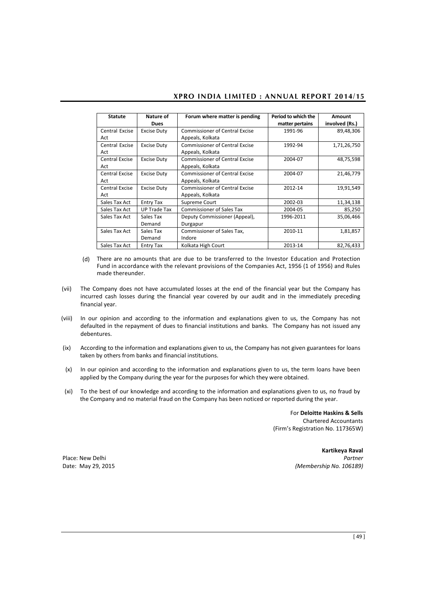| <b>Statute</b>               | Nature of<br><b>Dues</b> | Forum where matter is pending                             | Period to which the<br>matter pertains | Amount<br>involved (Rs.) |
|------------------------------|--------------------------|-----------------------------------------------------------|----------------------------------------|--------------------------|
| Central Excise<br>Act        | <b>Excise Duty</b>       | <b>Commissioner of Central Excise</b><br>Appeals, Kolkata | 1991-96                                | 89,48,306                |
| Central Excise<br>Act        | <b>Excise Duty</b>       | <b>Commissioner of Central Excise</b><br>Appeals, Kolkata | 1992-94                                | 1,71,26,750              |
| <b>Central Excise</b><br>Act | <b>Excise Duty</b>       | <b>Commissioner of Central Excise</b><br>Appeals, Kolkata | 2004-07                                | 48,75,598                |
| <b>Central Excise</b><br>Act | <b>Excise Duty</b>       | <b>Commissioner of Central Excise</b><br>Appeals, Kolkata | 2004-07                                | 21,46,779                |
| <b>Central Excise</b><br>Act | <b>Excise Duty</b>       | <b>Commissioner of Central Excise</b><br>Appeals, Kolkata | 2012-14                                | 19,91,549                |
| Sales Tax Act                | <b>Entry Tax</b>         | Supreme Court                                             | 2002-03                                | 11,34,138                |
| Sales Tax Act                | <b>UP Trade Tax</b>      | <b>Commissioner of Sales Tax</b>                          | 2004-05                                | 85,250                   |
| Sales Tax Act                | Sales Tax<br>Demand      | Deputy Commissioner (Appeal),<br>Durgapur                 | 1996-2011                              | 35,06,466                |
| Sales Tax Act                | Sales Tax<br>Demand      | Commissioner of Sales Tax.<br>Indore                      | 2010-11                                | 1,81,857                 |
| Sales Tax Act                | <b>Entry Tax</b>         | Kolkata High Court                                        | 2013-14                                | 82,76,433                |

- (d) There are no amounts that are due to be transferred to the Investor Education and Protection Fund in accordance with the relevant provisions of the Companies Act, 1956 (1 of 1956) and Rules made thereunder.
- (vii) The Company does not have accumulated losses at the end of the financial year but the Company has incurred cash losses during the financial year covered by our audit and in the immediately preceding financial year.
- (viii) In our opinion and according to the information and explanations given to us, the Company has not defaulted in the repayment of dues to financial institutions and banks. The Company has not issued any debentures.
- (ix) According to the information and explanations given to us, the Company has not given guarantees for loans taken by others from banks and financial institutions.
- (x) In our opinion and according to the information and explanations given to us, the term loans have been applied by the Company during the year for the purposes for which they were obtained.
- (xi) To the best of our knowledge and according to the information and explanations given to us, no fraud by the Company and no material fraud on the Company has been noticed or reported during the year.

For **Deloitte Haskins & Sells**  Chartered Accountants (Firm's Registration No. 117365W)

**Kartikeya Raval** Place: New Delhi *Partner* Date: May 29, 2015 *(Membership No. 106189)*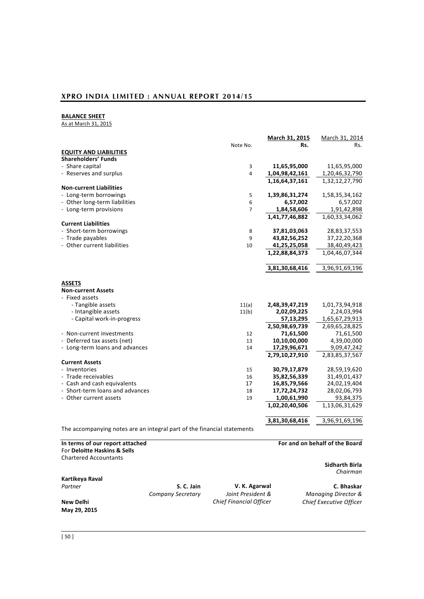# **BALANCE SHEET**

As at March 31, 2015

|                                 |                | March 31, 2015 | March 31, 2014 |
|---------------------------------|----------------|----------------|----------------|
|                                 | Note No.       | Rs.            | Rs.            |
| <b>EQUITY AND LIABILITIES</b>   |                |                |                |
| <b>Shareholders' Funds</b>      |                |                |                |
| - Share capital                 | 3              | 11,65,95,000   | 11,65,95,000   |
| - Reserves and surplus          | $\overline{4}$ | 1,04,98,42,161 | 1,20,46,32,790 |
|                                 |                | 1,16,64,37,161 | 1,32,12,27,790 |
| <b>Non-current Liabilities</b>  |                |                |                |
| - Long-term borrowings          | 5              | 1,39,86,31,274 | 1,58,35,34,162 |
| - Other long-term liabilities   | 6              | 6,57,002       | 6,57,002       |
| - Long-term provisions          | $\overline{7}$ | 1,84,58,606    | 1,91,42,898    |
|                                 |                | 1,41,77,46,882 | 1,60,33,34,062 |
| <b>Current Liabilities</b>      |                |                |                |
| - Short-term borrowings         | 8              | 37,81,03,063   | 28,83,37,553   |
| - Trade payables                | 9              | 43,82,56,252   | 37,22,20,368   |
| - Other current liabilities     | 10             | 41,25,25,058   | 38,40,49,423   |
|                                 |                | 1,22,88,84,373 | 1,04,46,07,344 |
|                                 |                |                |                |
|                                 |                | 3,81,30,68,416 | 3,96,91,69,196 |
|                                 |                |                |                |
| <b>ASSETS</b>                   |                |                |                |
| <b>Non-current Assets</b>       |                |                |                |
| - Fixed assets                  |                |                |                |
| - Tangible assets               | 11(a)          | 2,48,39,47,219 | 1,01,73,94,918 |
| - Intangible assets             | 11(b)          | 2,02,09,225    | 2,24,03,994    |
| - Capital work-in-progress      |                | 57,13,295      | 1,65,67,29,913 |
|                                 |                | 2,50,98,69,739 | 2,69,65,28,825 |
| - Non-current investments       | 12             | 71,61,500      | 71,61,500      |
| - Deferred tax assets (net)     | 13             | 10,10,00,000   | 4,39,00,000    |
| - Long-term loans and advances  | 14             | 17,29,96,671   | 9,09,47,242    |
|                                 |                | 2,79,10,27,910 | 2,83,85,37,567 |
| <b>Current Assets</b>           |                |                |                |
| - Inventories                   | 15             | 30,79,17,879   | 28,59,19,620   |
| - Trade receivables             | 16             | 35,82,56,339   | 31,49,01,437   |
| - Cash and cash equivalents     | 17             | 16,85,79,566   | 24,02,19,404   |
| - Short-term loans and advances | 18             | 17,72,24,732   | 28,02,06,793   |
| - Other current assets          | 19             | 1,00,61,990    | 93,84,375      |
|                                 |                | 1,02,20,40,506 | 1,13,06,31,629 |
|                                 |                |                |                |
|                                 |                | 3,81,30,68,416 | 3,96,91,69,196 |
|                                 |                |                |                |

The accompanying notes are an integral part of the financial statements

| In terms of our report attached |                   |                                | For and on behalf of the Board |
|---------------------------------|-------------------|--------------------------------|--------------------------------|
| For Deloitte Haskins & Sells    |                   |                                |                                |
| <b>Chartered Accountants</b>    |                   |                                |                                |
|                                 |                   |                                | Sidharth Birla                 |
|                                 |                   |                                | Chairman                       |
| Kartikeya Raval                 |                   |                                |                                |
| Partner                         | S. C. Jain        | V. K. Agarwal                  | C. Bhaskar                     |
|                                 | Company Secretary | Joint President &              | <b>Managing Director &amp;</b> |
| New Delhi                       |                   | <b>Chief Financial Officer</b> | Chief Executive Officer        |
| May 29, 2015                    |                   |                                |                                |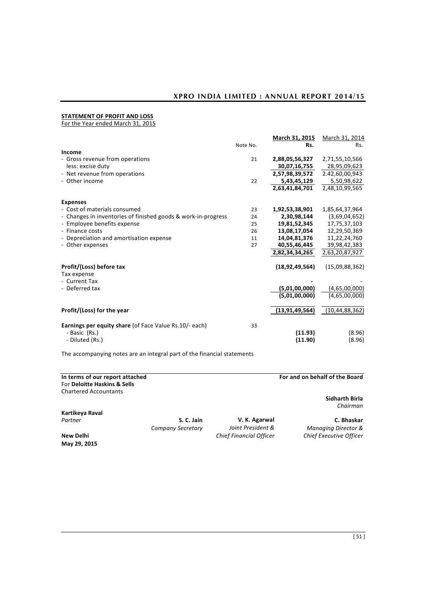# **STATEMENT OF PROFIT AND LOSS**

For the Year ended March 31, 2015

|                                                               |          | March 31, 2015     | March 31, 2014    |
|---------------------------------------------------------------|----------|--------------------|-------------------|
|                                                               | Note No. | Rs.                | Rs.               |
| Income                                                        |          |                    |                   |
| - Gross revenue from operations                               | 21       | 2,88,05,56,327     | 2,71,55,10,566    |
| less: excise duty                                             |          | 30,07,16,755       | 28,95,09,623      |
| - Net revenue from operations                                 |          | 2,57,98,39,572     | 2.42,60,00,943    |
| - Other income                                                | 22       | 5,43,45,129        | 5,50,98,622       |
|                                                               |          | 2,63,41,84,701     | 2,48,10,99,565    |
| <b>Expenses</b>                                               |          |                    |                   |
| - Cost of materials consumed                                  | 23       | 1,92,53,38,901     | 1,85,64,37,964    |
| - Changes in inventories of finished goods & work-in-progress | 24       | 2,30,98,144        | (3,69,04,652)     |
| - Employee benefits expense                                   | 25       | 19,81,52,345       | 17,75,37,103      |
| - Finance costs                                               | 26       | 13,08,17,054       | 12,29,50,369      |
| - Depreciation and amortisation expense                       | 11       | 14,04,81,376       | 11,22,24,760      |
| - Other expenses                                              | 27       | 40,55,46,445       | 39,98,42,383      |
|                                                               |          | 2,82,34,34,265     | 2,63,20,87,927    |
| Profit/(Loss) before tax<br>Tax expense                       |          | (18, 92, 49, 564)  | (15,09,88,362)    |
| - Current Tax                                                 |          |                    |                   |
| - Deferred tax                                                |          | (5,01,00,000)      | (4,65,00,000)     |
|                                                               |          | (5,01,00,000)      | (4,65,00,000)     |
| Profit/(Loss) for the year                                    |          | (13, 91, 49, 564)  | (10, 44, 88, 362) |
| <b>Earnings per equity share (of Face Value Rs.10/- each)</b> | 33       |                    |                   |
| - Basic (Rs.)<br>- Diluted (Rs.)                              |          | (11.93)<br>(11.90) | (8.96)<br>(8.96)  |
|                                                               |          |                    |                   |

The accompanying notes are an integral part of the financial statements

| In terms of our report attached<br>For Deloitte Haskins & Sells<br><b>Chartered Accountants</b> |                   |                                | For and on behalf of the Board |
|-------------------------------------------------------------------------------------------------|-------------------|--------------------------------|--------------------------------|
|                                                                                                 |                   |                                | Sidharth Birla<br>Chairman     |
| Kartikeya Raval                                                                                 |                   |                                |                                |
| Partner                                                                                         | S. C. Jain        | V. K. Agarwal                  | C. Bhaskar                     |
|                                                                                                 | Company Secretary | Joint President &              | <b>Managing Director &amp;</b> |
| New Delhi<br>May 29, 2015                                                                       |                   | <b>Chief Financial Officer</b> | Chief Executive Officer        |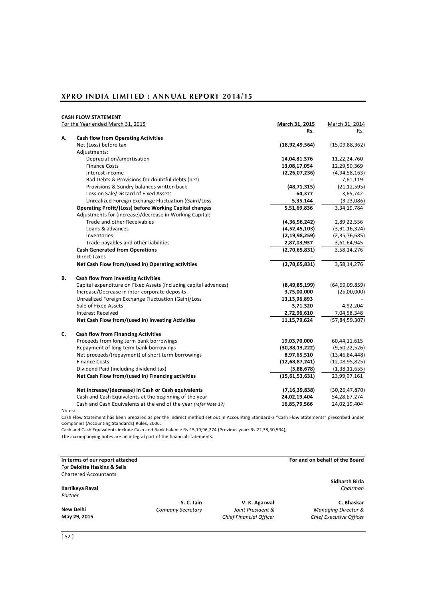|    | <b>CASH FLOW STATEMENT</b>                                       |                   |                   |
|----|------------------------------------------------------------------|-------------------|-------------------|
|    | For the Year ended March 31, 2015                                | March 31, 2015    | March 31, 2014    |
|    |                                                                  | Rs.               | Rs.               |
| А. | <b>Cash flow from Operating Activities</b>                       |                   |                   |
|    | Net (Loss) before tax                                            | (18, 92, 49, 564) | (15,09,88,362)    |
|    | Adjustments:                                                     |                   |                   |
|    | Depreciation/amortisation                                        | 14,04,81,376      | 11,22,24,760      |
|    | <b>Finance Costs</b>                                             | 13,08,17,054      | 12,29,50,369      |
|    | Interest income                                                  | (2, 26, 07, 236)  | (4, 94, 58, 163)  |
|    | Bad Debts & Provisions for doubtful debts (net)                  |                   | 7,61,119          |
|    | Provisions & Sundry balances written back                        | (48, 71, 315)     | (21, 12, 595)     |
|    | Loss on Sale/Discard of Fixed Assets                             | 64,377            | 3,65,742          |
|    | Unrealized Foreign Exchange Fluctuation (Gain)/Loss              | 5,35,144          | (3, 23, 086)      |
|    | <b>Operating Profit/(Loss) before Working Capital changes</b>    | 5,51,69,836       | 3,34,19,784       |
|    | Adjustments for (increase)/decrease in Working Capital:          |                   |                   |
|    | Trade and other Receivables                                      | (4,36,96,242)     | 2,89,22,556       |
|    | Loans & advances                                                 | (4,52,45,103)     | (3,91,16,324)     |
|    | Inventories                                                      | (2, 19, 98, 259)  | (2,35,76,685)     |
|    | Trade payables and other liabilities                             | 2,87,03,937       | 3,61,64,945       |
|    | <b>Cash Generated from Operations</b>                            | (2,70,65,831)     | 3,58,14,276       |
|    | <b>Direct Taxes</b>                                              |                   |                   |
|    | Net Cash Flow from/(used in) Operating activities                | (2,70,65,831)     | 3,58,14,276       |
| В. | <b>Cash flow from Investing Activities</b>                       |                   |                   |
|    | Capital expenditure on Fixed Assets (including capital advances) | (8,49,85,199)     | (64, 69, 09, 859) |
|    | Increase/Decrease in inter-corporate deposits                    | 3,75,00,000       | (25,00,000)       |
|    | Unrealized Foreign Exchange Fluctuation (Gain)/Loss              | 13,13,96,893      |                   |
|    | Sale of Fixed Assets                                             | 3,71,320          | 4,92,204          |
|    | <b>Interest Received</b>                                         | 2,72,96,610       | 7,04,58,348       |
|    | Net Cash Flow from/(used in) Investing Activities                | 11,15,79,624      | (57, 84, 59, 307) |
| C. | <b>Cash flow from Financing Activities</b>                       |                   |                   |
|    | Proceeds from long term bank borrowings                          | 19,03,70,000      | 60,44,11,615      |
|    | Repayment of long term bank borrowings                           | (30,88,13,222)    | (9,50,22,526)     |
|    | Net proceeds/(repayment) of short term borrowings                | 8,97,65,510       | (13, 46, 84, 448) |
|    | <b>Finance Costs</b>                                             | (12,68,87,241)    | (12,08,95,825)    |
|    | Dividend Paid (including dividend tax)                           | (5,88,678)        | (1,38,11,655)     |
|    | Net Cash Flow from/(used in) Financing activities                | (15,61,53,631)    | 23,99,97,161      |
|    | Net increase/(decrease) in Cash or Cash equivalents              | (7, 16, 39, 838)  | (30, 26, 47, 870) |
|    | Cash and Cash Equivalents at the beginning of the year           | 24,02,19,404      | 54,28,67,274      |
|    | Cash and Cash Equivalents at the end of the year (refer Note 17) | 16,85,79,566      | 24,02,19,404      |
|    |                                                                  |                   |                   |

Notes:

Cash Flow Statement has been prepared as per the indirect method set out in Accounting Standard-3 "Cash Flow Statements" prescribed under Companies (Accounting Standards) Rules, 2006.

Cash and Cash Equivalents include Cash and Bank balance Rs.15,19,96,274 (Previous year: Rs.22,38,30,534); The accompanying notes are an integral part of the financial statements.

**In terms of our report attached For and on behalf of the Board**  For **Deloitte Haskins & Sells** Chartered Accountants **Kartikeya Raval** *Chairman Partner* **S. C. Jain V. K. Agarwal <b>C. Bhaskar**<br>*Company Secretary Joint President & Managing Director &* 

**New Delhi** *Company Secretary Joint President & Managing Director &* **May 29, 2015** *Chief Financial Officer Chief Executive Officer*

**Sidharth Birla**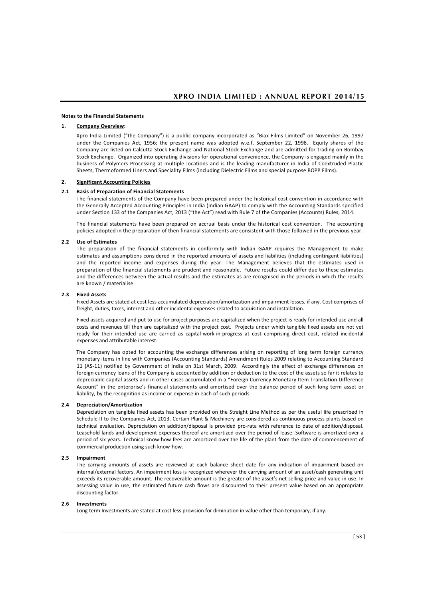#### **Notes to the Financial Statements**

#### **1. Company Overview:**

Xpro India Limited ("the Company") is a public company incorporated as "Biax Films Limited" on November 26, 1997 under the Companies Act, 1956; the present name was adopted w.e.f. September 22, 1998. Equity shares of the Company are listed on Calcutta Stock Exchange and National Stock Exchange and are admitted for trading on Bombay Stock Exchange. Organized into operating divisions for operational convenience, the Company is engaged mainly in the business of Polymers Processing at multiple locations and is the leading manufacturer in India of Coextruded Plastic Sheets, Thermoformed Liners and Speciality Films (including Dielectric Films and special purpose BOPP Films).

#### **2. Significant Accounting Policies**

#### **2.1 Basis of Preparation of Financial Statements**

The financial statements of the Company have been prepared under the historical cost convention in accordance with the Generally Accepted Accounting Principles in India (Indian GAAP) to comply with the Accounting Standards specified under Section 133 of the Companies Act, 2013 ("the Act") read with Rule 7 of the Companies (Accounts) Rules, 2014.

The financial statements have been prepared on accrual basis under the historical cost convention. The accounting policies adopted in the preparation of then financial statements are consistent with those followed in the previous year.

#### **2.2 Use of Estimates**

The preparation of the financial statements in conformity with Indian GAAP requires the Management to make estimates and assumptions considered in the reported amounts of assets and liabilities (including contingent liabilities) and the reported income and expenses during the year. The Management believes that the estimates used in preparation of the financial statements are prudent and reasonable. Future results could differ due to these estimates and the differences between the actual results and the estimates as are recognised in the periods in which the results are known / materialise.

#### **2.3 Fixed Assets**

Fixed Assets are stated at cost less accumulated depreciation/amortization and impairment losses, if any. Cost comprises of freight, duties, taxes, interest and other incidental expenses related to acquisition and installation.

 Fixed assets acquired and put to use for project purposes are capitalized when the project is ready for intended use and all costs and revenues till then are capitalized with the project cost. Projects under which tangible fixed assets are not yet ready for their intended use are carried as capital-work-in-progress at cost comprising direct cost, related incidental expenses and attributable interest.

 The Company has opted for accounting the exchange differences arising on reporting of long term foreign currency monetary items in line with Companies (Accounting Standards) Amendment Rules 2009 relating to Accounting Standard 11 (AS-11) notified by Government of India on 31st March, 2009. Accordingly the effect of exchange differences on foreign currency loans of the Company is accounted by addition or deduction to the cost of the assets so far it relates to depreciable capital assets and in other cases accumulated in a "Foreign Currency Monetary Item Translation Difference Account" in the enterprise's financial statements and amortised over the balance period of such long term asset or liability, by the recognition as income or expense in each of such periods.

#### **2.4 Depreciation/Amortization**

Depreciation on tangible fixed assets has been provided on the Straight Line Method as per the useful life prescribed in Schedule II to the Companies Act, 2013. Certain Plant & Machinery are considered as continuous process plants based on technical evaluation. Depreciation on addition/disposal is provided pro-rata with reference to date of addition/disposal. Leasehold lands and development expenses thereof are amortized over the period of lease. Software is amortized over a period of six years. Technical know-how fees are amortized over the life of the plant from the date of commencement of commercial production using such know-how.

#### **2.5 Impairment**

The carrying amounts of assets are reviewed at each balance sheet date for any indication of impairment based on internal/external factors. An impairment loss is recognized wherever the carrying amount of an asset/cash generating unit exceeds its recoverable amount. The recoverable amount is the greater of the asset's net selling price and value in use. In assessing value in use, the estimated future cash flows are discounted to their present value based on an appropriate discounting factor.

#### **2.6 Investments**

Long term Investments are stated at cost less provision for diminution in value other than temporary, if any.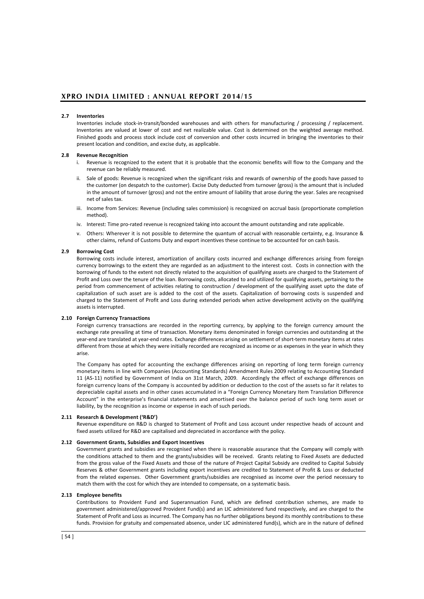#### **2.7 Inventories**

Inventories include stock-in-transit/bonded warehouses and with others for manufacturing / processing / replacement. Inventories are valued at lower of cost and net realizable value. Cost is determined on the weighted average method. Finished goods and process stock include cost of conversion and other costs incurred in bringing the inventories to their present location and condition, and excise duty, as applicable.

#### **2.8 Revenue Recognition**

- i. Revenue is recognized to the extent that it is probable that the economic benefits will flow to the Company and the revenue can be reliably measured.
- ii. Sale of goods: Revenue is recognized when the significant risks and rewards of ownership of the goods have passed to the customer (on despatch to the customer). Excise Duty deducted from turnover (gross) is the amount that is included in the amount of turnover (gross) and not the entire amount of liability that arose during the year. Sales are recognised net of sales tax.
- iii. Income from Services: Revenue (including sales commission) is recognized on accrual basis (proportionate completion method).
- iv. Interest: Time pro-rated revenue is recognized taking into account the amount outstanding and rate applicable.
- v. Others: Wherever it is not possible to determine the quantum of accrual with reasonable certainty, e.g. Insurance & other claims, refund of Customs Duty and export incentives these continue to be accounted for on cash basis.

#### **2.9 Borrowing Cost**

Borrowing costs include interest, amortization of ancillary costs incurred and exchange differences arising from foreign currency borrowings to the extent they are regarded as an adjustment to the interest cost. Costs in connection with the borrowing of funds to the extent not directly related to the acquisition of qualifying assets are charged to the Statement of Profit and Loss over the tenure of the loan. Borrowing costs, allocated to and utilized for qualifying assets, pertaining to the period from commencement of activities relating to construction / development of the qualifying asset upto the date of capitalization of such asset are is added to the cost of the assets. Capitalization of borrowing costs is suspended and charged to the Statement of Profit and Loss during extended periods when active development activity on the qualifying assets is interrupted.

#### **2.10 Foreign Currency Transactions**

Foreign currency transactions are recorded in the reporting currency, by applying to the foreign currency amount the exchange rate prevailing at time of transaction. Monetary items denominated in foreign currencies and outstanding at the year-end are translated at year-end rates. Exchange differences arising on settlement of short-term monetary items at rates different from those at which they were initially recorded are recognized as income or as expenses in the year in which they arise.

The Company has opted for accounting the exchange differences arising on reporting of long term foreign currency monetary items in line with Companies (Accounting Standards) Amendment Rules 2009 relating to Accounting Standard 11 (AS-11) notified by Government of India on 31st March, 2009. Accordingly the effect of exchange differences on foreign currency loans of the Company is accounted by addition or deduction to the cost of the assets so far it relates to depreciable capital assets and in other cases accumulated in a "Foreign Currency Monetary Item Translation Difference Account" in the enterprise's financial statements and amortised over the balance period of such long term asset or liability, by the recognition as income or expense in each of such periods.

#### **2.11 Research & Development ('R&D')**

Revenue expenditure on R&D is charged to Statement of Profit and Loss account under respective heads of account and fixed assets utilized for R&D are capitalised and depreciated in accordance with the policy.

#### **2.12 Government Grants, Subsidies and Export Incentives**

Government grants and subsidies are recognised when there is reasonable assurance that the Company will comply with the conditions attached to them and the grants/subsidies will be received. Grants relating to Fixed Assets are deducted from the gross value of the Fixed Assets and those of the nature of Project Capital Subsidy are credited to Capital Subsidy Reserves & other Government grants including export incentives are credited to Statement of Profit & Loss or deducted from the related expenses. Other Government grants/subsidies are recognised as income over the period necessary to match them with the cost for which they are intended to compensate, on a systematic basis.

#### **2.13 Employee benefits**

Contributions to Provident Fund and Superannuation Fund, which are defined contribution schemes, are made to government administered/approved Provident Fund(s) and an LIC administered fund respectively, and are charged to the Statement of Profit and Loss as incurred. The Company has no further obligations beyond its monthly contributions to these funds. Provision for gratuity and compensated absence, under LIC administered fund(s), which are in the nature of defined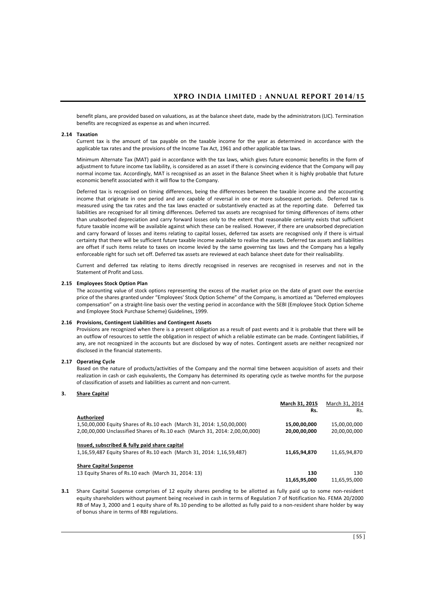benefit plans, are provided based on valuations, as at the balance sheet date, made by the administrators (LIC). Termination benefits are recognized as expense as and when incurred.

#### **2.14 Taxation**

Current tax is the amount of tax payable on the taxable income for the year as determined in accordance with the applicable tax rates and the provisions of the Income Tax Act, 1961 and other applicable tax laws.

Minimum Alternate Tax (MAT) paid in accordance with the tax laws, which gives future economic benefits in the form of adjustment to future income tax liability, is considered as an asset if there is convincing evidence that the Company will pay normal income tax. Accordingly, MAT is recognised as an asset in the Balance Sheet when it is highly probable that future economic benefit associated with it will flow to the Company.

Deferred tax is recognised on timing differences, being the differences between the taxable income and the accounting income that originate in one period and are capable of reversal in one or more subsequent periods. Deferred tax is measured using the tax rates and the tax laws enacted or substantively enacted as at the reporting date. Deferred tax liabilities are recognised for all timing differences. Deferred tax assets are recognised for timing differences of items other than unabsorbed depreciation and carry forward losses only to the extent that reasonable certainty exists that sufficient future taxable income will be available against which these can be realised. However, if there are unabsorbed depreciation and carry forward of losses and items relating to capital losses, deferred tax assets are recognised only if there is virtual certainty that there will be sufficient future taxable income available to realise the assets. Deferred tax assets and liabilities are offset if such items relate to taxes on income levied by the same governing tax laws and the Company has a legally enforceable right for such set off. Deferred tax assets are reviewed at each balance sheet date for their realisability.

Current and deferred tax relating to items directly recognised in reserves are recognised in reserves and not in the Statement of Profit and Loss.

#### **2.15 Employees Stock Option Plan**

The accounting value of stock options representing the excess of the market price on the date of grant over the exercise price of the shares granted under "Employees' Stock Option Scheme" of the Company, is amortized as "Deferred employees compensation" on a straight-line basis over the vesting period in accordance with the SEBI (Employee Stock Option Scheme and Employee Stock Purchase Scheme) Guidelines, 1999.

#### **2.16 Provisions, Contingent Liabilities and Contingent Assets**

Provisions are recognized when there is a present obligation as a result of past events and it is probable that there will be an outflow of resources to settle the obligation in respect of which a reliable estimate can be made. Contingent liabilities, if any, are not recognized in the accounts but are disclosed by way of notes. Contingent assets are neither recognized nor disclosed in the financial statements.

#### **2.17 Operating Cycle**

 Based on the nature of products/activities of the Company and the normal time between acquisition of assets and their realization in cash or cash equivalents, the Company has determined its operating cycle as twelve months for the purpose of classification of assets and liabilities as current and non-current.

#### **3. Share Capital**

|                                                                             | March 31, 2015 | March 31, 2014 |
|-----------------------------------------------------------------------------|----------------|----------------|
|                                                                             | Rs.            | Rs.            |
| Authorized                                                                  |                |                |
| 1,50,00,000 Equity Shares of Rs.10 each (March 31, 2014: 1,50,00,000)       | 15,00,00,000   | 15,00,00,000   |
| 2,00,00,000 Unclassified Shares of Rs.10 each (March 31, 2014: 2,00,00,000) | 20,00,00,000   | 20,00,00,000   |
| Issued, subscribed & fully paid share capital                               |                |                |
| 1,16,59,487 Equity Shares of Rs.10 each (March 31, 2014: 1,16,59,487)       | 11,65,94,870   | 11,65,94,870   |
| <b>Share Capital Suspense</b>                                               |                |                |
| 13 Equity Shares of Rs.10 each (March 31, 2014: 13)                         | 130            | 130            |
|                                                                             | 11.65.95.000   | 11.65.95.000   |

**3.1** Share Capital Suspense comprises of 12 equity shares pending to be allotted as fully paid up to some non-resident equity shareholders without payment being received in cash in terms of Regulation 7 of Notification No. FEMA 20/2000 RB of May 3, 2000 and 1 equity share of Rs.10 pending to be allotted as fully paid to a non-resident share holder by way of bonus share in terms of RBI regulations.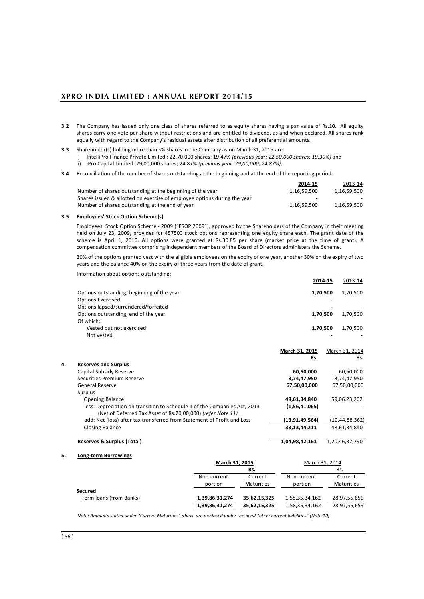- **3.2** The Company has issued only one class of shares referred to as equity shares having a par value of Rs.10. All equity shares carry one vote per share without restrictions and are entitled to dividend, as and when declared. All shares rank equally with regard to the Company's residual assets after distribution of all preferential amounts.
- **3.3** Shareholder(s) holding more than 5% shares in the Company as on March 31, 2015 are: i) IntelliPro Finance Private Limited : 22,70,000 shares; 19.47% *(previous year: 22,50,000 shares; 19.30%)* and ii) iPro Capital Limited: 29,00,000 shares; 24.87% *(previous year: 29,00,000; 24.87%)*.
- **3.4** Reconciliation of the number of shares outstanding at the beginning and at the end of the reporting period:

|                                                                          | 2014 15                  | 2013-14     |
|--------------------------------------------------------------------------|--------------------------|-------------|
| Number of shares outstanding at the beginning of the year                | 1.16.59.500              | 1.16.59.500 |
| Shares issued & allotted on exercise of employee options during the year | $\overline{\phantom{0}}$ |             |
| Number of shares outstanding at the end of year                          | 1.16.59.500              | 1.16.59.500 |

#### **3.5 Employees' Stock Option Scheme(s)**

Employees' Stock Option Scheme - 2009 ("ESOP 2009"), approved by the Shareholders of the Company in their meeting held on July 23, 2009, provides for 457500 stock options representing one equity share each. The grant date of the scheme is April 1, 2010. All options were granted at Rs.30.85 per share (market price at the time of grant). A compensation committee comprising independent members of the Board of Directors administers the Scheme.

30% of the options granted vest with the eligible employees on the expiry of one year, another 30% on the expiry of two years and the balance 40% on the expiry of three years from the date of grant.

| Information about options outstanding:     |                          |          |
|--------------------------------------------|--------------------------|----------|
|                                            | 2014 15                  | 2013-14  |
| Options outstanding, beginning of the year | 1.70.500                 | 1,70,500 |
| <b>Options Exercised</b>                   |                          |          |
| Options lapsed/surrendered/forfeited       | $\overline{\phantom{0}}$ |          |
| Options outstanding, end of the year       | 1,70,500                 | 1,70,500 |
| Of which:                                  |                          |          |
| Vested but not exercised                   | 1.70.500                 | 1.70.500 |
| Not vested                                 |                          |          |

|    |                                                                                                                                           | March 31, 2015    | March 31, 2014 |
|----|-------------------------------------------------------------------------------------------------------------------------------------------|-------------------|----------------|
|    |                                                                                                                                           | Rs.               | Rs.            |
| 4. | <b>Reserves and Surplus</b>                                                                                                               |                   |                |
|    | Capital Subsidy Reserve                                                                                                                   | 60,50,000         | 60,50,000      |
|    | Securities Premium Reserve                                                                                                                | 3,74,47,950       | 3,74,47,950    |
|    | General Reserve                                                                                                                           | 67,50,00,000      | 67,50,00,000   |
|    | Surplus                                                                                                                                   |                   |                |
|    | <b>Opening Balance</b>                                                                                                                    | 48,61,34,840      | 59,06,23,202   |
|    | less: Depreciation on transition to Schedule II of the Companies Act, 2013<br>(Net of Deferred Tax Asset of Rs.70,00,000) (refer Note 11) | (1,56,41,065)     |                |
|    | add: Net (loss) after tax transferred from Statement of Profit and Loss                                                                   | (13, 91, 49, 564) | (10,44,88,362) |
|    | <b>Closing Balance</b>                                                                                                                    | 33,13,44,211      | 48,61,34,840   |
|    | <b>Reserves &amp; Surplus (Total)</b>                                                                                                     | 1.04.98.42.161    | 1,20,46,32,790 |

| 5. | Long-term Borrowings |
|----|----------------------|
|    |                      |

|                         | March 31, 2015         |                              | March 31, 2014         |                              |  |  |
|-------------------------|------------------------|------------------------------|------------------------|------------------------------|--|--|
|                         |                        | Rs.                          |                        | Rs.                          |  |  |
|                         | Non-current<br>portion | Current<br><b>Maturities</b> | Non-current<br>portion | Current<br><b>Maturities</b> |  |  |
| Secured                 |                        |                              |                        |                              |  |  |
| Term loans (from Banks) | 1,39,86,31,274         | 35,62,15,325                 | 1,58,35,34,162         | 28,97,55,659                 |  |  |
|                         | 1,39,86,31,274         | 35,62,15,325                 | 1,58,35,34,162         | 28,97,55,659                 |  |  |

*Note: Amounts stated under "Current Maturities" above are disclosed under the head "other current liabilities" (Note 10)*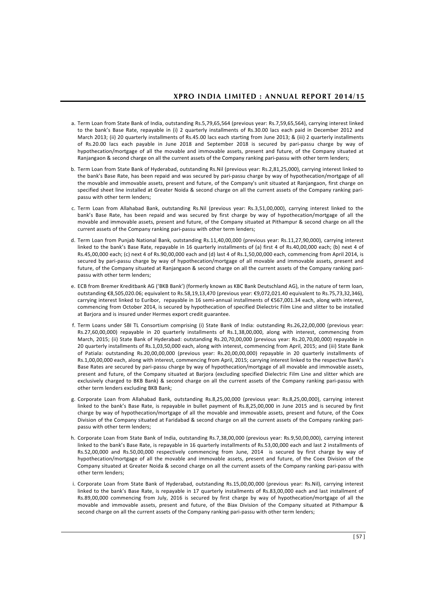- a. Term Loan from State Bank of India, outstanding Rs.5,79,65,564 (previous year: Rs.7,59,65,564), carrying interest linked to the bank's Base Rate, repayable in (i) 2 quarterly installments of Rs.30.00 lacs each paid in December 2012 and March 2013; (ii) 20 quarterly installments of Rs.45.00 lacs each starting from June 2013; & (iii) 2 quarterly installments of Rs.20.00 lacs each payable in June 2018 and September 2018 is secured by pari-passu charge by way of hypothecation/mortgage of all the movable and immovable assets, present and future, of the Company situated at Ranjangaon & second charge on all the current assets of the Company ranking pari-passu with other term lenders;
- b. Term Loan from State Bank of Hyderabad, outstanding Rs.Nil (previous year: Rs.2,81,25,000), carrying interest linked to the bank's Base Rate, has been repaid and was secured by pari-passu charge by way of hypothecation/mortgage of all the movable and immovable assets, present and future, of the Company's unit situated at Ranjangaon, first charge on specified sheet line installed at Greater Noida & second charge on all the current assets of the Company ranking paripassu with other term lenders;
- c. Term Loan from Allahabad Bank, outstanding Rs.Nil (previous year: Rs.3,51,00,000), carrying interest linked to the bank's Base Rate, has been repaid and was secured by first charge by way of hypothecation/mortgage of all the movable and immovable assets, present and future, of the Company situated at Pithampur & second charge on all the current assets of the Company ranking pari-passu with other term lenders;
- d. Term Loan from Punjab National Bank, outstanding Rs.11,40,00,000 (previous year: Rs.11,27,90,000), carrying interest linked to the bank's Base Rate, repayable in 16 quarterly installments of (a) first 4 of Rs.40,00,000 each; (b) next 4 of Rs.45,00,000 each; (c) next 4 of Rs.90,00,000 each and (d) last 4 of Rs.1,50,00,000 each, commencing from April 2014, is secured by pari-passu charge by way of hypothecation/mortgage of all movable and immovable assets, present and future, of the Company situated at Ranjangaon & second charge on all the current assets of the Company ranking paripassu with other term lenders;
- e. ECB from Bremer Kreditbank AG ('BKB Bank') (formerly known as KBC Bank Deutschland AG), in the nature of term loan, outstanding €8,505,020.06; equivalent to Rs.58,19,13,470 (previous year: €9,072,021.40 equivalent to Rs.75,73,32,346), carrying interest linked to Euribor, repayable in 16 semi-annual installments of €567,001.34 each, along with interest, commencing from October 2014, is secured by hypothecation of specified Dielectric Film Line and slitter to be installed at Barjora and is insured under Hermes export credit guarantee.
- f. Term Loans under SBI TL Consortium comprising (i) State Bank of India: outstanding Rs.26,22,00,000 (previous year: Rs.27,60,00,000) repayable in 20 quarterly installments of Rs.1,38,00,000, along with interest, commencing from March, 2015; (ii) State Bank of Hyderabad: outstanding Rs.20,70,00,000 (previous year: Rs.20,70,00,000) repayable in 20 quarterly installments of Rs.1,03,50,000 each, along with interest, commencing from April, 2015; and (iii) State Bank of Patiala: outstanding Rs.20,00,00,000 (previous year: Rs.20,00,00,000) repayable in 20 quarterly installments of Rs.1,00,00,000 each, along with interest, commencing from April, 2015; carrying interest linked to the respective Bank's Base Rates are secured by pari-passu charge by way of hypothecation/mortgage of all movable and immovable assets, present and future, of the Company situated at Barjora (excluding specified Dielectric Film Line and slitter which are exclusively charged to BKB Bank) & second charge on all the current assets of the Company ranking pari-passu with other term lenders excluding BKB Bank;
- g. Corporate Loan from Allahabad Bank, outstanding Rs.8,25,00,000 (previous year: Rs.8,25,00,000), carrying interest linked to the bank's Base Rate, is repayable in bullet payment of Rs.8,25,00,000 in June 2015 and is secured by first charge by way of hypothecation/mortgage of all the movable and immovable assets, present and future, of the Coex Division of the Company situated at Faridabad & second charge on all the current assets of the Company ranking paripassu with other term lenders;
- h. Corporate Loan from State Bank of India, outstanding Rs.7,38,00,000 (previous year: Rs.9,50,00,000), carrying interest linked to the bank's Base Rate, is repayable in 16 quarterly installments of Rs.53,00,000 each and last 2 installments of Rs.52,00,000 and Rs.50,00,000 respectively commencing from June, 2014 is secured by first charge by way of hypothecation/mortgage of all the movable and immovable assets, present and future, of the Coex Division of the Company situated at Greater Noida & second charge on all the current assets of the Company ranking pari-passu with other term lenders;
- i. Corporate Loan from State Bank of Hyderabad, outstanding Rs.15,00,00,000 (previous year: Rs.Nil), carrying interest linked to the bank's Base Rate, is repayable in 17 quarterly installments of Rs.83,00,000 each and last installment of Rs.89,00,000 commencing from July, 2016 is secured by first charge by way of hypothecation/mortgage of all the movable and immovable assets, present and future, of the Biax Division of the Company situated at Pithampur & second charge on all the current assets of the Company ranking pari-passu with other term lenders;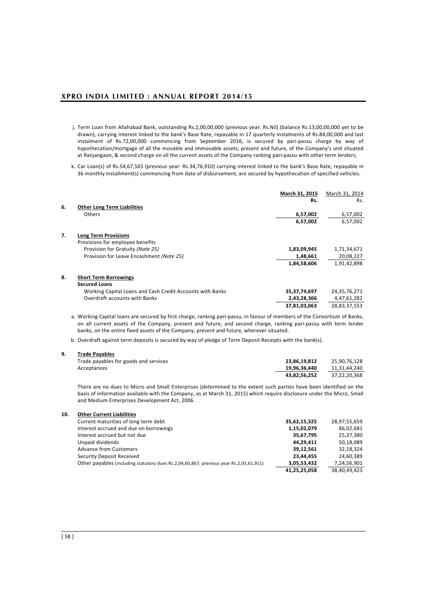- j. Term Loan from Allahabad Bank, outstanding Rs.2,00,00,000 (previous year: Rs.Nil) (balance Rs.13,00,00,000 yet to be drawn), carrying interest linked to the bank's Base Rate, repayable in 17 quarterly instalments of Rs.84,00,000 and last instalment of Rs.72,00,000 commencing from September 2016, is secured by pari-passu charge by way of hypothecation/mortgage of all the movable and immovable assets, present and future, of the Company's unit situated at Ranjangaon, & second charge on all the current assets of the Company ranking pari-passu with other term lenders;
- k. Car Loan(s) of Rs.54,67,565 (previous year: Rs.34,76,910) carrying interest linked to the bank's Base Rate, repayable in 36 monthly installment(s) commencing from date of disbursement, are secured by hypothecation of specified vehicles.

|    |                                                                 | March 31, 2015<br>Rs. | March 31, 2014<br>Rs. |
|----|-----------------------------------------------------------------|-----------------------|-----------------------|
| 6. | <b>Other Long Term Liabilities</b><br><b>Others</b>             | 6,57,002              | 6,57,002              |
|    |                                                                 | 6,57,002              | 6,57,002              |
| 7. | <b>Long Term Provisions</b><br>Provisions for employee benefits |                       |                       |
|    | Provision for Gratuity (Note 25)                                | 1,83,09,945           | 1,71,34,671           |
|    | Provision for Leave Encashment (Note 25)                        | 1,48,661              | 20,08,227             |
|    |                                                                 | 1,84,58,606           | 1,91,42,898           |
| 8. | <b>Short Term Borrowings</b><br><b>Secured Loans</b>            |                       |                       |
|    | Working Capital Loans and Cash Credit Accounts with Banks       | 35, 37, 74, 697       | 24,35,76,271          |
|    | Overdraft accounts with Banks                                   | 2,43,28,366           | 4,47,61,282           |
|    |                                                                 | 37,81,03,063          | 28,83,37,553          |

a. Working Capital loans are secured by first charge, ranking pari-passu, in favour of members of the Consortium of Banks, on all current assets of the Company, present and future, and second charge, ranking pari-passu with term lender banks, on the entire fixed assets of the Company, present and future, wherever situated.

b. Overdraft against term deposits is secured by way of pledge of Term Deposit Receipts with the bank(s).

### **9. Trade Payables**

| Trade payables for goods and services | 23.86.19.812 | 25.90.76.128 |
|---------------------------------------|--------------|--------------|
| Acceptances                           | 19.96.36.440 | 11.31.44.240 |
|                                       | 43.82.56.252 | 37.22.20.368 |

There are no dues to Micro and Small Enterprises (determined to the extent such parties have been identified on the basis of information available with the Company, as at March 31, 2015) which require disclosure under the Micro, Small and Medium Enterprises Development Act, 2006.

| 10. | <b>Other Current Liabilities</b>                                                       |              |              |
|-----|----------------------------------------------------------------------------------------|--------------|--------------|
|     | Current maturities of long term debt                                                   | 35,62,15,325 | 28,97,55,659 |
|     | Interest accrued and due on borrowings                                                 | 1,15,02,079  | 86,02,681    |
|     | Interest accrued but not due                                                           | 35,67,795    | 25,37,380    |
|     | Unpaid dividends                                                                       | 44.29.411    | 50,18,089    |
|     | <b>Advance from Customers</b>                                                          | 39,12,561    | 32,18,324    |
|     | Security Deposit Received                                                              | 23,44,455    | 24,60,389    |
|     | Other payables (including statutory dues Rs.2,04,60,867; previous year Rs.2,03,61,911) | 3,05,53,432  | 7,24,56,901  |
|     |                                                                                        | 41,25,25,058 | 38,40,49,423 |
|     |                                                                                        |              |              |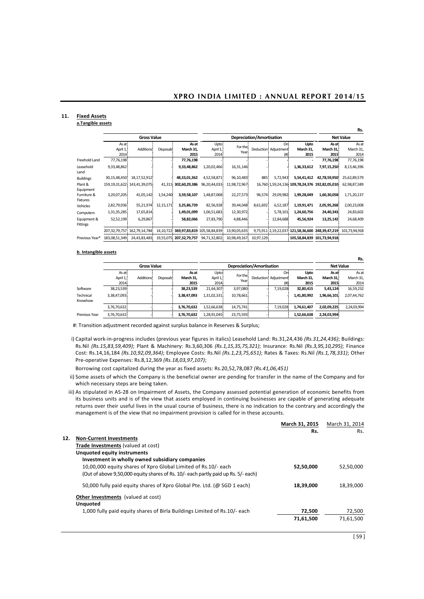# **11. Fixed Assets**

### **a.Tangible assets**

|                         |                           |                                   |                  |                             |                           |                  |                           |                                       |                           |                                                | .נטו                       |
|-------------------------|---------------------------|-----------------------------------|------------------|-----------------------------|---------------------------|------------------|---------------------------|---------------------------------------|---------------------------|------------------------------------------------|----------------------------|
|                         |                           | <b>Gross Value</b>                |                  |                             |                           |                  | Depreciation/Amortisation |                                       |                           |                                                | <b>Net Value</b>           |
|                         | As at<br>April 1,<br>2014 | Additions!                        | <b>Disposals</b> | As at<br>March 31,<br>2015  | Upto:<br>April 1,<br>2014 | For the<br>Year: |                           | Oni<br>Deduction: Adjustment:<br>(# ) | Upto<br>March 31,<br>2015 | As at:<br>March 31.<br>2015                    | As at<br>March 31,<br>2014 |
| Freehold Land           | 77,76,198                 |                                   |                  | 77,76,198                   |                           |                  |                           |                                       |                           | 77,76,198                                      | 77,76,198                  |
| Leasehold<br>Land       | 9,33,48,862               |                                   |                  | 9,33,48,862                 | 1,20,02,466               | 16,31,146        |                           |                                       | 1,36,33,612               | 7,97,15,250                                    | 8,13,46,396                |
| <b>Buildings</b>        | 30,15,48,450              | 18,17,52,912                      |                  | 48,33,01,362                | 4,52,58,871               | 96,10,483        | 885                       | 5,72,943                              | 5,54,41,412               | 42,78,59,950                                   | 25,62,89,579               |
| Plant &<br>Equipment    |                           | 159, 19, 31, 622 143, 41, 39, 075 | 41,311           | 302,60,29,386               | 96,20,44,033              | 11,98,72,967     |                           |                                       |                           | 16,760 1,59,24,136 109,78,24,376 192,82,05,010 | 62,98,87,589               |
| Furniture &<br>Fixtures | 3,20,07,205               | 41,05,142                         | 1,54,240         | 3,59,58,107                 | 1,48,87,068               | 22,27,573        | 96,574                    | 29,09,982                             | 1,99,28,049               | 1,60,30,058                                    | 1,71,20,137                |
| Vehicles                | 2,82,79,936               | 55,21,974                         | 12,15,171        | 3,25,86,739                 | 82,56,928                 | 39,44,048        | 8,61,692                  | 6,52,187                              | 1,19,91,471               | 2,05,95,268                                    | 2,00,23,008                |
| Computers               | 1,31,35,285               | 17,65,814                         |                  | 1,49,01,099                 | 1,06,51,683               | 12,30,972        |                           | 5,78,101                              | 1,24,60,756               | 24,40,343                                      | 24,83,602                  |
| Equipment &<br>Fittings | 52,52,199                 | 6,29,867                          |                  | 58,82,066                   | 27,83,790                 | 4,88,446         |                           | 12,84,688                             | 45,56,924                 | 13,25,142                                      | 24,68,409                  |
|                         | 207, 32, 79, 757          | 162,79,14,784                     | 14,10,722        | 369,97,83,819 105,58,84,839 |                           | 13,90,05,635     |                           | 9,75,911 2,19,22,037                  |                           | 121,58,36,600 248,39,47,219                    | 101,73,94,918              |
| Previous Year*          | 183,08,51,349             | 24,43,83,483                      |                  | 19,55,075 207,32,79,757     | 94,71,32,802              | 10,98,49,167     | 10,97,129                 |                                       |                           | 105,58,84,839 101,73,94,918                    |                            |

### **b. Intangible assets**

|                      |                            |                        |            |                            |                           |                  |  |                                      |                           |                             | .                          |
|----------------------|----------------------------|------------------------|------------|----------------------------|---------------------------|------------------|--|--------------------------------------|---------------------------|-----------------------------|----------------------------|
|                      | <b>Gross Value</b>         |                        |            | Depreciation/Amortisation  |                           |                  |  | <b>Net Value</b>                     |                           |                             |                            |
|                      | As at:<br>April 1,<br>2014 | Additions <sup>!</sup> | Disposals! | As at<br>March 31.<br>2015 | Upto:<br>April 1,<br>2014 | For the:<br>Year |  | Oni<br>Deduction! Adiustment!<br>(#) | Upto<br>March 31.<br>2015 | As at:<br>March 31.<br>2015 | As at<br>March 31,<br>2014 |
| Software             | 38,23,539                  |                        |            | 38,23,539                  | 21,64,307                 | 3,97,080         |  | 7,19,028                             | 32,80,415                 | 5,43,124                    | 16,59,232                  |
| Technical<br>Knowhow | 3,38,47,093                |                        |            | 3,38,47,093                | 1,31,02,331               | 10,78,661        |  |                                      | 1,41,80,992               | 1,96,66,101                 | 2,07,44,762                |
|                      | 3,76,70,632                |                        |            | 3,76,70,632                | 1,52,66,638               | 14,75,741        |  | 7,19,028                             | 1,74,61,407               | 2,02,09,225                 | 2,24,03,994                |
| Previous Year        | 3,76,70,632                |                        |            | 3,76,70,632                | 1,28,91,045               | 23,75,593        |  |                                      | 1,52,66,638               | 2,24,03,994                 |                            |

#: Transition adjustment recorded against surplus balance in Reserves & Surplus;

i) Capital work-in-progress includes (previous year figures in italics) Leasehold Land: Rs.31,24,436 *(Rs.31,24,436)*; Buildings: Rs.Nil *(Rs.15,83,59,409)*; Plant & Machinery: Rs.3,60,306 *(Rs.1,15,35,75,321)*; Insurance: Rs.Nil *(Rs.3,95,10,295)*; Finance Cost: Rs.14,16,184 *(Rs.10,92,09,364)*; Employee Costs: Rs.Nil *(Rs.1,23,75,651)*; Rates & Taxes: Rs.Nil *(Rs.1,78,331)*; Other Pre-operative Expenses: Rs.8,12,369 *(Rs.18,03,97,107)*;

Borrowing cost capitalized during the year as fixed assets: Rs.20,52,78,087 *(Rs.41,06,451)*

- ii) Some assets of which the Company is the beneficial owner are pending for transfer in the name of the Company and for which necessary steps are being taken.
- iii) As stipulated in AS-28 on Impairment of Assets, the Company assessed potential generation of economic benefits from its business units and is of the view that assets employed in continuing businesses are capable of generating adequate returns over their useful lives in the usual course of business, there is no indication to the contrary and accordingly the management is of the view that no impairment provision is called for in these accounts.

|     |                                                                                    | March 31, 2015 | March 31, 2014 |
|-----|------------------------------------------------------------------------------------|----------------|----------------|
|     |                                                                                    | Rs.            | Rs.            |
| 12. | <b>Non-Current Investments</b>                                                     |                |                |
|     | Trade Investments (valued at cost)                                                 |                |                |
|     | <b>Unquoted equity instruments</b>                                                 |                |                |
|     | Investment in wholly owned subsidiary companies                                    |                |                |
|     | 10,00,000 equity shares of Xpro Global Limited of Rs.10/- each                     | 52,50,000      | 52,50,000      |
|     | (Out of above 9,50,000 equity shares of Rs. 10/- each partly paid up Rs. 5/- each) |                |                |
|     | 50,000 fully paid equity shares of Xpro Global Pte. Ltd. (@ SGD 1 each)            | 18,39,000      | 18.39.000      |
|     | <b>Other Investments</b> (valued at cost)                                          |                |                |
|     | <b>Unquoted</b>                                                                    |                |                |
|     | 1,000 fully paid equity shares of Birla Buildings Limited of Rs.10/- each          | 72,500         | 72,500         |
|     |                                                                                    | 71,61,500      | 71,61,500      |
|     |                                                                                    |                |                |

**Rs.**

**Rs.**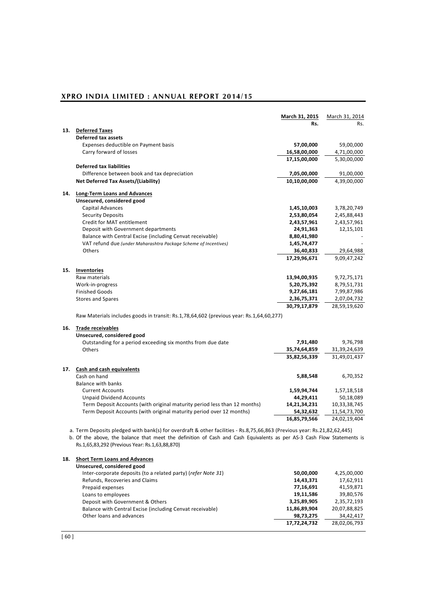|     |                                                                                                                                                                          | <b>March 31, 2015</b> | March 31, 2014 |
|-----|--------------------------------------------------------------------------------------------------------------------------------------------------------------------------|-----------------------|----------------|
| 13. |                                                                                                                                                                          | Rs.                   | Rs.            |
|     | <b>Deferred Taxes</b><br><b>Deferred tax assets</b>                                                                                                                      |                       |                |
|     | Expenses deductible on Payment basis                                                                                                                                     | 57,00,000             | 59,00,000      |
|     | Carry forward of losses                                                                                                                                                  | 16,58,00,000          | 4,71,00,000    |
|     |                                                                                                                                                                          | 17,15,00,000          | 5,30,00,000    |
|     | <b>Deferred tax liabilities</b>                                                                                                                                          |                       |                |
|     | Difference between book and tax depreciation                                                                                                                             | 7,05,00,000           | 91,00,000      |
|     | Net Deferred Tax Assets/(Liability)                                                                                                                                      | 10,10,00,000          | 4,39,00,000    |
| 14. | <b>Long-Term Loans and Advances</b>                                                                                                                                      |                       |                |
|     | Unsecured, considered good                                                                                                                                               |                       |                |
|     | Capital Advances                                                                                                                                                         | 1,45,10,003           | 3,78,20,749    |
|     | <b>Security Deposits</b>                                                                                                                                                 | 2,53,80,054           | 2,45,88,443    |
|     | Credit for MAT entitlement                                                                                                                                               | 2,43,57,961           | 2,43,57,961    |
|     | Deposit with Government departments                                                                                                                                      | 24,91,363             | 12,15,101      |
|     | Balance with Central Excise (including Cenvat receivable)                                                                                                                | 8,80,41,980           |                |
|     | VAT refund due (under Maharashtra Package Scheme of Incentives)                                                                                                          | 1,45,74,477           |                |
|     | Others                                                                                                                                                                   | 36,40,833             | 29,64,988      |
|     |                                                                                                                                                                          | 17,29,96,671          | 9,09,47,242    |
| 15. | <b>Inventories</b>                                                                                                                                                       |                       |                |
|     | Raw materials                                                                                                                                                            | 13,94,00,935          | 9,72,75,171    |
|     | Work-in-progress                                                                                                                                                         | 5,20,75,392           | 8,79,51,731    |
|     | <b>Finished Goods</b>                                                                                                                                                    | 9,27,66,181           | 7,99,87,986    |
|     | <b>Stores and Spares</b>                                                                                                                                                 | 2,36,75,371           | 2,07,04,732    |
|     |                                                                                                                                                                          | 30,79,17,879          | 28,59,19,620   |
|     | Raw Materials includes goods in transit: Rs.1,78,64,602 (previous year: Rs.1,64,60,277)                                                                                  |                       |                |
| 16. | <b>Trade receivables</b>                                                                                                                                                 |                       |                |
|     | Unsecured, considered good                                                                                                                                               |                       |                |
|     | Outstanding for a period exceeding six months from due date                                                                                                              | 7,91,480              | 9,76,798       |
|     | <b>Others</b>                                                                                                                                                            | 35,74,64,859          | 31,39,24,639   |
|     |                                                                                                                                                                          | 35,82,56,339          | 31,49,01,437   |
| 17. | <b>Cash and cash equivalents</b>                                                                                                                                         |                       |                |
|     | Cash on hand                                                                                                                                                             | 5,88,548              | 6,70,352       |
|     | <b>Balance with banks</b>                                                                                                                                                |                       |                |
|     | <b>Current Accounts</b>                                                                                                                                                  | 1,59,94,744           | 1,57,18,518    |
|     | <b>Unpaid Dividend Accounts</b>                                                                                                                                          | 44,29,411             | 50,18,089      |
|     | Term Deposit Accounts (with original maturity period less than 12 months)                                                                                                | 14,21,34,231          | 10,33,38,745   |
|     | Term Deposit Accounts (with original maturity period over 12 months)                                                                                                     | 54,32,632             | 11,54,73,700   |
|     |                                                                                                                                                                          | 16,85,79,566          | 24,02,19,404   |
|     | a. Term Deposits pledged with bank(s) for overdraft & other facilities - Rs.8,75,66,863 (Previous year: Rs.21,82,62,445)                                                 |                       |                |
|     | b. Of the above, the balance that meet the definition of Cash and Cash Equivalents as per AS-3 Cash Flow Statements is<br>Rs.1,65,83,292 (Previous Year: Rs.1,63,88,870) |                       |                |
| 18. | <b>Short Term Loans and Advances</b>                                                                                                                                     |                       |                |
|     | Unsecured, considered good                                                                                                                                               |                       |                |
|     | Inter cornerate deposits (to a related party) (refer Neto 21)                                                                                                            | EQ QQ QQQ             | 1.250000       |

| Ulisecured, considered good                                   |              |              |
|---------------------------------------------------------------|--------------|--------------|
| Inter-corporate deposits (to a related party) (refer Note 31) | 50,00,000    | 4,25,00,000  |
| Refunds, Recoveries and Claims                                | 14,43,371    | 17,62,911    |
| Prepaid expenses                                              | 77,16,691    | 41,59,871    |
| Loans to employees                                            | 19.11.586    | 39,80,576    |
| Deposit with Government & Others                              | 3,25,89,905  | 2,35,72,193  |
| Balance with Central Excise (including Cenvat receivable)     | 11,86,89,904 | 20,07,88,825 |
| Other loans and advances                                      | 98,73,275    | 34.42.417    |
|                                                               | 17,72,24,732 | 28,02,06,793 |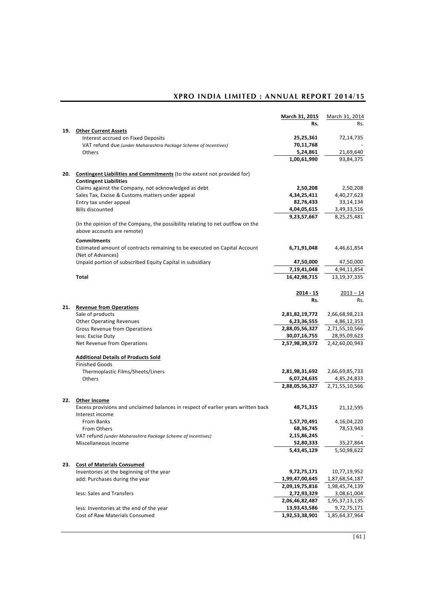|     |                                                                                                   | March 31, 2015 | March 31, 2014  |
|-----|---------------------------------------------------------------------------------------------------|----------------|-----------------|
|     |                                                                                                   | Rs.            | Rs.             |
| 19. | <b>Other Current Assets</b>                                                                       |                |                 |
|     | Interest accrued on Fixed Deposits                                                                | 25,25,361      | 72,14,735       |
|     | VAT refund due (under Maharashtra Package Scheme of Incentives)                                   | 70,11,768      |                 |
|     | <b>Others</b>                                                                                     | 5,24,861       | 21,69,640       |
|     |                                                                                                   | 1,00,61,990    | 93,84,375       |
| 20. | <b>Contingent Liabilities and Commitments</b> (to the extent not provided for)                    |                |                 |
|     | <b>Contingent Liabilities</b>                                                                     |                |                 |
|     | Claims against the Company, not acknowledged as debt                                              | 2,50,208       | 2,50,208        |
|     | Sales Tax, Excise & Customs matters under appeal                                                  | 4,34,25,411    | 4,40,27,623     |
|     | Entry tax under appeal                                                                            | 82,76,433      | 33, 14, 134     |
|     | <b>Bills discounted</b>                                                                           | 4,04,05,615    | 3,49,33,516     |
|     |                                                                                                   | 9,23,57,667    | 8,25,25,481     |
|     | (In the opinion of the Company, the possibility relating to net outflow on the                    |                |                 |
|     | above accounts are remote)                                                                        |                |                 |
|     | <b>Commitments</b>                                                                                |                |                 |
|     | Estimated amount of contracts remaining to be executed on Capital Account                         | 6,71,91,048    | 4,46,61,854     |
|     | (Net of Advances)                                                                                 |                |                 |
|     | Unpaid portion of subscribed Equity Capital in subsidiary                                         | 47,50,000      | 47,50,000       |
|     |                                                                                                   | 7,19,41,048    | 4,94,11,854     |
|     | Total                                                                                             | 16,42,98,715   | 13, 19, 37, 335 |
|     |                                                                                                   | 2014 - 15      | $2013 - 14$     |
|     |                                                                                                   | Rs.            | Rs.             |
| 21. | <b>Revenue from Operations</b>                                                                    |                |                 |
|     | Sale of products                                                                                  | 2,81,82,19,772 | 2,66,68,98,213  |
|     | <b>Other Operating Revenues</b>                                                                   | 6,23,36,555    | 4,86,12,353     |
|     | <b>Gross Revenue from Operations</b>                                                              | 2,88,05,56,327 | 2,71,55,10,566  |
|     | less: Excise Duty                                                                                 | 30,07,16,755   | 28,95,09,623    |
|     | Net Revenue from Operations                                                                       | 2,57,98,39,572 | 2,42,60,00,943  |
|     | <b>Additional Details of Products Sold</b>                                                        |                |                 |
|     | <b>Finished Goods</b>                                                                             |                |                 |
|     | Thermoplastic Films/Sheets/Liners                                                                 | 2,81,98,31,692 | 2,66,69,85,733  |
|     | Others                                                                                            | 6,07,24,635    | 4,85,24,833     |
|     |                                                                                                   | 2,88,05,56,327 | 2,71,55,10,566  |
|     |                                                                                                   |                |                 |
| 22. | Other Income<br>Excess provisions and unclaimed balances in respect of earlier years written back |                |                 |
|     | Interest income                                                                                   | 48,71,315      | 21,12,595       |
|     | From Banks                                                                                        | 1,57,70,491    | 4,16,04,220     |
|     | From Others                                                                                       | 68,36,745      | 78,53,943       |
|     | VAT refund (under Maharashtra Package Scheme of Incentives)                                       | 2,15,86,245    |                 |
|     | Miscellaneous income                                                                              | 52,80,333      | 35,27,864       |
|     |                                                                                                   | 5,43,45,129    | 5,50,98,622     |
|     |                                                                                                   |                |                 |
| 23. | <b>Cost of Materials Consumed</b>                                                                 |                |                 |
|     | Inventories at the beginning of the year                                                          | 9,72,75,171    | 10,77,19,952    |
|     | add: Purchases during the year                                                                    | 1,99,47,00,645 | 1,87,68,54,187  |
|     |                                                                                                   | 2,09,19,75,816 | 1,98,45,74,139  |
|     | less: Sales and Transfers                                                                         | 2,72,93,329    | 3,08,61,004     |
|     |                                                                                                   | 2,06,46,82,487 | 1,95,37,13,135  |
|     | less: Inventories at the end of the year                                                          | 13,93,43,586   | 9,72,75,171     |
|     | Cost of Raw Materials Consumed                                                                    | 1,92,53,38,901 | 1,85,64,37,964  |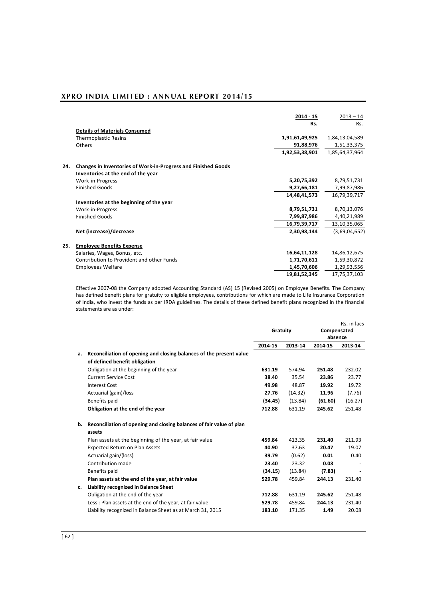|     |                                                               | $2014 - 15$    | $2013 - 14$    |
|-----|---------------------------------------------------------------|----------------|----------------|
|     |                                                               | Rs.            | Rs.            |
|     | <b>Details of Materials Consumed</b>                          |                |                |
|     | <b>Thermoplastic Resins</b>                                   | 1,91,61,49,925 | 1,84,13,04,589 |
|     | <b>Others</b>                                                 | 91,88,976      | 1,51,33,375    |
|     |                                                               | 1,92,53,38,901 | 1,85,64,37,964 |
| 24. | Changes in Inventories of Work-in-Progress and Finished Goods |                |                |
|     | Inventories at the end of the year                            |                |                |
|     | Work-in-Progress                                              | 5,20,75,392    | 8,79,51,731    |
|     | <b>Finished Goods</b>                                         | 9,27,66,181    | 7,99,87,986    |
|     |                                                               | 14,48,41,573   | 16,79,39,717   |
|     | Inventories at the beginning of the year                      |                |                |
|     | Work-in-Progress                                              | 8,79,51,731    | 8,70,13,076    |
|     | <b>Finished Goods</b>                                         | 7,99,87,986    | 4,40,21,989    |
|     |                                                               | 16,79,39,717   | 13,10,35,065   |
|     | Net (increase)/decrease                                       | 2,30,98,144    | (3,69,04,652)  |
| 25. | <b>Employee Benefits Expense</b>                              |                |                |
|     | Salaries, Wages, Bonus, etc.                                  | 16,64,11,128   | 14,86,12,675   |
|     | Contribution to Provident and other Funds                     | 1,71,70,611    | 1,59,30,872    |
|     | <b>Employees Welfare</b>                                      | 1,45,70,606    | 1,29,93,556    |
|     |                                                               | 19,81,52,345   | 17,75,37,103   |

Effective 2007-08 the Company adopted Accounting Standard (AS) 15 (Revised 2005) on Employee Benefits. The Company has defined benefit plans for gratuity to eligible employees, contributions for which are made to Life Insurance Corporation of India, who invest the funds as per IRDA guidelines. The details of these defined benefit plans recognized in the financial statements are as under:

|    |                                                                      | Gratuity |         | Rs. in lacs<br>Compensated<br>absence |         |
|----|----------------------------------------------------------------------|----------|---------|---------------------------------------|---------|
|    |                                                                      | 2014-15  | 2013-14 | 2014-15                               | 2013-14 |
| а. | Reconciliation of opening and closing balances of the present value  |          |         |                                       |         |
|    | of defined benefit obligation                                        |          |         |                                       |         |
|    | Obligation at the beginning of the year                              | 631.19   | 574.94  | 251.48                                | 232.02  |
|    | <b>Current Service Cost</b>                                          | 38.40    | 35.54   | 23.86                                 | 23.77   |
|    | <b>Interest Cost</b>                                                 | 49.98    | 48.87   | 19.92                                 | 19.72   |
|    | Actuarial (gain)/loss                                                | 27.76    | (14.32) | 11.96                                 | (7.76)  |
|    | Benefits paid                                                        | (34.45)  | (13.84) | (61.60)                               | (16.27) |
|    | Obligation at the end of the year                                    | 712.88   | 631.19  | 245.62                                | 251.48  |
| b. | Reconciliation of opening and closing balances of fair value of plan |          |         |                                       |         |
|    | assets                                                               |          |         |                                       |         |
|    | Plan assets at the beginning of the year, at fair value              | 459.84   | 413.35  | 231.40                                | 211.93  |
|    | <b>Expected Return on Plan Assets</b>                                | 40.90    | 37.63   | 20.47                                 | 19.07   |
|    | Actuarial gain/(loss)                                                | 39.79    | (0.62)  | 0.01                                  | 0.40    |
|    | Contribution made                                                    | 23.40    | 23.32   | 0.08                                  |         |
|    | Benefits paid                                                        | (34.15)  | (13.84) | (7.83)                                |         |
|    | Plan assets at the end of the year, at fair value                    | 529.78   | 459.84  | 244.13                                | 231.40  |
| c. | Liability recognized in Balance Sheet                                |          |         |                                       |         |
|    | Obligation at the end of the year                                    | 712.88   | 631.19  | 245.62                                | 251.48  |
|    | Less: Plan assets at the end of the year, at fair value              | 529.78   | 459.84  | 244.13                                | 231.40  |
|    | Liability recognized in Balance Sheet as at March 31, 2015           | 183.10   | 171.35  | 1.49                                  | 20.08   |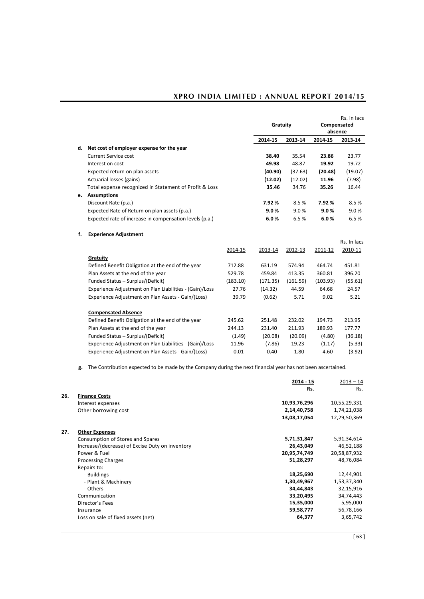|    |                                                         |          |          |          |             | Rs. in lacs |
|----|---------------------------------------------------------|----------|----------|----------|-------------|-------------|
|    |                                                         |          | Gratuity |          | Compensated |             |
|    |                                                         |          |          |          | absence     |             |
|    |                                                         |          | 2014-15  | 2013-14  | 2014-15     | 2013-14     |
|    | d. Net cost of employer expense for the year            |          |          |          |             |             |
|    | Current Service cost                                    |          | 38.40    | 35.54    | 23.86       | 23.77       |
|    | Interest on cost                                        |          | 49.98    | 48.87    | 19.92       | 19.72       |
|    | Expected return on plan assets                          |          | (40.90)  | (37.63)  | (20.48)     | (19.07)     |
|    | Actuarial losses (gains)                                |          | (12.02)  | (12.02)  | 11.96       | (7.98)      |
|    | Total expense recognized in Statement of Profit & Loss  |          | 35.46    | 34.76    | 35.26       | 16.44       |
| е. | <b>Assumptions</b>                                      |          |          |          |             |             |
|    | Discount Rate (p.a.)                                    |          | 7.92%    | 8.5%     | 7.92%       | 8.5%        |
|    | Expected Rate of Return on plan assets (p.a.)           |          | 9.0%     | 9.0%     | 9.0%        | 9.0%        |
|    | Expected rate of increase in compensation levels (p.a.) |          | 6.0%     | 6.5%     | 6.0%        | 6.5%        |
| f. | <b>Experience Adjustment</b>                            |          |          |          |             |             |
|    |                                                         |          |          |          |             | Rs. In lacs |
|    |                                                         | 2014-15  | 2013-14  | 2012-13  | 2011-12     | 2010-11     |
|    | Gratuity                                                |          |          |          |             |             |
|    | Defined Benefit Obligation at the end of the year       | 712.88   | 631.19   | 574.94   | 464.74      | 451.81      |
|    | Plan Assets at the end of the year                      | 529.78   | 459.84   | 413.35   | 360.81      | 396.20      |
|    | Funded Status - Surplus/(Deficit)                       | (183.10) | (171.35) | (161.59) | (103.93)    | (55.61)     |
|    | Experience Adjustment on Plan Liabilities - (Gain)/Loss | 27.76    | (14.32)  | 44.59    | 64.68       | 24.57       |
|    | Experience Adjustment on Plan Assets - Gain/(Loss)      | 39.79    | (0.62)   | 5.71     | 9.02        | 5.21        |
|    | <b>Compensated Absence</b>                              |          |          |          |             |             |
|    | Defined Benefit Obligation at the end of the year       | 245.62   | 251.48   | 232.02   | 194.73      | 213.95      |
|    | Plan Assets at the end of the year                      | 244.13   | 231.40   | 211.93   | 189.93      | 177.77      |
|    | Funded Status - Surplus/(Deficit)                       | (1.49)   | (20.08)  | (20.09)  | (4.80)      | (36.18)     |
|    | Experience Adjustment on Plan Liabilities - (Gain)/Loss | 11.96    | (7.86)   | 19.23    | (1.17)      | (5.33)      |
|    | Experience Adjustment on Plan Assets - Gain/(Loss)      | 0.01     | 0.40     | 1.80     | 4.60        | (3.92)      |
|    |                                                         |          |          |          |             |             |

**g.** The Contribution expected to be made by the Company during the next financial year has not been ascertained.

|     |                                                 | 2014 - 15<br>Rs. | $2013 - 14$<br>Rs. |
|-----|-------------------------------------------------|------------------|--------------------|
| 26. | <b>Finance Costs</b>                            |                  |                    |
|     | Interest expenses                               | 10,93,76,296     | 10,55,29,331       |
|     | Other borrowing cost                            | 2,14,40,758      | 1,74,21,038        |
|     |                                                 | 13,08,17,054     | 12,29,50,369       |
| 27. | <b>Other Expenses</b>                           |                  |                    |
|     | Consumption of Stores and Spares                | 5,71,31,847      | 5,91,34,614        |
|     | Increase/(decrease) of Excise Duty on inventory | 26,43,049        | 46,52,188          |
|     | Power & Fuel                                    | 20,95,74,749     | 20,58,87,932       |
|     | <b>Processing Charges</b>                       | 51,28,297        | 48,76,084          |
|     | Repairs to:                                     |                  |                    |
|     | - Buildings                                     | 18,25,690        | 12,44,901          |
|     | - Plant & Machinery                             | 1,30,49,967      | 1,53,37,340        |
|     | - Others                                        | 34,44,843        | 32,15,916          |
|     | Communication                                   | 33,20,495        | 34,74,443          |
|     | Director's Fees                                 | 15,35,000        | 5,95,000           |
|     | Insurance                                       | 59,58,777        | 56,78,166          |
|     | Loss on sale of fixed assets (net)              | 64,377           | 3,65,742           |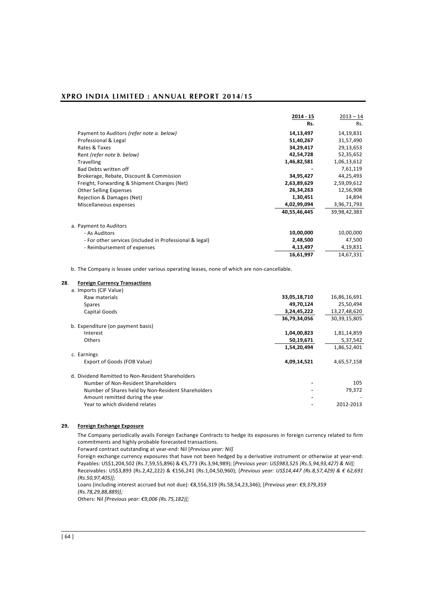|                                                         | 2014 - 15    | $2013 - 14$  |
|---------------------------------------------------------|--------------|--------------|
|                                                         | Rs.          | Rs.          |
| Payment to Auditors (refer note a. below)               | 14,13,497    | 14,19,831    |
| Professional & Legal                                    | 51,40,267    | 31,57,490    |
| Rates & Taxes                                           | 34,29,417    | 29,13,653    |
| Rent (refer note b. below)                              | 42,54,728    | 52,35,652    |
| <b>Travelling</b>                                       | 1,46,82,581  | 1,06,13,612  |
| Bad Debts written off                                   |              | 7,61,119     |
| Brokerage, Rebate, Discount & Commission                | 34,95,427    | 44,25,493    |
| Freight, Forwarding & Shipment Charges (Net)            | 2,63,89,629  | 2,59,09,612  |
| <b>Other Selling Expenses</b>                           | 26,34,263    | 12,56,908    |
| Rejection & Damages (Net)                               | 1,30,451     | 14,894       |
| Miscellaneous expenses                                  | 4,02,99,094  | 3,96,71,793  |
|                                                         | 40,55,46,445 | 39,98,42,383 |
| a. Payment to Auditors                                  |              |              |
| - As Auditors                                           | 10,00,000    | 10,00,000    |
| - For other services (included in Professional & legal) | 2,48,500     | 47,500       |
| - Reimbursement of expenses                             | 4,13,497     | 4,19,831     |
|                                                         | 16,61,997    | 14,67,331    |

b. The Company is lessee under various operating leases, none of which are non-cancellable.

#### **28**. **Foreign Currency Transactions**

| a. Imports (CIF Value)                             |              |              |
|----------------------------------------------------|--------------|--------------|
| Raw materials                                      | 33,05,18,710 | 16,86,16,691 |
| <b>Spares</b>                                      | 49,70,124    | 25,50,494    |
| Capital Goods                                      | 3,24,45,222  | 13,27,48,620 |
|                                                    | 36,79,34,056 | 30,39,15,805 |
| b. Expenditure (on payment basis)                  |              |              |
| Interest                                           | 1,04,00,823  | 1,81,14,859  |
| Others                                             | 50,19,671    | 5,37,542     |
|                                                    | 1,54,20,494  | 1,86,52,401  |
| c. Earnings                                        |              |              |
| Export of Goods (FOB Value)                        | 4,09,14,521  | 4,65,57,158  |
| d. Dividend Remitted to Non-Resident Shareholders  |              |              |
| Number of Non-Resident Shareholders                |              | 105          |
| Number of Shares held by Non-Resident Shareholders |              | 79,372       |
| Amount remitted during the year                    |              |              |
| Year to which dividend relates                     |              | 2012-2013    |

### **29. Foreign Exchange Exposure**

The Company periodically avails Foreign Exchange Contracts to hedge its exposures in foreign currency related to firm commitments and highly probable forecasted transactions.

Forward contract outstanding at year-end: Nil [*Previous year: Nil]*

Foreign exchange currency exposures that have not been hedged by a derivative instrument or otherwise at year-end: Payables: US\$1,204,502 (Rs.7,59,55,896) & €5,773 (Rs.3,94,989); [*Previous year: US\$983,525 (Rs.5,94,93,427) & Nil];* Receivables: US\$3,893 (Rs.2,42,222) & €156,241 (Rs.1,04,50,960); [*Previous year: US\$14,447 (Rs.8,57,429) & € 62,691 (Rs.50,97,405)];*

Loans (including interest accrued but not due): €8,556,319 (Rs.58,54,23,346); [*Previous year: €9,379,359 (Rs.78,29,88,889)];*

Others: Nil *[Previous year: €9,006 (Rs.75,182)];*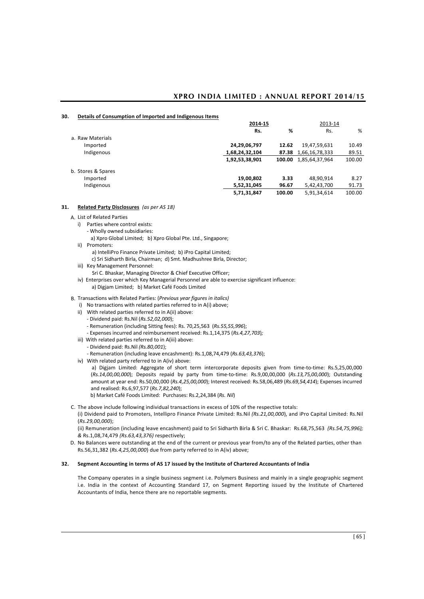#### **30. Details of Consumption of Imported and Indigenous Items**

|                    | 2014-15        |        | 2013-14              |        |
|--------------------|----------------|--------|----------------------|--------|
|                    | Rs.            | %      | Rs.                  | %      |
| a. Raw Materials   |                |        |                      |        |
| Imported           | 24,29,06,797   | 12.62  | 19,47,59,631         | 10.49  |
| Indigenous         | 1,68,24,32,104 |        | 87.38 1,66,16,78,333 | 89.51  |
|                    | 1,92,53,38,901 | 100.00 | 1,85,64,37,964       | 100.00 |
| b. Stores & Spares |                |        |                      |        |
| Imported           | 19,00,802      | 3.33   | 48,90,914            | 8.27   |
| Indigenous         | 5,52,31,045    | 96.67  | 5,42,43,700          | 91.73  |
|                    | 5,71,31,847    | 100.00 | 5,91,34,614          | 100.00 |

#### **31. Related Party Disclosures** *(as per AS 18)*

- A. List of Related Parties
	- i) Parties where control exists:
		- Wholly owned subsidiaries:
		- a) Xpro Global Limited; b) Xpro Global Pte. Ltd., Singapore;
	- ii) Promoters:
		- a) IntelliPro Finance Private Limited; b) iPro Capital Limited; c) Sri Sidharth Birla, Chairman; d) Smt. Madhushree Birla, Director;
	- iii) Key Management Personnel:
		- Sri C. Bhaskar, Managing Director & Chief Executive Officer;
	- iv) Enterprises over which Key Managerial Personnel are able to exercise significant influence:
		- a) Digjam Limited; b) Market Café Foods Limited
- B. Transactions with Related Parties: (*Previous year figures in italics)*
	- i) No transactions with related parties referred to in A(i) above;
	- ii) With related parties referred to in A(ii) above:
		- Dividend paid: Rs.Nil (*Rs.52,02,000*);
		- Remuneration (including Sitting fees): Rs. 70,25,563 (*Rs.55,55,996*);
		- Expenses incurred and reimbursement received: Rs.1,14,375 (*Rs.4,27,703*)*;*
	- iii) With related parties referred to in A(iii) above:
		- Dividend paid: Rs.Nil *(Rs.80,001*);
		- Remuneration (including leave encashment): Rs.1,08,74,479 (*Rs.63,43,376*);
	- iv) With related party referred to in A(iv) above:
		- a) Digjam Limited: Aggregate of short term intercorporate deposits given from time-to-time: Rs.5,25,00,000 (*Rs.14,00,00,000*); Deposits repaid by party from time-to-time: Rs.9,00,00,000 (*Rs.13,75,00,000*); Outstanding amount at year end: Rs.50,00,000 (*Rs.4,25,00,000*); Interest received: Rs.58,06,489 (*Rs.69,54,414*); Expenses incurred and realised: Rs.6,97,577 (*Rs.7,82,240*);
		- b) Market Café Foods Limited: Purchases: Rs.2,24,384 (*Rs. Nil*)
- C. The above include following individual transactions in excess of 10% of the respective totals:
	- (i) Dividend paid to Promoters, Intellipro Finance Private Limited: Rs.Nil *(Rs.21,00,000*), and iPro Capital Limited: Rs.Nil (*Rs.29,00,000*);

(ii) Remuneration (including leave encashment) paid to Sri Sidharth Birla & Sri C. Bhaskar: Rs.68,75,563 *(Rs.54,75,996); &* Rs.1,08,74,479 *(Rs.63,43,376)* respectively;

D. No Balances were outstanding at the end of the current or previous year from/to any of the Related parties, other than Rs.56,31,382 (*Rs.4,25,00,000*) due from party referred to in A(iv) above;

### **32. Segment Accounting in terms of AS 17 issued by the Institute of Chartered Accountants of India**

The Company operates in a single business segment i.e. Polymers Business and mainly in a single geographic segment i.e. India in the context of Accounting Standard 17, on Segment Reporting issued by the Institute of Chartered Accountants of India, hence there are no reportable segments.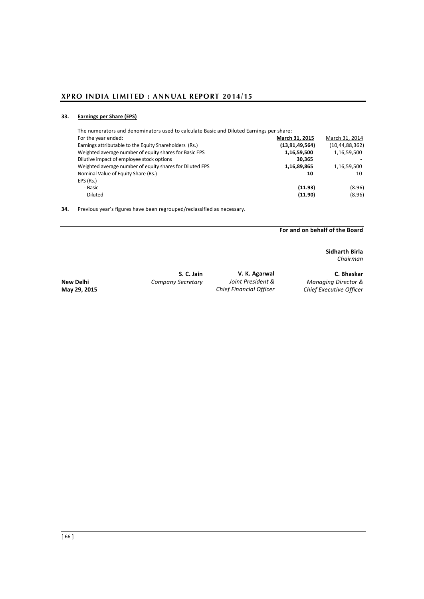# **33. Earnings per Share (EPS)**

| The numerators and denominators used to calculate Basic and Diluted Earnings per share: |                   |                   |
|-----------------------------------------------------------------------------------------|-------------------|-------------------|
| For the year ended:                                                                     | March 31, 2015    | March 31, 2014    |
| Earnings attributable to the Equity Shareholders (Rs.)                                  | (13, 91, 49, 564) | (10, 44, 88, 362) |
| Weighted average number of equity shares for Basic EPS                                  | 1,16,59,500       | 1,16,59,500       |
| Dilutive impact of employee stock options                                               | 30.365            |                   |
| Weighted average number of equity shares for Diluted EPS                                | 1,16,89,865       | 1,16,59,500       |
| Nominal Value of Equity Share (Rs.)                                                     | 10                | 10                |
| EPS (Rs.)                                                                               |                   |                   |
| - Basic                                                                                 | (11.93)           | (8.96)            |
| - Diluted                                                                               | (11.90)           | (8.96)            |
|                                                                                         |                   |                   |

**34.** Previous year's figures have been regrouped/reclassified as necessary.

**For and on behalf of the Board** 

**Sidharth Birla** *Chairman*

**New Delhi** *Company Secretary Joint President & Managing Director &*

**S. C. Jain V. K. Agarwal <b>C. Bhaskar**<br> *Secretary Joint President & Managing Director &* **May 29, 2015** *Chief Financial Officer Chief Executive Officer*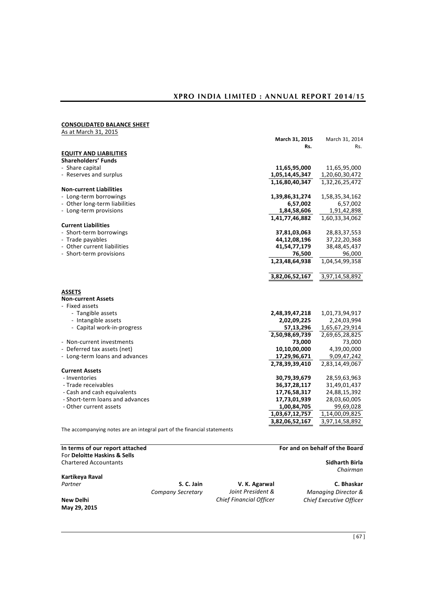# **CONSOLIDATED BALANCE SHEET**

| ~~~~~~~~~~~ <i>~~</i> ~~<br>----------- |                 |                |
|-----------------------------------------|-----------------|----------------|
| As at March 31, 2015                    |                 |                |
|                                         | March 31, 2015  | March 31, 2014 |
|                                         | Rs.             | Rs.            |
| <b>EQUITY AND LIABILITIES</b>           |                 |                |
| <b>Shareholders' Funds</b>              |                 |                |
| - Share capital                         | 11,65,95,000    | 11,65,95,000   |
| - Reserves and surplus                  | 1,05,14,45,347  | 1,20,60,30,472 |
|                                         | 1,16,80,40,347  | 1,32,26,25,472 |
| <b>Non-current Liabilities</b>          |                 |                |
| - Long-term borrowings                  | 1,39,86,31,274  | 1,58,35,34,162 |
| - Other long-term liabilities           | 6,57,002        | 6,57,002       |
| - Long-term provisions                  | 1,84,58,606     | 1,91,42,898    |
|                                         | 1,41,77,46,882  | 1,60,33,34,062 |
| <b>Current Liabilities</b>              |                 |                |
| - Short-term borrowings                 | 37,81,03,063    | 28,83,37,553   |
| - Trade payables                        | 44,12,08,196    | 37,22,20,368   |
| - Other current liabilities             | 41,54,77,179    | 38,48,45,437   |
| - Short-term provisions                 | 76,500          | 96,000         |
|                                         | 1,23,48,64,938  | 1,04,54,99,358 |
|                                         |                 |                |
|                                         |                 |                |
|                                         | 3,82,06,52,167  | 3,97,14,58,892 |
|                                         |                 |                |
| <b>ASSETS</b>                           |                 |                |
| <b>Non-current Assets</b>               |                 |                |
| - Fixed assets                          |                 |                |
| - Tangible assets                       | 2,48,39,47,218  | 1,01,73,94,917 |
| - Intangible assets                     | 2,02,09,225     | 2,24,03,994    |
| - Capital work-in-progress              | 57,13,296       | 1,65,67,29,914 |
|                                         | 2,50,98,69,739  | 2,69,65,28,825 |
| - Non-current investments               | 73,000          | 73,000         |
| - Deferred tax assets (net)             | 10,10,00,000    | 4,39,00,000    |
| - Long-term loans and advances          | 17,29,96,671    | 9,09,47,242    |
|                                         | 2,78,39,39,410  | 2,83,14,49,067 |
| <b>Current Assets</b>                   |                 |                |
| - Inventories                           | 30,79,39,679    | 28,59,63,963   |
| - Trade receivables                     | 36, 37, 28, 117 | 31,49,01,437   |
| - Cash and cash equivalents             | 17,76,58,317    | 24,88,15,392   |
| - Short-term loans and advances         | 17,73,01,939    | 28,03,60,005   |
| - Other current assets                  | 1,00,84,705     | 99,69,028      |
|                                         | 1,03,67,12,757  | 1,14,00,09,825 |
|                                         | 3,82,06,52,167  | 3,97,14,58,892 |
|                                         |                 |                |

The accompanying notes are an integral part of the financial statements

| In terms of our report attached |                   |                                | For and on behalf of the Board |
|---------------------------------|-------------------|--------------------------------|--------------------------------|
| For Deloitte Haskins & Sells    |                   |                                |                                |
| <b>Chartered Accountants</b>    |                   |                                | Sidharth Birla<br>Chairman     |
| Kartikeya Raval                 |                   |                                |                                |
| Partner                         | S. C. Jain        | V. K. Agarwal                  | C. Bhaskar                     |
|                                 | Company Secretary | Joint President &              | <b>Managing Director &amp;</b> |
| New Delhi<br>May 29, 2015       |                   | <b>Chief Financial Officer</b> | Chief Executive Officer        |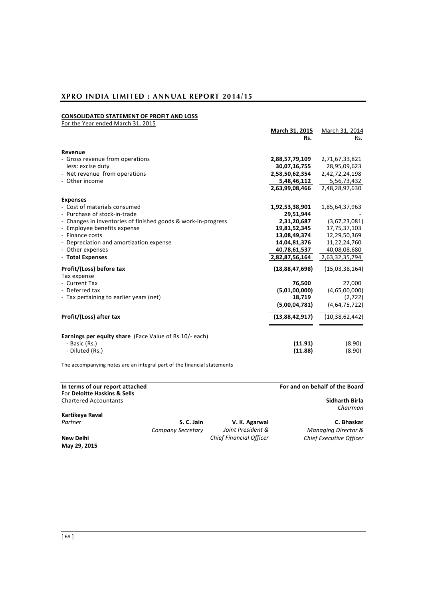# **CONSOLIDATED STATEMENT OF PROFIT AND LOSS**

| For the Year ended March 31, 2015                             |                |                   |
|---------------------------------------------------------------|----------------|-------------------|
|                                                               | March 31, 2015 | March 31, 2014    |
|                                                               | Rs.            | Rs.               |
| Revenue                                                       |                |                   |
| - Gross revenue from operations                               | 2,88,57,79,109 | 2,71,67,33,821    |
| less: excise duty                                             | 30,07,16,755   | 28,95,09,623      |
| - Net revenue from operations                                 | 2,58,50,62,354 | 2,42,72,24,198    |
| - Other income                                                | 5,48,46,112    | 5,56,73,432       |
|                                                               | 2,63,99,08,466 | 2,48,28,97,630    |
| <b>Expenses</b>                                               |                |                   |
| - Cost of materials consumed                                  | 1,92,53,38,901 | 1,85,64,37,963    |
| - Purchase of stock-in-trade                                  | 29,51,944      |                   |
| - Changes in inventories of finished goods & work-in-progress | 2,31,20,687    | (3,67,23,081)     |
| - Employee benefits expense                                   | 19,81,52,345   | 17,75,37,103      |
| - Finance costs                                               | 13,08,49,374   | 12,29,50,369      |
| - Depreciation and amortization expense                       | 14,04,81,376   | 11,22,24,760      |
| - Other expenses                                              | 40,78,61,537   | 40,08,08,680      |
| - Total Expenses                                              | 2,82,87,56,164 | 2,63,32,35,794    |
| Profit/(Loss) before tax<br>Tax expense                       | (18,88,47,698) | (15,03,38,164)    |
| - Current Tax                                                 | 76,500         | 27,000            |
| - Deferred tax                                                | (5,01,00,000)  | (4,65,00,000)     |
| - Tax pertaining to earlier years (net)                       | 18,719         | (2,722)           |
|                                                               | (5,00,04,781)  | (4,64,75,722)     |
| Profit/(Loss) after tax                                       | (13,88,42,917) | (10, 38, 62, 442) |
| <b>Earnings per equity share</b> (Face Value of Rs.10/- each) |                |                   |
| - Basic (Rs.)                                                 | (11.91)        | (8.90)            |
| - Diluted (Rs.)                                               | (11.88)        | (8.90)            |
|                                                               |                |                   |

The accompanying notes are an integral part of the financial statements

| In terms of our report attached<br>For Deloitte Haskins & Sells |                   |                                | For and on behalf of the Board |
|-----------------------------------------------------------------|-------------------|--------------------------------|--------------------------------|
| <b>Chartered Accountants</b>                                    |                   |                                | Sidharth Birla<br>Chairman     |
| Kartikeya Raval                                                 |                   |                                |                                |
| Partner                                                         | S. C. Jain        | V. K. Agarwal                  | C. Bhaskar                     |
|                                                                 | Company Secretary | Joint President &              | <b>Managing Director &amp;</b> |
| New Delhi<br>May 29, 2015                                       |                   | <b>Chief Financial Officer</b> | Chief Executive Officer        |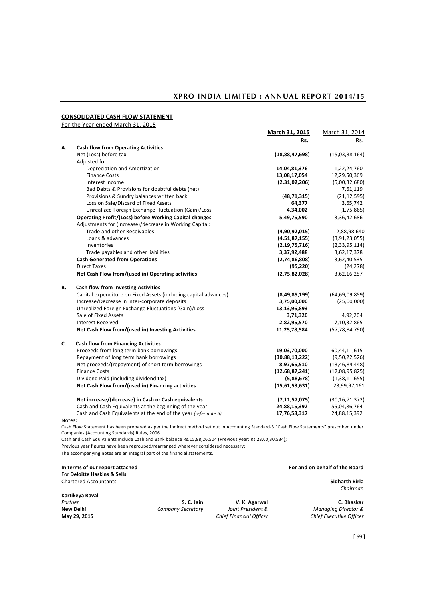# **CONSOLIDATED CASH FLOW STATEMENT**

For the Year ended March 31, 2015

|        |                                                                  | March 31, 2015    | March 31, 2014    |
|--------|------------------------------------------------------------------|-------------------|-------------------|
|        |                                                                  | Rs.               | Rs.               |
| А.     | <b>Cash flow from Operating Activities</b>                       |                   |                   |
|        | Net (Loss) before tax                                            | (18, 88, 47, 698) | (15,03,38,164)    |
|        | Adjusted for:                                                    |                   |                   |
|        | Depreciation and Amortization                                    | 14,04,81,376      | 11,22,24,760      |
|        | <b>Finance Costs</b>                                             | 13,08,17,054      | 12,29,50,369      |
|        | Interest income                                                  | (2,31,02,206)     | (5,00,32,680)     |
|        | Bad Debts & Provisions for doubtful debts (net)                  |                   | 7,61,119          |
|        | Provisions & Sundry balances written back                        | (48, 71, 315)     | (21, 12, 595)     |
|        | Loss on Sale/Discard of Fixed Assets                             | 64,377            | 3,65,742          |
|        | Unrealized Foreign Exchange Fluctuation (Gain)/Loss              | 4,34,002          | (1,75,865)        |
|        | <b>Operating Profit/(Loss) before Working Capital changes</b>    | 5,49,75,590       | 3,36,42,686       |
|        | Adjustments for (increase)/decrease in Working Capital:          |                   |                   |
|        | Trade and other Receivables                                      | (4,90,92,015)     | 2,88,98,640       |
|        | Loans & advances                                                 | (4,51,87,155)     | (3,91,23,055)     |
|        | Inventories                                                      | (2, 19, 75, 716)  | (2,33,95,114)     |
|        | Trade payables and other liabilities                             | 3,37,92,488       | 3,62,17,378       |
|        | <b>Cash Generated from Operations</b>                            | (2,74,86,808)     | 3,62,40,535       |
|        | <b>Direct Taxes</b>                                              | (95, 220)         | (24, 278)         |
|        | Net Cash Flow from/(used in) Operating activities                | (2,75,82,028)     | 3,62,16,257       |
| В.     | <b>Cash flow from Investing Activities</b>                       |                   |                   |
|        | Capital expenditure on Fixed Assets (including capital advances) | (8,49,85,199)     | (64, 69, 09, 859) |
|        | Increase/Decrease in inter-corporate deposits                    | 3,75,00,000       | (25,00,000)       |
|        | Unrealized Foreign Exchange Fluctuations (Gain)/Loss             | 13,13,96,893      |                   |
|        | Sale of Fixed Assets                                             | 3,71,320          | 4,92,204          |
|        | <b>Interest Received</b>                                         | 2,82,95,570       | 7,10,32,865       |
|        | Net Cash Flow from/(used in) Investing Activities                | 11,25,78,584      | (57, 78, 84, 790) |
| C.     | <b>Cash flow from Financing Activities</b>                       |                   |                   |
|        | Proceeds from long term bank borrowings                          | 19,03,70,000      | 60,44,11,615      |
|        | Repayment of long term bank borrowings                           | (30,88,13,222)    | (9,50,22,526)     |
|        | Net proceeds/(repayment) of short term borrowings                | 8,97,65,510       | (13, 46, 84, 448) |
|        | <b>Finance Costs</b>                                             | (12, 68, 87, 241) | (12,08,95,825)    |
|        | Dividend Paid (including dividend tax)                           | (5,88,678)        | (1,38,11,655)     |
|        | Net Cash Flow from/(used in) Financing activities                | (15,61,53,631)    | 23,99,97,161      |
|        | Net increase/(decrease) in Cash or Cash equivalents              | (7, 11, 57, 075)  | (30, 16, 71, 372) |
|        | Cash and Cash Equivalents at the beginning of the year           | 24,88,15,392      | 55,04,86,764      |
|        | Cash and Cash Equivalents at the end of the year (refer note 5)  | 17,76,58,317      | 24,88,15,392      |
| Notes: |                                                                  |                   |                   |

Cash Flow Statement has been prepared as per the indirect method set out in Accounting Standard-3 "Cash Flow Statements" prescribed under Companies (Accounting Standards) Rules, 2006.

Cash and Cash Equivalents include Cash and Bank balance Rs.15,88,26,504 (Previous year: Rs.23,00,30,534);

Previous year figures have been regrouped/rearranged wherever considered necessary;

The accompanying notes are an integral part of the financial statements.

| In terms of our report attached |                   |                                | For and on behalf of the Board |
|---------------------------------|-------------------|--------------------------------|--------------------------------|
| For Deloitte Haskins & Sells    |                   |                                |                                |
| <b>Chartered Accountants</b>    |                   |                                | Sidharth Birla                 |
|                                 |                   |                                | Chairman                       |
| Kartikeya Raval                 |                   |                                |                                |
| Partner                         | S. C. Jain        | V. K. Agarwal                  | C. Bhaskar                     |
| New Delhi                       | Company Secretary | Joint President &              | <b>Managing Director &amp;</b> |
| May 29, 2015                    |                   | <b>Chief Financial Officer</b> | Chief Executive Officer        |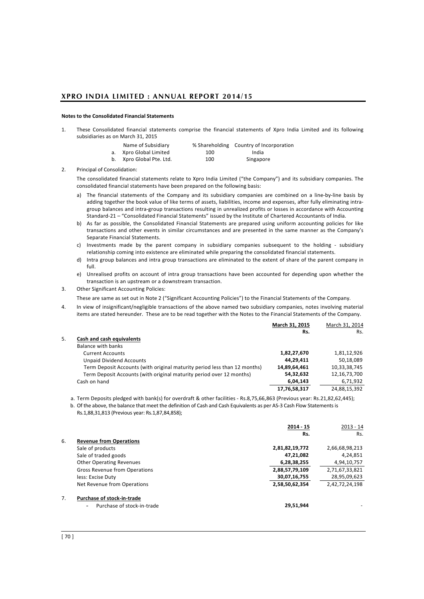### **Notes to the Consolidated Financial Statements**

1. These Consolidated financial statements comprise the financial statements of Xpro India Limited and its following subsidiaries as on March 31, 2015

| Name of Subsidiary       |     | % Shareholding Country of Incorporation |
|--------------------------|-----|-----------------------------------------|
| a. Xpro Global Limited   | 100 | India                                   |
| b. Xpro Global Pte. Ltd. | 100 | Singapore                               |

2. Principal of Consolidation:

The consolidated financial statements relate to Xpro India Limited ("the Company") and its subsidiary companies. The consolidated financial statements have been prepared on the following basis:

- a) The financial statements of the Company and its subsidiary companies are combined on a line-by-line basis by adding together the book value of like terms of assets, liabilities, income and expenses, after fully eliminating intragroup balances and intra-group transactions resulting in unrealized profits or losses in accordance with Accounting Standard-21 – "Consolidated Financial Statements" issued by the Institute of Chartered Accountants of India.
- b) As far as possible, the Consolidated Financial Statements are prepared using uniform accounting policies for like transactions and other events in similar circumstances and are presented in the same manner as the Company's Separate Financial Statements.
- c) Investments made by the parent company in subsidiary companies subsequent to the holding subsidiary relationship coming into existence are eliminated while preparing the consolidated financial statements.
- d) Intra group balances and intra group transactions are eliminated to the extent of share of the parent company in full.
- e) Unrealised profits on account of intra group transactions have been accounted for depending upon whether the transaction is an upstream or a downstream transaction.
- 3. Other Significant Accounting Policies:
	- These are same as set out in Note 2 ("Significant Accounting Policies") to the Financial Statements of the Company.
- 4. In view of insignificant/negligible transactions of the above named two subsidiary companies, notes involving material items are stated hereunder. These are to be read together with the Notes to the Financial Statements of the Company.

|    |                                                                           | March 31, 2015 | March 31, 2014  |
|----|---------------------------------------------------------------------------|----------------|-----------------|
|    |                                                                           | Rs.            | Rs.             |
| 5. | Cash and cash equivalents                                                 |                |                 |
|    | Balance with banks                                                        |                |                 |
|    | <b>Current Accounts</b>                                                   | 1,82,27,670    | 1,81,12,926     |
|    | <b>Unpaid Dividend Accounts</b>                                           | 44.29.411      | 50,18,089       |
|    | Term Deposit Accounts (with original maturity period less than 12 months) | 14,89,64,461   | 10,33,38,745    |
|    | Term Deposit Accounts (with original maturity period over 12 months)      | 54,32,632      | 12, 16, 73, 700 |
|    | Cash on hand                                                              | 6,04,143       | 6,71,932        |
|    |                                                                           | 17,76,58,317   | 24,88,15,392    |

a. Term Deposits pledged with bank(s) for overdraft & other facilities - Rs.8,75,66,863 (Previous year: Rs.21,82,62,445);

b. Of the above, the balance that meet the definition of Cash and Cash Equivalents as per AS-3 Cash Flow Statements is Rs.1,88,31,813 (Previous year: Rs.1,87,84,858);

|    |                                                        | 2014 15        | $2013 - 14$    |
|----|--------------------------------------------------------|----------------|----------------|
|    |                                                        | Rs.            | Rs.            |
| 6. | <b>Revenue from Operations</b>                         |                |                |
|    | Sale of products                                       | 2,81,82,19,772 | 2,66,68,98,213 |
|    | Sale of traded goods                                   | 47,21,082      | 4,24,851       |
|    | <b>Other Operating Revenues</b>                        | 6,28,38,255    | 4,94,10,757    |
|    | Gross Revenue from Operations                          | 2,88,57,79,109 | 2,71,67,33,821 |
|    | less: Excise Duty                                      | 30,07,16,755   | 28,95,09,623   |
|    | Net Revenue from Operations                            | 2,58,50,62,354 | 2,42,72,24,198 |
| 7. | Purchase of stock-in-trade                             |                |                |
|    | Purchase of stock-in-trade<br>$\overline{\phantom{0}}$ | 29.51.944      |                |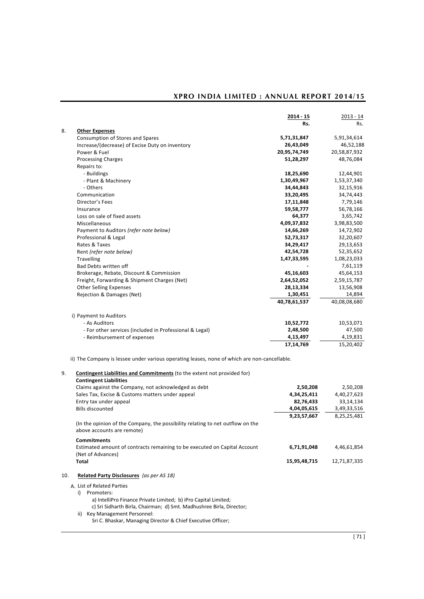|                                                         | $2014 - 15$  | $2013 - 14$  |
|---------------------------------------------------------|--------------|--------------|
|                                                         | Rs.          | Rs.          |
| <b>Other Expenses</b>                                   |              |              |
| Consumption of Stores and Spares                        | 5,71,31,847  | 5,91,34,614  |
| Increase/(decrease) of Excise Duty on inventory         | 26,43,049    | 46,52,188    |
| Power & Fuel                                            | 20,95,74,749 | 20,58,87,932 |
| <b>Processing Charges</b>                               | 51,28,297    | 48,76,084    |
| Repairs to:                                             |              |              |
| - Buildings                                             | 18,25,690    | 12,44,901    |
| - Plant & Machinery                                     | 1,30,49,967  | 1,53,37,340  |
| - Others                                                | 34,44,843    | 32,15,916    |
| Communication                                           | 33,20,495    | 34,74,443    |
| Director's Fees                                         | 17,11,848    | 7,79,146     |
| Insurance                                               | 59,58,777    | 56,78,166    |
| Loss on sale of fixed assets                            | 64,377       | 3,65,742     |
| Miscellaneous                                           | 4,09,37,832  | 3,98,83,500  |
| Payment to Auditors (refer note below)                  | 14,66,269    | 14,72,902    |
| Professional & Legal                                    | 52,73,317    | 32,20,607    |
| Rates & Taxes                                           | 34,29,417    | 29,13,653    |
| Rent (refer note below)                                 | 42,54,728    | 52,35,652    |
| <b>Travelling</b>                                       | 1,47,33,595  | 1,08,23,033  |
| <b>Bad Debts written off</b>                            |              | 7,61,119     |
| Brokerage, Rebate, Discount & Commission                | 45,16,603    | 45,64,153    |
| Freight, Forwarding & Shipment Charges (Net)            | 2,64,52,052  | 2,59,15,787  |
| <b>Other Selling Expenses</b>                           | 28,13,334    | 13,56,908    |
| Rejection & Damages (Net)                               | 1,30,451     | 14,894       |
|                                                         | 40,78,61,537 | 40,08,08,680 |
| i) Payment to Auditors                                  |              |              |
| - As Auditors                                           | 10,52,772    | 10,53,071    |
| - For other services (included in Professional & Legal) | 2,48,500     | 47,500       |
| - Reimbursement of expenses                             | 4,13,497     | 4,19,831     |
|                                                         | 17,14,769    | 15,20,402    |

9. **Contingent Liabilities and Commitments** (to the extent not provided for)

| У.  | <b>Contingent Liabilities and Commitments</b> (to the extent not provided for)                               |              |              |
|-----|--------------------------------------------------------------------------------------------------------------|--------------|--------------|
|     | <b>Contingent Liabilities</b>                                                                                |              |              |
|     | Claims against the Company, not acknowledged as debt                                                         | 2,50,208     | 2,50,208     |
|     | Sales Tax, Excise & Customs matters under appeal                                                             | 4,34,25,411  | 4,40,27,623  |
|     | Entry tax under appeal                                                                                       | 82,76,433    | 33,14,134    |
|     | <b>Bills discounted</b>                                                                                      | 4,04,05,615  | 3,49,33,516  |
|     |                                                                                                              | 9,23,57,667  | 8,25,25,481  |
|     | (In the opinion of the Company, the possibility relating to net outflow on the<br>above accounts are remote) |              |              |
|     | <b>Commitments</b>                                                                                           |              |              |
|     | Estimated amount of contracts remaining to be executed on Capital Account<br>(Net of Advances)               | 6,71,91,048  | 4,46,61,854  |
|     | Total                                                                                                        | 15,95,48,715 | 12,71,87,335 |
| 10. | Related Party Disclosures (as per AS 18)                                                                     |              |              |
|     | A. List of Related Parties                                                                                   |              |              |
|     | i)<br>Promoters:                                                                                             |              |              |
|     | a) IntelliPro Finance Private Limited; b) iPro Capital Limited;                                              |              |              |
|     | c) Sri Sidharth Birla, Chairman; d) Smt. Madhushree Birla, Director;                                         |              |              |
|     |                                                                                                              |              |              |

ii) Key Management Personnel:

Sri C. Bhaskar, Managing Director & Chief Executive Officer;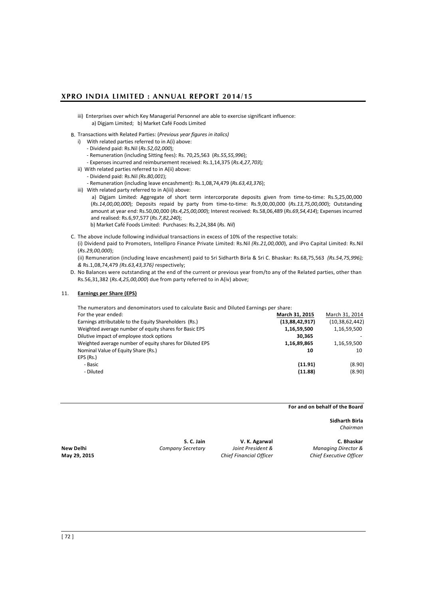- iii) Enterprises over which Key Managerial Personnel are able to exercise significant influence: a) Digjam Limited; b) Market Café Foods Limited
- B. Transactions with Related Parties: (*Previous year figures in italics)*
	- i) With related parties referred to in A(i) above:
		- Dividend paid: Rs.Nil (*Rs.52,02,000*);
		- Remuneration (including Sitting fees): Rs. 70,25,563 (*Rs.55,55,996*);
		- Expenses incurred and reimbursement received: Rs.1,14,375 (*Rs.4,27,703*)*;*
	- ii) With related parties referred to in A(ii) above:
		- Dividend paid: Rs.Nil *(Rs.80,001*);
		- Remuneration (including leave encashment): Rs.1,08,74,479 (*Rs.63,43,376*);
	- iii) With related party referred to in A(iii) above:
		- a) Digjam Limited: Aggregate of short term intercorporate deposits given from time-to-time: Rs.5,25,00,000 (*Rs.14,00,00,000*); Deposits repaid by party from time-to-time: Rs.9,00,00,000 (*Rs.13,75,00,000*); Outstanding amount at year end: Rs.50,00,000 (*Rs.4,25,00,000*); Interest received: Rs.58,06,489 (*Rs.69,54,414*); Expenses incurred and realised: Rs.6,97,577 (*Rs.7,82,240*);
		- b) Market Café Foods Limited: Purchases: Rs.2,24,384 (*Rs. Nil*)
- C. The above include following individual transactions in excess of 10% of the respective totals:
	- (i) Dividend paid to Promoters, Intellipro Finance Private Limited: Rs.Nil *(Rs.21,00,000*), and iPro Capital Limited: Rs.Nil (*Rs.29,00,000*);

(ii) Remuneration (including leave encashment) paid to Sri Sidharth Birla & Sri C. Bhaskar: Rs.68,75,563 *(Rs.54,75,996); &* Rs.1,08,74,479 *(Rs.63,43,376)* respectively;

D. No Balances were outstanding at the end of the current or previous year from/to any of the Related parties, other than Rs.56,31,382 (*Rs.4,25,00,000*) due from party referred to in A(iv) above;

### 11. **Earnings per Share (EPS)**

The numerators and denominators used to calculate Basic and Diluted Earnings per share:

| For the year ended:                                      | March 31, 2015 | March 31, 2014    |
|----------------------------------------------------------|----------------|-------------------|
| Earnings attributable to the Equity Shareholders (Rs.)   | (13,88,42,917) | (10, 38, 62, 442) |
| Weighted average number of equity shares for Basic EPS   | 1,16,59,500    | 1,16,59,500       |
| Dilutive impact of employee stock options                | 30.365         |                   |
| Weighted average number of equity shares for Diluted EPS | 1,16,89,865    | 1,16,59,500       |
| Nominal Value of Equity Share (Rs.)                      | 10             | 10                |
| EPS (Rs.)                                                |                |                   |
| - Basic                                                  | (11.91)        | (8.90)            |
| - Diluted                                                | (11.88)        | (8.90)            |
|                                                          |                |                   |

**For and on behalf of the Board** 

**Sidharth Birla** *Chairman*

**S. C. Jain V. K. Agarwal C. Bhaskar** 

**New Delhi** *Company Secretary Joint President & Managing Director &* **May 29, 2015** *Chief Financial Officer Chief Executive Officer*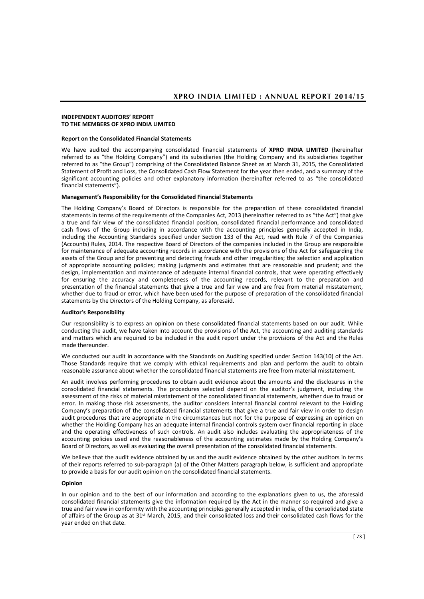#### **INDEPENDENT AUDITORS' REPORT TO THE MEMBERS OF XPRO INDIA LIMITED**

#### **Report on the Consolidated Financial Statements**

We have audited the accompanying consolidated financial statements of **XPRO INDIA LIMITED** (hereinafter referred to as "the Holding Company") and its subsidiaries (the Holding Company and its subsidiaries together referred to as "the Group") comprising of the Consolidated Balance Sheet as at March 31, 2015, the Consolidated Statement of Profit and Loss, the Consolidated Cash Flow Statement for the year then ended, and a summary of the significant accounting policies and other explanatory information (hereinafter referred to as "the consolidated financial statements").

#### **Management's Responsibility for the Consolidated Financial Statements**

The Holding Company's Board of Directors is responsible for the preparation of these consolidated financial statements in terms of the requirements of the Companies Act, 2013 (hereinafter referred to as "the Act") that give a true and fair view of the consolidated financial position, consolidated financial performance and consolidated cash flows of the Group including in accordance with the accounting principles generally accepted in India, including the Accounting Standards specified under Section 133 of the Act, read with Rule 7 of the Companies (Accounts) Rules, 2014. The respective Board of Directors of the companies included in the Group are responsible for maintenance of adequate accounting records in accordance with the provisions of the Act for safeguarding the assets of the Group and for preventing and detecting frauds and other irregularities; the selection and application of appropriate accounting policies; making judgments and estimates that are reasonable and prudent; and the design, implementation and maintenance of adequate internal financial controls, that were operating effectively for ensuring the accuracy and completeness of the accounting records, relevant to the preparation and presentation of the financial statements that give a true and fair view and are free from material misstatement, whether due to fraud or error, which have been used for the purpose of preparation of the consolidated financial statements by the Directors of the Holding Company, as aforesaid.

#### **Auditor's Responsibility**

Our responsibility is to express an opinion on these consolidated financial statements based on our audit. While conducting the audit, we have taken into account the provisions of the Act, the accounting and auditing standards and matters which are required to be included in the audit report under the provisions of the Act and the Rules made thereunder.

We conducted our audit in accordance with the Standards on Auditing specified under Section 143(10) of the Act. Those Standards require that we comply with ethical requirements and plan and perform the audit to obtain reasonable assurance about whether the consolidated financial statements are free from material misstatement.

An audit involves performing procedures to obtain audit evidence about the amounts and the disclosures in the consolidated financial statements. The procedures selected depend on the auditor's judgment, including the assessment of the risks of material misstatement of the consolidated financial statements, whether due to fraud or error. In making those risk assessments, the auditor considers internal financial control relevant to the Holding Company's preparation of the consolidated financial statements that give a true and fair view in order to design audit procedures that are appropriate in the circumstances but not for the purpose of expressing an opinion on whether the Holding Company has an adequate internal financial controls system over financial reporting in place and the operating effectiveness of such controls. An audit also includes evaluating the appropriateness of the accounting policies used and the reasonableness of the accounting estimates made by the Holding Company's Board of Directors, as well as evaluating the overall presentation of the consolidated financial statements.

We believe that the audit evidence obtained by us and the audit evidence obtained by the other auditors in terms of their reports referred to sub-paragraph (a) of the Other Matters paragraph below, is sufficient and appropriate to provide a basis for our audit opinion on the consolidated financial statements.

#### **Opinion**

In our opinion and to the best of our information and according to the explanations given to us, the aforesaid consolidated financial statements give the information required by the Act in the manner so required and give a true and fair view in conformity with the accounting principles generally accepted in India, of the consolidated state of affairs of the Group as at 31<sup>st</sup> March, 2015, and their consolidated loss and their consolidated cash flows for the year ended on that date.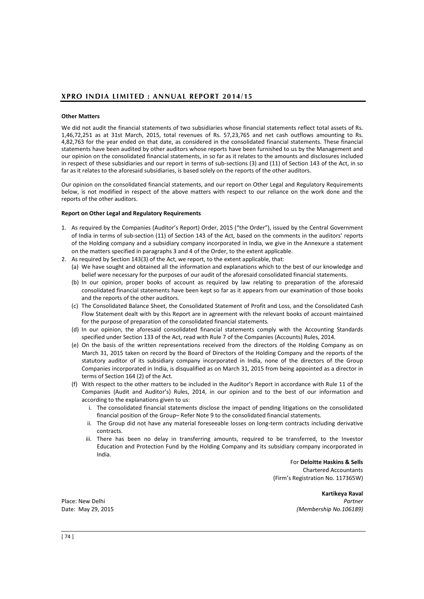## **Other Matters**

We did not audit the financial statements of two subsidiaries whose financial statements reflect total assets of Rs. 1,46,72,251 as at 31st March, 2015, total revenues of Rs. 57,23,765 and net cash outflows amounting to Rs. 4,82,763 for the year ended on that date, as considered in the consolidated financial statements. These financial statements have been audited by other auditors whose reports have been furnished to us by the Management and our opinion on the consolidated financial statements, in so far as it relates to the amounts and disclosures included in respect of these subsidiaries and our report in terms of sub-sections (3) and (11) of Section 143 of the Act, in so far as it relates to the aforesaid subsidiaries, is based solely on the reports of the other auditors.

Our opinion on the consolidated financial statements, and our report on Other Legal and Regulatory Requirements below, is not modified in respect of the above matters with respect to our reliance on the work done and the reports of the other auditors.

## **Report on Other Legal and Regulatory Requirements**

- 1. As required by the Companies (Auditor's Report) Order, 2015 ("the Order"), issued by the Central Government of India in terms of sub-section (11) of Section 143 of the Act, based on the comments in the auditors' reports of the Holding company and a subsidiary company incorporated in India, we give in the Annexure a statement on the matters specified in paragraphs 3 and 4 of the Order, to the extent applicable.
- 2. As required by Section 143(3) of the Act, we report, to the extent applicable, that:
	- (a) We have sought and obtained all the information and explanations which to the best of our knowledge and belief were necessary for the purposes of our audit of the aforesaid consolidated financial statements.
	- (b) In our opinion, proper books of account as required by law relating to preparation of the aforesaid consolidated financial statements have been kept so far as it appears from our examination of those books and the reports of the other auditors.
	- (c) The Consolidated Balance Sheet, the Consolidated Statement of Profit and Loss, and the Consolidated Cash Flow Statement dealt with by this Report are in agreement with the relevant books of account maintained for the purpose of preparation of the consolidated financial statements.
	- (d) In our opinion, the aforesaid consolidated financial statements comply with the Accounting Standards specified under Section 133 of the Act, read with Rule 7 of the Companies (Accounts) Rules, 2014.
	- (e) On the basis of the written representations received from the directors of the Holding Company as on March 31, 2015 taken on record by the Board of Directors of the Holding Company and the reports of the statutory auditor of its subsidiary company incorporated in India, none of the directors of the Group Companies incorporated in India, is disqualified as on March 31, 2015 from being appointed as a director in terms of Section 164 (2) of the Act.
	- (f) With respect to the other matters to be included in the Auditor's Report in accordance with Rule 11 of the Companies (Audit and Auditor's) Rules, 2014, in our opinion and to the best of our information and according to the explanations given to us:
		- i. The consolidated financial statements disclose the impact of pending litigations on the consolidated financial position of the Group– Refer Note 9 to the consolidated financial statements.
		- ii. The Group did not have any material foreseeable losses on long-term contracts including derivative contracts.
		- iii. There has been no delay in transferring amounts, required to be transferred, to the Investor Education and Protection Fund by the Holding Company and its subsidiary company incorporated in India.

For **Deloitte Haskins & Sells**  Chartered Accountants (Firm's Registration No. 117365W)

**Kartikeya Raval** Place: New Delhi *Partner* Date: May 29, 2015 *(Membership No.106189)*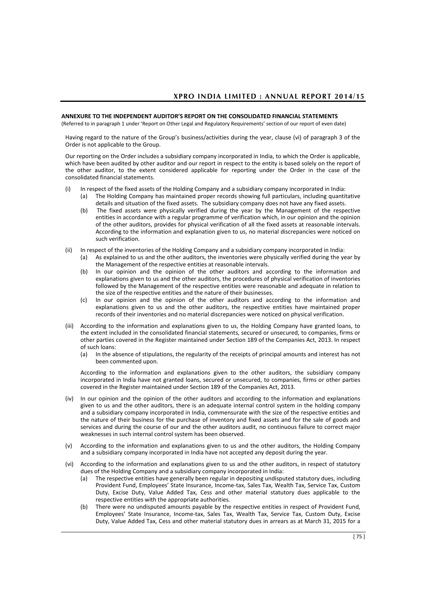## **ANNEXURE TO THE INDEPENDENT AUDITOR'S REPORT ON THE CONSOLIDATED FINANCIAL STATEMENTS**

(Referred to in paragraph 1 under 'Report on Other Legal and Regulatory Requirements' section of our report of even date)

Having regard to the nature of the Group's business/activities during the year, clause (vi) of paragraph 3 of the Order is not applicable to the Group.

Our reporting on the Order includes a subsidiary company incorporated in India, to which the Order is applicable, which have been audited by other auditor and our report in respect to the entity is based solely on the report of the other auditor, to the extent considered applicable for reporting under the Order in the case of the consolidated financial statements.

- (i) In respect of the fixed assets of the Holding Company and a subsidiary company incorporated in India: (a) The Holding Company has maintained proper records showing full particulars, including quantitative
	- details and situation of the fixed assets. The subsidiary company does not have any fixed assets. (b) The fixed assets were physically verified during the year by the Management of the respective entities in accordance with a regular programme of verification which, in our opinion and the opinion of the other auditors, provides for physical verification of all the fixed assets at reasonable intervals. According to the information and explanation given to us, no material discrepancies were noticed on
- (ii) In respect of the inventories of the Holding Company and a subsidiary company incorporated in India: (a) As explained to us and the other auditors, the inventories were physically verified during the year by

such verification.

- the Management of the respective entities at reasonable intervals. (b) In our opinion and the opinion of the other auditors and according to the information and explanations given to us and the other auditors, the procedures of physical verification of inventories followed by the Management of the respective entities were reasonable and adequate in relation to the size of the respective entities and the nature of their businesses.
- (c) In our opinion and the opinion of the other auditors and according to the information and explanations given to us and the other auditors, the respective entities have maintained proper records of their inventories and no material discrepancies were noticed on physical verification.
- (iii) According to the information and explanations given to us, the Holding Company have granted loans, to the extent included in the consolidated financial statements, secured or unsecured, to companies, firms or other parties covered in the Register maintained under Section 189 of the Companies Act, 2013. In respect of such loans:
	- (a) In the absence of stipulations, the regularity of the receipts of principal amounts and interest has not been commented upon.

According to the information and explanations given to the other auditors, the subsidiary company incorporated in India have not granted loans, secured or unsecured, to companies, firms or other parties covered in the Register maintained under Section 189 of the Companies Act, 2013.

- (iv) In our opinion and the opinion of the other auditors and according to the information and explanations given to us and the other auditors, there is an adequate internal control system in the holding company and a subsidiary company incorporated in India, commensurate with the size of the respective entities and the nature of their business for the purchase of inventory and fixed assets and for the sale of goods and services and during the course of our and the other auditors audit, no continuous failure to correct major weaknesses in such internal control system has been observed.
- (v) According to the information and explanations given to us and the other auditors, the Holding Company and a subsidiary company incorporated in India have not accepted any deposit during the year.
- (vi) According to the information and explanations given to us and the other auditors, in respect of statutory dues of the Holding Company and a subsidiary company incorporated in India:
	- (a) The respective entities have generally been regular in depositing undisputed statutory dues, including Provident Fund, Employees' State Insurance, Income-tax, Sales Tax, Wealth Tax, Service Tax, Custom Duty, Excise Duty, Value Added Tax, Cess and other material statutory dues applicable to the respective entities with the appropriate authorities.
	- (b) There were no undisputed amounts payable by the respective entities in respect of Provident Fund, Employees' State Insurance, Income-tax, Sales Tax, Wealth Tax, Service Tax, Custom Duty, Excise Duty, Value Added Tax, Cess and other material statutory dues in arrears as at March 31, 2015 for a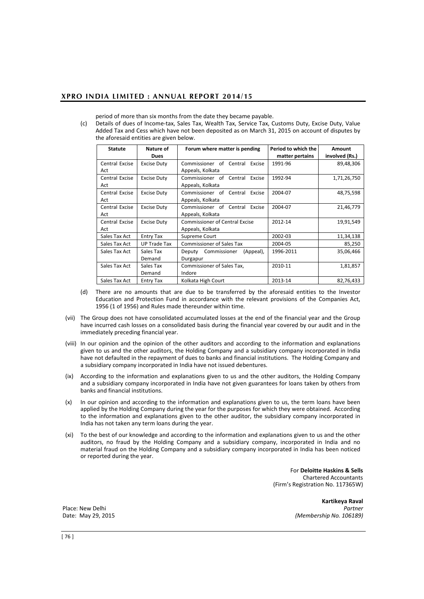period of more than six months from the date they became payable.

(c) Details of dues of Income-tax, Sales Tax, Wealth Tax, Service Tax, Customs Duty, Excise Duty, Value Added Tax and Cess which have not been deposited as on March 31, 2015 on account of disputes by the aforesaid entities are given below.

| <b>Statute</b> | Nature of           | Forum where matter is pending         | Period to which the | <b>Amount</b>  |
|----------------|---------------------|---------------------------------------|---------------------|----------------|
|                | <b>Dues</b>         |                                       | matter pertains     | involved (Rs.) |
| Central Excise | <b>Excise Duty</b>  | Commissioner of Central<br>Excise     | 1991-96             | 89,48,306      |
| Act            |                     | Appeals, Kolkata                      |                     |                |
| Central Excise | <b>Excise Duty</b>  | Commissioner of Central<br>Excise     | 1992-94             | 1,71,26,750    |
| Act            |                     | Appeals, Kolkata                      |                     |                |
| Central Excise | <b>Excise Duty</b>  | Central<br>Commissioner of<br>Excise  | 2004-07             | 48,75,598      |
| Act            |                     | Appeals, Kolkata                      |                     |                |
| Central Excise | <b>Excise Duty</b>  | Commissioner of<br>Central<br>Excise  | 2004-07             | 21,46,779      |
| Act            |                     | Appeals, Kolkata                      |                     |                |
| Central Excise | <b>Excise Duty</b>  | <b>Commissioner of Central Excise</b> | 2012-14             | 19,91,549      |
| Act            |                     | Appeals, Kolkata                      |                     |                |
| Sales Tax Act  | <b>Entry Tax</b>    | Supreme Court                         | 2002-03             | 11,34,138      |
| Sales Tax Act  | <b>UP Trade Tax</b> | <b>Commissioner of Sales Tax</b>      | 2004-05             | 85,250         |
| Sales Tax Act  | Sales Tax           | Commissioner<br>(Appeal),<br>Deputy   | 1996-2011           | 35,06,466      |
|                | Demand              | Durgapur                              |                     |                |
| Sales Tax Act  | Sales Tax           | Commissioner of Sales Tax,            | 2010-11             | 1,81,857       |
|                | Demand              | Indore                                |                     |                |
| Sales Tax Act  | Entry Tax           | Kolkata High Court                    | 2013-14             | 82,76,433      |

- (d) There are no amounts that are due to be transferred by the aforesaid entities to the Investor Education and Protection Fund in accordance with the relevant provisions of the Companies Act, 1956 (1 of 1956) and Rules made thereunder within time.
- (vii) The Group does not have consolidated accumulated losses at the end of the financial year and the Group have incurred cash losses on a consolidated basis during the financial year covered by our audit and in the immediately preceding financial year.
- (viii) In our opinion and the opinion of the other auditors and according to the information and explanations given to us and the other auditors, the Holding Company and a subsidiary company incorporated in India have not defaulted in the repayment of dues to banks and financial institutions. The Holding Company and a subsidiary company incorporated in India have not issued debentures.
- (ix) According to the information and explanations given to us and the other auditors, the Holding Company and a subsidiary company incorporated in India have not given guarantees for loans taken by others from banks and financial institutions.
- (x) In our opinion and according to the information and explanations given to us, the term loans have been applied by the Holding Company during the year for the purposes for which they were obtained. According to the information and explanations given to the other auditor, the subsidiary company incorporated in India has not taken any term loans during the year.
- (xi) To the best of our knowledge and according to the information and explanations given to us and the other auditors, no fraud by the Holding Company and a subsidiary company, incorporated in India and no material fraud on the Holding Company and a subsidiary company incorporated in India has been noticed or reported during the year.

For **Deloitte Haskins & Sells**  Chartered Accountants (Firm's Registration No. 117365W)

**Kartikeya Raval**  Place: New Delhi *Partner* Date: May 29, 2015 *(Membership No. 106189)*